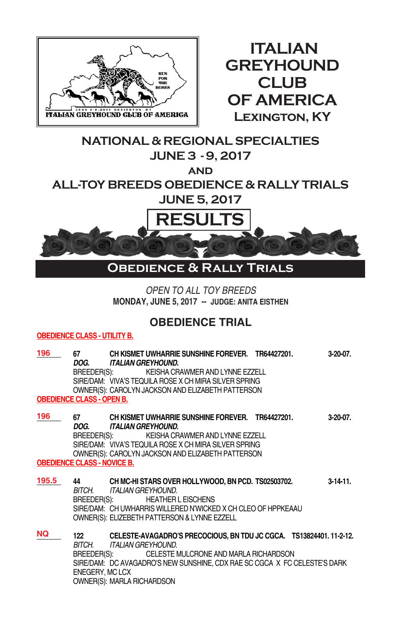

**ITALIAN GREYHOUND CLUB OF AMERICA Lexington, KY**

## **NATIONAL & REGIONAL SPECIALTIES JUNE 3 - 9, 2017**

**and**

## **ALL-TOY BREEDS OBEDIENCE & RALLY TRIALS JUNE 5, 2017**



## **OBEDIENCE & RALLY TRIALS**

### *OPEN TO ALL TOY BREEDS* **MONDAY, JUNE 5, 2017 -- JUDGE: ANITA EISTHEN**

## **OBEDIENCE TRIAL**

### **OBEDIENCE CLASS - UTILITY B.**

| 196       |                                    | 67 CH KISMET UWHARRIE SUNSHINE FOREVER. TR64427201.<br>DOG. ITALIAN GREYHOUND.<br>BREEDER(S): KEISHA CRAWMER AND LYNNE EZZELL<br>SIRE/DAM: VIVA'S TEQUILA ROSE X CH MIRA SILVER SPRING<br>OWNER(S): CAROLYN JACKSON AND ELIZABETH PATTERSON                          | $3-20-07$ . |
|-----------|------------------------------------|----------------------------------------------------------------------------------------------------------------------------------------------------------------------------------------------------------------------------------------------------------------------|-------------|
|           | <b>OBEDIENCE CLASS - OPEN B.</b>   |                                                                                                                                                                                                                                                                      |             |
| 196       | BREEDER(S):                        | 67 CH KISMET UWHARRIE SUNSHINE FOREVER. TR64427201.<br>DOG. ITALIAN GREYHOUND.<br>KEISHA CRAWMER AND LYNNE EZZELL<br>SIRE/DAM: VIVA'S TEQUILA ROSE X CH MIRA SILVER SPRING<br>OWNER(S): CAROLYN JACKSON AND ELIZABETH PATTERSON                                      | $3-20-07$ . |
|           | <b>OBEDIENCE CLASS - NOVICE B.</b> |                                                                                                                                                                                                                                                                      |             |
| 195.5     |                                    | 44 CH MC-HI STARS OVER HOLLYWOOD, BN PCD. TS02503702.<br>BITCH. ITALIAN GREYHOUND.<br>BREEDER(S):<br><b>HEATHER L EISCHENS</b><br>SIRE/DAM: CH UWHARRIS WILLERED N'WICKED X CH CLEO OF HPPKEAAU<br>OWNER(S): ELIZEBETH PATTERSON & LYNNE EZZELL                      | $3-14-11$ . |
| <b>NQ</b> | ENEGERY, MC LCX                    | 122 CELESTE-AVAGADRO'S PRECOCIOUS, BN TDU JC CGCA. TS13824401. 11-2-12.<br>BITCH. ITALIAN GREYHOUND.<br>BREEDER(S): CELESTE MULCRONE AND MARLA RICHARDSON<br>SIRE/DAM: DC AVAGADRO'S NEW SUNSHINE, CDX RAE SC CGCA X FC CELESTE'S DARK<br>OWNER(S): MARLA RICHARDSON |             |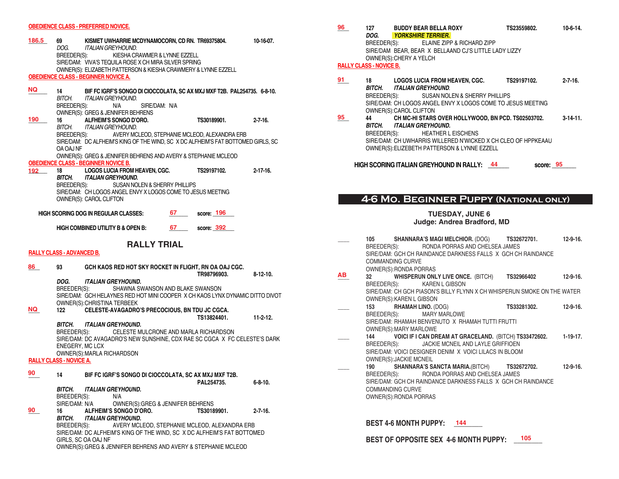#### **OBEDIENCE CLASS - PREFERRED NOVICE.**

- **\_\_\_\_\_\_\_ 69 KISMET UWHARRIE MCDYNAMOCORN, CD RN. TR69375804. 10-16-07.**  *DOG. ITALIAN GREYHOUND.* KIESHA CRAWMER & LYNNE EZZELL SIRE/DAM: VIVA'S TEQUILA ROSE X CH MIRA SILVER SPRING OWNER(S): ELIZABETH PATTERSON & KIESHA CRAWMERY & LYNNE EZZELL **OBEDIENCE CLASS - BEGINNER NOVICE A. 186.5**
- **\_\_\_\_\_\_\_ 14 BIF FC IGRF'S SONGO DI CIOCCOLATA, SC AX MXJ MXF T2B. PAL254735. 6-8-10.**  *BITCH. ITALIAN GREYHOUND.* BREEDER(S): N/A SIRE/DAM: N/A OWNER(S): GREG & JENNIFER BEHRENS **\_\_\_\_\_\_\_ 16 ALFHEIM'S SONGO D'ORO. TS30189901. 2-7-16.**  *BITCH. ITALIAN GREYHOUND.* **NQ 190**
- AVERY MCLEOD, STEPHANIE MCLEOD, ALEXANDRA ERB SIRE/DAM: DC ALFHEIM'S KING OF THE WIND, SC X DC ALFHEIM'S FAT BOTTOMED GIRLS, SC OA OAJ NF OWNER(S): GREG & JENNIFER BEHRENS AND AVERY & STEPHANIE MCLEOD

**OBEDIENCE CLASS - BEGINNER NOVICE B.**

- **\_\_\_\_\_\_\_ 18 LOGOS LUCIA FROM HEAVEN, CGC. TS29197102. 2-17-16.**  *BITCH. ITALIAN GREYHOUND.* SUSAN NOLEN & SHERRY PHILLIPS SIRE/DAM: CH LOGOS ANGEL ENVY X LOGOS COME TO JESUS MEETING OWNER(S): CAROL CLIFTON **192**
- **HIGH SCORING DOG IN REGULAR CLASSES: \_\_\_\_\_\_\_ score: \_\_\_\_\_\_\_\_ 67 196**
	- **HIGH COMBINED UTILITY B & OPEN B:**  $67$ **67 392**

**RALLY TRIAL** 

#### **RALLY CLASS - ADVANCED B.**

**\_\_\_\_ 93 GCH KAOS RED HOT SKY ROCKET IN FLIGHT, RN OA OAJ CGC. TR98796903. 8-12-10.** *DOG. ITALIAN GREYHOUND.* SHAWNA SWANSON AND BLAKE SWANSON SIRE/DAM: GCH HELAYNES RED HOT MINI COOPER X CH KAOS LYNX DYNAMIC DITTO DIVOT OWNER(S):CHRISTINA TERBEEK **\_\_\_\_ 122 CELESTE-AVAGADRO'S PRECOCIOUS, BN TDU JC CGCA. TS13824401. 11-2-12.** *BITCH. ITALIAN GREYHOUND.* BREEDER(S): CELESTE MULCRONE AND MARLA RICHARDSON SIRE/DAM: DC AVAGADRO'S NEW SUNSHINE, CDX RAE SC CGCA X FC CELESTE'S DARK ENEGERY, MC LCX OWNER(S):MARLA RICHARDSON **RALLY CLASS - NOVICE A. \_\_\_\_ 14 BIF FC IGRF'S SONGO DI CIOCCOLATA, SC AX MXJ MXF T2B. PAL254735. 6-8-10.**  *BITCH. ITALIAN GREYHOUND.* BREEDER(S):<br>SIRE/DAM: N/A OWNER(S): GREG & JENNIFER BEHRENS **\_\_\_\_ 16 ALFHEIM'S SONGO D'ORO. TS30189901. 2-7-16.** *BITCH. ITALIAN GREYHOUND.* AVERY MCLEOD, STEPHANIE MCLEOD, ALEXANDRA ERB SIRE/DAM: DC ALFHEIM'S KING OF THE WIND, SC X DC ALFHEIM'S FAT BOTTOMED GIRLS, SC OA OAJ NF OWNER(S):GREG & JENNIFER BEHRENS AND AVERY & STEPHANIE MCLEOD **86 NQ 90 90**

- **\_\_\_\_ 127 BUDDY BEAR BELLA ROXY TS23559802. 10-6-14.** *DOG. YORKSHIRE TERRIER.*  BREEDER(S): ELAINE ZIPP & RICHARD ZIPP SIRE/DAM BEAR, BEAR X BELLAAND CJ'S LITTLE LADY LIZZY OWNER(S):CHERY A YELCH **RALLY CLASS - NOVICE B. 96**
- **\_\_\_\_ 18 LOGOS LUCIA FROM HEAVEN, CGC. TS29197102. 2-7-16.** *BITCH. ITALIAN GREYHOUND*. SUSAN NOLEN & SHERRY PHILLIPS SIRE/DAM: CH LOGOS ANGEL ENVY X LOGOS COME TO JESUS MEETING OWNER(S):CAROL CLIFTON<br>44 CH MC-HI STARS **\_\_\_\_ 44 CH MC-HI STARS OVER HOLLYWOOD, BN PCD. TS02503702. 3-14-11.** *BITCH. ITALIAN GREYHOUND.* BREEDER(S): HEATHER L EISCHENS SIRE/DAM: CH UWHARRIS WILLERED N'WICKED X CH CLEO OF HPPKEAAU OWNER(S):ELIZEBETH PATTERSON & LYNNE EZZELL **91 95**

 **HIGH SCORING ITALIAN GREYHOUND IN RALLY: 44 score: 95** 

## **4-6 Mo. Beginner Puppy (National only)**

### **TUESDAY, JUNE 6 Judge: Andrea Bradford, MD**

**\_\_\_\_ 105 SHANNARA'S MAGI MELCHIOR.** (DOG) **TS32672701. 12-9-16.** BREEDER(S): RONDA PORRAS AND CHELSEA JAMES SIRE/DAM: GCH CH RAINDANCE DARKNESS FALLS X GCH CH RAINDANCE COMMANDING CURVE OWNER(S):RONDA PORRAS **\_\_\_\_ 32 WHISPERUN ONLY LIVE ONCE.** (BITCH) **TS32966402 12-9-16.** BREEDER(S): KAREN L GIBSON SIRE/DAM: CH GCH PIASON'S BILLY FLYNN X CH WHISPERUN SMOKE ON THE WATER OWNER(S):KAREN L GIBSON **\_\_\_\_ 153 RHAMAH LINO.** (DOG) **TS33281302. 12-9-16.** BREEDER(S): MARY MARLOWE SIRE/DAM: RHAMAH BENVENUTO X RHAMAH TUTTI FRUTTI OWNER(S):MARY MARLOWE **\_\_\_\_ 144 VOICI IF I CAN DREAM AT GRACELAND.** (BITCH) **TS33472602. 1-19-17.** BREEDER(S): JACKIE MCNEIL AND LAYLE GRIFFIOEN SIRE/DAM: VOICI DESIGNER DENIM X VOICI LILACS IN BLOOM OWNER(S):JACKIE MCNEIL \_\_\_\_ **190 SHANNARA'S SANCTA MARIA.**(BITCH) **TS32672702. 12-9-16.** BREEDER(S): RONDA PORRAS AND CHELSEA JAMES SIRE/DAM: GCH CH RAINDANCE DARKNESS FALLS X GCH CH RAINDANCE COMMANDING CURVE OWNER(S):RONDA PORRAS **AB**

**BEST 4-6 MONTH PUPPY: \_\_\_\_\_\_\_\_ 144**

BEST OF OPPOSITE SEX 4-6 MONTH PUPPY:  $\frac{105}{200}$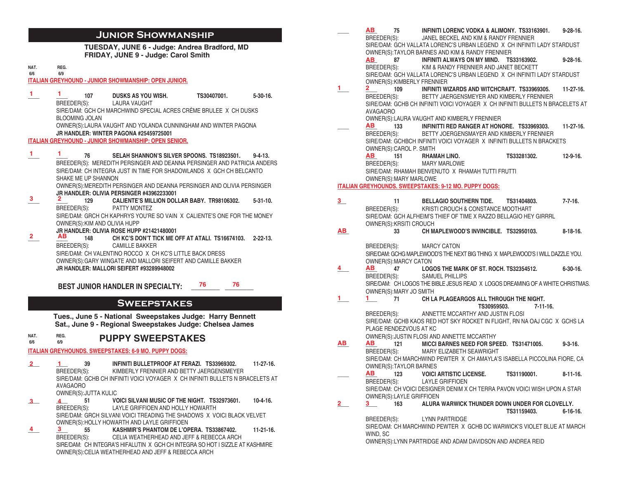## **Junior Showmanship**

 **TUESDAY, JUNE 6 - Judge: Andrea Bradford, MD FRIDAY, JUNE 9 - Judge: Carol Smith**

#### **NAT. REG. 6/6 6/9 ITALIAN GREYHOUND - JUNIOR SHOWMANSHIP: OPEN JUNIOR.**

**3 2**

**\_\_\_\_ \_\_\_\_ 107 DUSKS AS YOU WISH. TS30407001. 5-30-16.** BREEDER(S): LAURA VAUGHT SIRE/DAM: GCH CH MARCHWIND SPECIAL ACRES CRÈME BRULEE X CH DUSKS BLOOMING JOLAN OWNER(S):LAURA VAUGHT AND YOLANDA CUNNINGHAM AND WINTER PAGONA **JR HANDLER: WINTER PAGONA #25459725001 ITALIAN GREYHOUND - JUNIOR SHOWMANSHIP: OPEN SENIOR. \_\_\_\_ \_\_\_\_ 76 SELAH SHANNON'S SILVER SPOONS. TS18923501. 9-4-13. 1 1 1 1**

BREEDER(S): MEREDITH PERSINGER AND DEANNA PERSINGER AND PATRICIA ANDERS SIRE/DAM: CH INTEGRA JUST IN TIME FOR SHADOWLANDS X GCH CH BELCANTO SHAKE ME UP SHANNON

OWNER(S):MEREDITH PERSINGER AND DEANNA PERSINGER AND OLIVIA PERSINGER **JR HANDLER: OLIVIA PERSINGER #43962233001**

**\_\_\_\_ \_\_\_\_ 129 CALIENTE'S MILLION DOLLAR BABY. TR98106302. 5-31-10.** BREEDER(S): PATTY MONTEZ

SIRE/DAM: GRCH CH KAPHRYS YOU'RE SO VAIN X CALIENTE'S ONE FOR THE MONEY OWNER(S):KIM AND OLIVIA HUPP

**JR HANDLER: OLIVIA ROSE HUPP #21421480001 \_\_\_\_ \_\_\_\_ 148 CH KC'S DON'T TICK ME OFF AT ATALI. TS16674103. 2-22-13.** BREEDER(S): CAMILLE BAKKER SIRE/DAM: CH VALENTINO ROCCO X CH KC'S LITTLE BACK DRESS OWNER(S):GARY WINGATE AND MALLORI SEIFERT AND CAMILLE BAKKER **2 AB**

**JR HANDLER: MALLORI SEIFERT #93289948002**

**BEST JUNIOR HANDLER IN SPECIALTY: 76 76 76 76**

## **Sweepstakes**

**Tues., June 5 - National Sweepstakes Judge: Harry Bennett Sat., June 9 - Regional Sweepstakes Judge: Chelsea James** 

#### **NAT. REG. 6/6 6/9 PUPPY SWEEPSTAKES**

### **ITALIAN GREYHOUNDS. SWEEPSTAKES: 6-9 MO. PUPPY DOGS:**

**\_\_\_\_ \_\_\_\_ 39 INFINITI BULLETPROOF AT FERAZI. TS33969302. 11-27-16.** BREEDER(S): KIMBERLY FRENNIER AND BETTY JAERGENSMEYER SIRE/DAM: GCHB CH INFINITI VOICI VOYAGER X CH INFINITI BULLETS N BRACELETS AT AVAGAORO OWNER(S):JUTTA KULIC **2 1** 

**\_\_\_\_ \_\_\_\_ 51 VOICI SILVANI MUSIC OF THE NIGHT. TS32973601. 10-4-16.** LAYLE GRIFFIOEN AND HOLLY HOWARTH SIRE/DAM: GRCH SILVANI VOICI TREADING THE SHADOWS X VOICI BLACK VELVET OWNER(S):HOLLY HOWARTH AND LAYLE GRIFFIOEN<br>3 55 KASHMIR'S PHANTOM DE L'OR **3 4**

**\_\_\_\_ \_\_\_\_ 55 KASHMIR'S PHANTOM DE L'OPERA. TS33867402. 11-21-16.** CELIA WEATHERHEAD AND JEFF & REBECCA ARCH SIRE/DAM: CH INTEGRA'S HIFALUTIN X GCH CH INTEGRA SO HOT I SIZZLE AT KASHMIRE OWNER(S):CELIA WEATHERHEAD AND JEFF & REBECCA ARCH **4 3**

**\_\_\_\_ \_\_\_\_ 75 INFINITI LORENC VODKA & ALIMONY. TS33163901. 9-28-16.** JANEL BECKEL AND KIM & RANDY FRENNIER SIRE/DAM: GCH VALLATA LORENC'S URBAN LEGEND X CH INFINITI LADY STARDUST OWNER(S):TAYLOR BARNES AND KIM & RANDY FRENNIER **\_\_\_\_ 87 INFINITI ALWAYS ON MY MIND. TS33163902. 9-28-16.**  KIM & RANDY FRENNIER AND JANET BECKETT SIRE/DAM: GCH VALLATA LORENC'S URBAN LEGEND X CH INFINITI LADY STARDUST OWNER(S):KIMBERLY FRENNIER<br>2 109 INFINITI WI **\_\_\_\_ \_\_\_\_ 109 INFINITI WIZARDS AND WITCHCRAFT. TS33969305. 11-27-16.**  BETTY JAERGENSMEYER AND KIMBERLY FRENNIER SIRE/DAM: GCHB CH INFINITI VOICI VOYAGER X CH INFINITI BULLETS N BRACELETS AT AVAGAORO OWNER(S):LAURA VAUGHT AND KIMBERLY FRENNIER<br>AB 133 INFINITTI RED RANGER AT HON **\_\_\_\_ \_\_\_\_ 133 INFINITTI RED RANGER AT HONORE. TS33969303. 11-27-16.** BREEDER(S): BETTY JOERGENSMAYER AND KIMBERLY FRENNIER SIRE/DAM: GCHBCH INFINITI VOICI VOYAGER X INFINITI BULLETS N BRACKETS OWNER(S):CAROL P. SMITH **\_\_\_\_ 151 RHAMAH LINO. TS33281302. 12-9-16.** BREEDER(S): MARY MARLOWE SIRE/DAM: RHAMAH BENVENUTO X RHAMAH TUTTI FRUTTI OWNER(S):MARY MARLOWE **ITALIAN GREYHOUNDS. SWEEPSTAKES: 9-12 MO. PUPPY DOGS: \_\_\_ 11 BELLAGIO SOUTHERN TIDE. TS31404803. 7-7-16.** KRISTI CROUCH & CONSTANCE MOOTHART SIRE/DAM: GCH ALFHEIM'S THIEF OF TIME X RAZZO BELLAGIO HEY GIRRRL OWNER(S):KRSITI CROUCH<br>33 CH M **\_\_\_\_ 33 CH MAPLEWOOD'S INVINCIBLE. TS32950103. 8-18-16.** BREEDER(S): MARCY CATON SIRE/DAM: GCHG MAPLEWOOD'S THE NEXT BIG THING X MAPLEWOOD'S I WILL DAZZLE YOU. OWNER(S):MARCY CATON<br>AB 47 LOG **\_\_\_\_ \_\_\_\_ 47 LOGOS THE MARK OF ST. ROCH. TS32354512. 6-30-16.** SAMUEL PHILLIPS SIRE/DAM: CH LOGOS THE BIBLE JESUS READ X LOGOS DREAMING OF A WHITE CHRISTMAS. OWNER(S):MARY JO SMITH **\_\_\_\_ \_\_\_\_ 71 CH LA PLAGEARGOS ALL THROUGH THE NIGHT. TS30959503. 7-11-16.** BREEDER(S): ANNETTE MCCARTHY AND JUSTIN FLOSI SIRE/DAM: GCHB KAOS RED HOT SKY ROCKET IN FLIGHT, RN NA OAJ CGC X GCHS LA PLAGE RENDEZVOUS AT KC OWNER(S): JUSTIN FLOSI AND ANNETTE MCCARTHY<br>**AB** 121 MICCI BARNES NEED FOR SPI **\_\_\_\_ \_\_\_\_ 121 MICCI BARNES NEED FOR SPEED. TS31471005. 9-3-16.** MARY ELIZABETH SEAWRIGHT SIRE/DAM: CH MARCHWIND PEWTER X CH AMAYLA'S ISABELLA PICCOLINA FIORE, CA OWNER(S):TAYLOR BARNES **\_\_\_\_ \_\_\_\_ 123 VOICI ARTISTIC LICENSE. TS31190001. 8-11-16.** BREEDER(S): LAYLE GRIFFIOEN SIRE/DAM: CH VOICI DESIGNER DENIM X CH TERRA PAVON VOICI WISH UPON A STAR OWNER(S):LAYLE GRIFFIOEN<br>3 163 ALURA **\_\_\_\_ \_\_\_\_ 163 ALURA WARWICK THUNDER DOWN UNDER FOR CLOVELLY. TS31159403. 6-16-16.** BREEDER(S): LYNN PARTRIDGE SIRE/DAM: CH MARCHWIND PEWTER X GCHB DC WARWICK'S VIOLET BLUE AT MARCH WIND, SC OWNER(S):LYNN PARTRIDGE AND ADAM DAVIDSON AND ANDREA REID **AB AB**  $1<sup>2</sup>$ **AB AB 3 AB 4 AB 1 1 AB AB AB 2 3**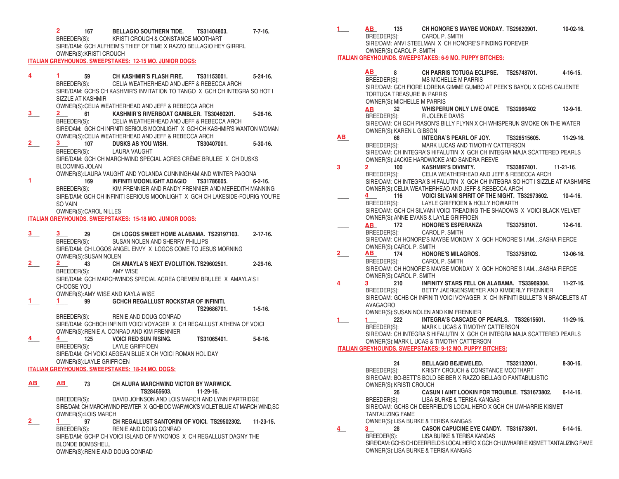**\_\_\_\_ 167 BELLAGIO SOUTHERN TIDE. TS31404803. 7-7-16.** BREEDER(S): KRISTI CROUCH & CONSTANCE MOOTHART SIRE/DAM: GCH ALFHEIM'S THIEF OF TIME X RAZZO BELLAGIO HEY GIRRRL OWNER(S):KRISTI CROUCH **ITALIAN GREYHOUNDS. SWEEPSTAKES: 12-15 MO. JUNIOR DOGS: \_\_\_\_ \_\_\_\_ 59 CH KASHMIR'S FLASH FIRE. TS31153001. 5-24-16.** BREEDER(S): CELIA WEATHERHEAD AND JEFF & REBECCA ARCH SIRE/DAM: GCHS CH KASHMIR'S INVITATION TO TANGO X GCH CH INTEGRA SO HOT I SIZZLE AT KASHMIR OWNER(S):CELIA WEATHERHEAD AND JEFF & REBECCA ARCH **\_\_\_\_ \_\_\_\_ 61 KASHMIR'S RIVERBOAT GAMBLER. TS30460201. 5-26-16.** BREEDER(S): CELIA WEATHERHEAD AND JEFF & REBECCA ARCH SIRE/DAM: GCH CH INFINITI SERIOUS MOONLIGHT X GCH CH KASHMIR'S WANTON WOMAN OWNER(S):CELIA WEATHERHEAD AND JEFF & REBECCA ARCH<br>3 107 **DUSKS AS YOU WISH.** TS3040 **\_\_\_\_ \_\_\_\_ 107 DUSKS AS YOU WISH. TS30407001. 5-30-16.** BREEDER(S): LAURA VAUGHT SIRE/DAM: GCH CH MARCHWIND SPECIAL ACRES CRÈME BRULEE X CH DUSKS BLOOMING JOLAN OWNER(S):LAURA VAUGHT AND YOLANDA CUNNINGHAM AND WINTER PAGONA **\_\_\_\_ 169 INFINITI MOONLIGHT ADAGIO TS31786605. 6-2-16.** BREEDER(S): KIM FRENNIER AND RANDY FRENNIER AND MEREDITH MANNING SIRE/DAM: GCH CH INFINITI SERIOUS MOONLIGHT X GCH CH LAKESIDE-FOURIG YOU'RE SO VAIN OWNER(S):CAROL NILLES **ITALIAN GREYHOUNDS. SWEEPSTAKES: 15-18 MO. JUNIOR DOGS: \_\_\_\_ \_\_\_\_ 29 CH LOGOS SWEET HOME ALABAMA. TS29197103. 2-17-16.** SUSAN NOLEN AND SHERRY PHILLIPS SIRE/DAM: CH LOGOS ANGEL ENVY X LOGOS COME TO JESUS MORNING OWNER(S):SUSAN NOLEN **\_\_\_\_ \_\_\_\_ 43 CH AMAYLA'S NEXT EVOLUTION. TS29602501. 2-29-16.** BREEDER(S): AMY WISE SIRE/DAM: GCH MARCHWINDS SPECIAL ACREA CREMEM BRULEE X AMAYLA'S I CHOOSE YOU OWNER(S):AMY WISE AND KAYLA WISE **\_\_\_\_ \_\_\_\_ 99 GCHCH REGALLUST ROCKSTAR OF INFINITI. TS29686701. 1-5-16. RENIE AND DOUG CONRAD TS29686701. 1-5-16.** BENIE AND DOUG CONRAD SIRE/DAM: GCHBCH INFINITI VOICI VOYAGER X CH REGALLUST ATHENA OF VOICI OWNER(S):RENIE A. CONRAD AND KIM FRENNIER **\_\_\_\_ \_\_\_\_ 125 VOICI RED SUN RISING. TS31065401. 5-6-16.** BREEDER(S): LAYLE GRIFFIOEN SIRE/DAM: CH VOICI AEGEAN BLUE X CH VOICI ROMAN HOLIDAY OWNER(S):LAYLE GRIFFIOEN **ITALIAN GREYHOUNDS. SWEEPSTAKES: 18-24 MO. DOGS: \_\_\_\_ \_\_\_\_ 73 CH ALURA MARCHWIND VICTOR BY WARWICK. TS28465603. 11-29-16.** BREEDER(S): DAVID JOHNSON AND LOIS MARCH AND LYNN PARTRIDGE SIRE/DAM: CH MARCHWIND PEWTER X GCHB DC WARWICK'S VIOLET BLUE AT MARCH WIND,SC OWNER(S):LOIS MARCH **\_\_\_\_ \_\_\_\_\_ 97 CH REGALLUST SANTORINI OF VOICI. TS29502302. 11-23-15.** RENIE AND DOUG CONRAD SIRE/DAM: GCHP CH VOICI ISLAND OF MYKONOS X CH REGALLUST DAGNY THE BLONDE BOMBSHELL **2**  $4$   $3$   $2$ **2 3 1 3 3 2 2 1 1 4 4 AB AB 2 1**

OWNER(S):RENIE AND DOUG CONRAD

**\_\_\_\_ \_\_\_\_ 135 CH HONORE'S MAYBE MONDAY. TS29620901. 10-02-16.** CAROL P. SMITH SIRE/DAM: ANVI STEELMAN X CH HONORE'S FINDING FOREVER OWNER(S):CAROL P. SMITH **ITALIAN GREYHOUNDS. SWEEPSTAKES: 6-9 MO. PUPPY BITCHES: \_\_\_\_ 8 CH PARRIS TOTUGA ECLIPSE. TS25748701. 4-16-15.** BREEDER(S): MS MICHELLE M PARRIS SIRE/DAM: GCH FIORE LORENA GIMME GUMBO AT PEEK'S BAYOU X GCHS CALIENTE TORTUGA TREASURE IN PARRIS OWNER(S):MICHELLE M PARRIS<br>AB 32 WHISPER **\_\_\_ 32 WHISPERUN ONLY LIVE ONCE. TS32966402 12-9-16. B** JOLENE DAVIS SIRE/DAM: CH GCH PIASON'S BILLY FLYNN X CH WHISPERUN SMOKE ON THE WATER OWNER(S):KAREN L GIBSON **\_\_\_\_ 66 INTEGRA'S PEARL OF JOY. TS326515605. 11-29-16.** MARK LUCAS AND TIMOTHY CATTERSON SIRE/DAM: CH INTEGRA'S HIFALUTIN X GCH CH INTEGRA MAJA SCATTERED PEARLS OWNER(S):JACKIE HARDWICKE AND SANDRA REEVE **\_\_\_\_ \_\_\_\_ 100 KASHMIR'S DIVINITY. TS33867401. 11-21-16**. CELIA WEATHERHEAD AND JEFF & REBECCA ARCH SIRE/DAM: CH INTEGRA'S HIFALUTIN X GCH CH INTEGRA SO HOT I SIZZLE AT KASHMIRE OWNER(S):CELIA WEATHERHEAD AND JEFF & REBECCA ARCH **\_\_\_\_ \_\_\_\_ 116 VOICI SILVANI SPIRIT OF THE NIGHT. TS32973602. 10-4-16.**  LAYLE GRIFFIOEN & HOLLY HOWARTH SIRE/DAM: GCH CH SILVANI VOICI TREADING THE SHADOWS X VOICI BLACK VELVET OWNER(S): ANNE EVANS & LAYLE GRIFFIOEN<br>AB 172 HONORE'S ESPERANZA **\_\_\_\_ \_\_\_\_ 172 HONORE'S ESPERANZA TS33758101. 12-6-16.**  CAROL P. SMITH SIRE/DAM: CH HONORE'S MAYBE MONDAY X GCH HONORE'S I AM…SASHA FIERCE OWNER(S):CAROL P. SMITH **\_\_\_\_ \_\_\_\_ 174 HONORE'S MILAGROS. TS33758102. 12-06-16.**  CAROL P. SMITH SIRE/DAM: CH HONORE'S MAYBE MONDAY X GCH HONORE'S I AM…SASHA FIERCE OWNER(S):CAROL P. SMITH **\_\_\_\_ \_\_\_\_ 210 INFINITY STARS FELL ON ALABAMA. TS33969304. 11-27-16.**  BETTY JAERGENSMEYER AND KIMBERLY FRENNIER SIRE/DAM: GCHB CH INFINITI VOICI VOYAGER X CH INFINITI BULLETS N BRACELETS AT AVAGAORO OWNER(S):SUSAN NOLEN AND KIM FRENNIER<br>1 222 INTEGRA'S CASCADE OI **\_\_\_\_ \_\_\_\_ 222 INTEGRA'S CASCADE OF PEARLS. TS32615601. 11-29-16.** MARK L UCAS & TIMOTHY CATTERSON SIRE/DAM: CH INTEGRA'S HIFALUTIN X GCH CH INTEGRA MAJA SCATTERED PEARLS OWNER(S):MARK L UCAS & TIMOTHY CATTERSON **ITALIAN GREYHOUNDS. SWEEPSTAKES: 9-12 MO. PUPPY BITCHES: \_\_\_ 24 BELLAGIO BEJEWELED. TS32132001. 8-30-16.** KRISTY CROUCH & CONSTANCE MOOTHART SIRE/DAM: BO-BETT'S BOLD BEIBER X RAZZO BELLAGIO FANTABULISTIC OWNER(S):KRISTI CROUCH<br>26 CASU **\_\_\_ \_\_\_ 26 CASUN I AINT LOOKIN FOR TROUBLE. TS31673802. 6-14-16.** LISA BURKE & TERISA KANGAS SIRE/DAM: GCHS CH DEERFIELD'S LOCAL HERO X GCH CH UWHARRIE KISMET TANTALIZING FAME OWNER(S):LISA BURKE & TERISA KANGAS **\_\_\_ \_\_\_ 28 CASON CAPUCINE EYE CANDY. TS31673801. 6-14-16.** LISA BURKE & TERISA KANGAS SIRE/DAM: GCHS CH DEERFIELD'S LOCAL HERO X GCH CH UWHARRIE KISMET TANTALIZING FAME OWNER(S):LISA BURKE & TERISA KANGAS **1 AB AB AB AB 3 2 4 AB 2 AB 4 3 1 1 4 3**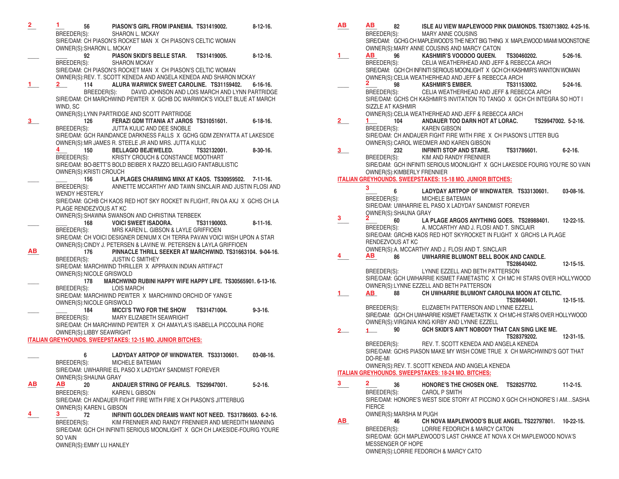**\_\_\_ \_\_\_ 56 PIASON'S GIRL FROM IPANEMA. TS31419002. 8-12-16.** SHARON L. MCKAY SIRE/DAM: CH PIASON'S ROCKET MAN X CH PIASON'S CELTIC WOMAN OWNER(S): SHARON L. MCKAY<br>92 PIASON **\_\_\_\_ \_\_\_\_ 92 PIASON SKIDI'S BELLE STAR. TS31419005. 8-12-16.** BREEDER(S): SHARON MCKAY SIRE/DAM: CH PIASON'S ROCKET MAN X CH PIASON'S CELTIC WOMAN OWNER(S):REV. T. SCOTT KENEDA AND ANGELA KENEDA AND SHARON MCKAY **\_\_\_\_ \_\_\_\_ 114 ALURA WARWICK SWEET CAROLINE. TS31159402. 6-16-16.** BREEDER(S): DAVID JOHNSON AND LOIS MARCH AND LYNN PARTRIDGE SIRE/DAM: CH MARCHWIND PEWTER X GCHB DC WARWICK'S VIOLET BLUE AT MARCH WIND, SC OWNER(S):LYNN PARTRIDGE AND SCOTT PARTRIDGE **\_\_\_\_ 126 FERAZI GDM TITANIA AT JAROS TS31051601. 6-18-16.** BREEDER(S): JUTTA KULIC AND DEE SNOBLE SIRE/DAM: GCH RAINDANCE DARKNESS FALLS X GCHG GDM ZENYATTA AT LAKESIDE OWNER(S):MR JAMES R. STEELE JR AND MRS. JUTTA KULIC<br>4 150 BELLAGIO BEJEWELED. **\_\_\_\_ 150 BELLAGIO BEJEWELED. TS32132001. 8-30-16.** KRISTY CROUCH & CONSTANCE MOOTHART SIRE/DAM: BO-BETT'S BOLD BEIBER X RAZZO BELLAGIO FANTABULISTIC OWNER(S):KRISTI CROUCH<br>156 | A PI **\_\_\_\_ \_\_\_\_ 156 LA PLAGES CHARMING MINX AT KAOS. TS30959502. 7-11-16.** ANNETTE MCCARTHY AND TAWN SINCLAIR AND JUSTIN FLOSI AND WENDY HESTERLY SIRE/DAM: GCHB CH KAOS RED HOT SKY ROCKET IN FLIGHT, RN OA AXJ X GCHS CH LA PLAGE RENDEZVOUS AT KC OWNER(S):SHAWNA SWANSON AND CHRISTINA TERBEEK **\_\_\_\_ \_\_\_\_ 168 VOICI SWEET ISADORA. TS31190003. 8-11-16.** MRS KAREN L. GIBSON & LAYLE GRIFFIOEN SIRE/DAM: CH VOICI DESIGNER DENIUM X CH TERRA PAVAN VOICI WISH UPON A STAR OWNER(S):CINDY J. PETERSEN & LAVINE W. PETERSEN & LAYLA GRIFFIOEN **\_\_\_\_ 176 PINNACLE THRILL SEEKER AT MARCHWIND. TS31663104. 9-04-16.** BREEDER(S): JUSTIN C SMITHEY SIRE/DAM: MARCHWIND THRILLER X APPRAXIN INDIAN ARTIFACT OWNER(S):NICOLE GRISWOLD **178 MARCHWIND RUBINI HAPPY WIFE HAPPY LIFE. TS30565901. 6-13-16.**<br>S): LOIS MARCH BREEDER(S): SIRE/DAM: MARCHWIND PEWTER X MARCHWIND ORCHID OF YANG'E OWNER(S):NICOLE GRISWOLD **\_\_\_\_ \_\_\_\_ 184 MICCI'S TWO FOR THE SHOW TS31471004. 9-3-16.** BREEDER(S): MARY ELIZABETH SEAWRIGHT SIRE/DAM: CH MARCHWIND PEWTER X CH AMAYLA'S ISABELLA PICCOLINA FIORE OWNER(S):LIBBY SEAWRIGHT **ITALIAN GREYHOUNDS. SWEEPSTAKES: 12-15 MO. JUNIOR BITCHES: \_\_\_\_ 6 LADYDAY ARTPOP OF WINDWATER. TS33130601. 03-08-16.** BREEDER(S): MICHELE BATEMAN SIRE/DAM: UWHARRIE EL PASO X LADYDAY SANDMIST FOREVER OWNER(S):SHAUNA GRAY **\_\_\_ \_\_\_ 20 ANDAUER STRING OF PEARLS. TS29947001. 5-2-16.** BREEDER(S): KAREN L GIBSON SIRE/DAM: CH ANDAUER FIGHT FIRE WITH FIRE X CH PIASON'S JITTERBUG OWNER(S) KAREN L GIBSON **\_\_\_\_ \_\_\_\_ 72 INFINITI GOLDEN DREAMS WANT NOT NEED. TS31786603. 6-2-16.** BREEDER(S): KIM FRENNIER AND RANDY FRENNIER AND MEREDITH MANNING SIRE/DAM: GCH CH INFINITI SERIOUS MOONLIGHT X GCH CH LAKESIDE-FOURIG YOURE SO VAIN OWNER(S):EMMY LU HANLEY **2 1 1 2 3 4 AB AB AB 4 3**

**\_\_\_\_ \_\_\_\_ 82 ISLE AU VIEW MAPLEWOOD PINK DIAMONDS. TS30713802. 4-25-16.** MARY ANNE COUSINS SIRE/DAM: GCHG CH MAPLEWOOD'S THE NEXT BIG THING X MAPLEWOOD MIAMI MOONSTONE OWNER(S):MARY ANNE COUSINS AND MARCY CATON<br>AB 96 KASHMIR'S VOODOO QUEEN. **\_\_\_\_ \_\_\_\_ 96 KASHMIR'S VOODOO QUEEN. TS30460202. 5-26-16.** CELIA WEATHERHEAD AND JEFF & REBECCA ARCH SIRE/DAM: GCH CH INFINITI SERIOUS MOONLIGHT X GCH CH KASHMIR'S WANTON WOMAN OWNER(S):CELIA WEATHERHEAD AND JEFF & REBECCA ARCH<br>2 98 KASHMIR'S FMBFR **2 12 1331 <b>98 KASHMIR'S EMBER.** TS31153002. 5-24-16.<br>BREEDER(S): CELIA WEATHERHEAD AND JEFF & REBECCA ARCH CELIA WEATHERHEAD AND JEFF & REBECCA ARCH SIRE/DAM: GCHS CH KASHMIR'S INVITATION TO TANGO X GCH CH INTEGRA SO HOT I SIZZLE AT KASHMIR OWNER(S):CELIA WEATHERHEAD AND JEFF & REBECCA ARCH<br>1 104 **ANDAUER TOO DARN HOT AT LORAC. \_\_\_\_ \_\_\_\_ 104 ANDAUER TOO DARN HOT AT LORAC. TS29947002. 5-2-16.** BREEDER(S): KAREN GIBSON SIRE/DAM: CH ANDAUER FIGHT FIRE WITH FIRE X CH PIASON'S LITTER BUG OWNER(S):CAROL WIEDMER AND KAREN GIBSON<br>232 INFINITI STOP AND STARE. **\_\_\_\_ 232 INFINITI STOP AND STARE. TS31786601. 6-2-16.**  KIM AND RANDY FRENNIER SIRE/DAM: GCH INFINITI SERIOUS MOONLIGHT X GCH LAKESIDE FOURIG YOU'RE SO VAIN OWNER(S):KIMBERLY FRENNIER **ITALIAN GREYHOUNDS. SWEEPSTAKES: 15-18 MO. JUNIOR BITCHES: \_\_\_\_ 6 LADYDAY ARTPOP OF WINDWATER. TS33130601. 03-08-16.** MICHELE BATEMAN SIRE/DAM: UWHARRIE EL PASO X LADYDAY SANDMIST FOREVER OWNER(S):SHAUNA GRAY **\_\_\_\_ \_\_\_\_ 60 LA PLAGE ARGOS ANYTHING GOES. TS28988401. 12-22-15.** BREEDER(S): A. MCCARTHY AND J. FLOSI AND T. SINCLAIR SIRE/DAM: GRCHB KAOS RED HOT SKYROCKET IN FLIGHT X GRCHS LA PLAGE RENDEZVOUS AT KC OWNER(S):A. MCCARTHY AND J. FLOSI AND T. SINCLAIR<br>AB 86 UWHARRIF BLUMONT BELL BOOK **\_\_\_\_ \_\_\_\_ 86 UWHARRIE BLUMONT BELL BOOK AND CANDLE. TS28640402. 12-15-15.** BREEDER(S): LYNNE EZZELL AND BETH PATTERSON SIRE/DAM: GCH UWHARRIE KISMET FAMETASTIC X CH MC HI STARS OVER HOLLYWOOD OWNER(S):LYNNE EZZELL AND BETH PATTERSON<br>AB 88 CH UWHARRIE BLUMONT CA **\_\_\_\_ \_\_\_\_ 88 CH UWHARRIE BLUMONT CAROLINA MOON AT CELTIC. TS28640401. 12-15-15. 12-15-15. RIFEDER(S): 12-15-15. 12-15-15. 12-15-15.** ELIZABETH PATTERSON AND LYNNE EZZELL SIRE/DAM: GCH CH UWHARRIE KISMET FAMETASTIK X CH MC-HI STARS OVER HOLLYWOOD OWNER(S): VIRGINIA KING KIRBY AND LYNNE EZZELL<br>1900 GCH SKIDI'S AIN'T NORODY TH **\_\_\_\_ \_\_\_\_ 90 GCH SKIDI'S AIN'T NOBODY THAT CAN SING LIKE ME. TS28379202. 12-31-15. 12-31-15. REEDER(S): 12-31-15. REV. T. SCOTT KENEDA AND ANGELA KENEDA** REV. T. SCOTT KENEDA AND ANGELA KENEDA SIRE/DAM: GCHS PIASON MAKE MY WISH COME TRUE X CH MARCHWIND'S GOT THAT DO-RE-MI OWNER(S):REV. T. SCOTT KENEDA AND ANGELA KENEDA **ITALIAN GREYHOUNDS. SWEEPSTAKES: 18-24 MO. BITCHES: \_\_\_\_ \_\_\_\_ 36 HONORE'S THE CHOSEN ONE. TS28257702. 11-2-15.** CAROL P SMITH SIRE/DAM: HONORE'S WEST SIDE STORY AT PICCINO X GCH CH HONORE'S I AM…SASHA FIERCE OWNER(S):MARSHA M PUGH **\_\_\_\_ 46 CH NOVA MAPLEWOOD'S BLUE ANGEL. TS22797801. 10-22-15.** BREEDER(S): LORRIE FEDORICH & MARCY CATON SIRE/DAM: GCH MAPLEWOOD'S LAST CHANCE AT NOVA X CH MAPLEWOOD NOVA'S MESSENGER OF HOPE **AB AB**  $1$ **2**  $2 \quad -$ **3 3 3 2**  $4$ **1 AB 2 1 3 2 AB**

OWNER(S):LORRIE FEDORICH & MARCY CATO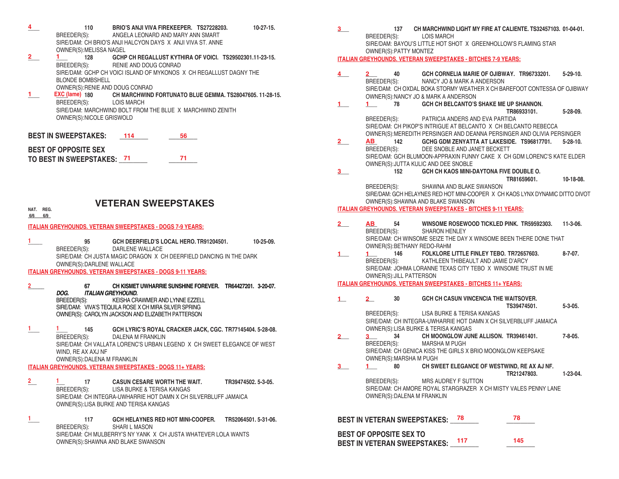| $\overline{4}$           | 110<br>10-27-15.<br>BRIO'S ANJI VIVA FIREKEEPER. TS27228203.<br>BREEDER(S):<br>ANGELA LEONARD AND MARY ANN SMART<br>SIRE/DAM: CH BRIO'S ANJI HALCYON DAYS X ANJI VIVA ST. ANNE<br>OWNER(S): MELISSA NAGEL                                  | CH MARCHWIND LIGHT MY FIRE AT CALIENTE, TS32457103, 01-04-01.<br>137<br>BREEDER(S):<br><b>LOIS MARCH</b><br>SIRE/DAM: BAYOU'S LITTLE HOT SHOT X GREENHOLLOW'S FLAMING STAR<br>OWNER(S): PATTY MONTEZ          |
|--------------------------|--------------------------------------------------------------------------------------------------------------------------------------------------------------------------------------------------------------------------------------------|---------------------------------------------------------------------------------------------------------------------------------------------------------------------------------------------------------------|
| 2                        | 128<br>GCHP CH REGALLUST KYTHIRA OF VOICI. TS29502301.11-23-15.                                                                                                                                                                            | <b>ITALIAN GREYHOUNDS. VETERAN SWEEPSTAKES - BITCHES 7-9 YEARS:</b>                                                                                                                                           |
|                          | BREEDER(S):<br>RENIE AND DOUG CONRAD<br>SIRE/DAM: GCHP CH VOICI ISLAND OF MYKONOS X CH REGALLUST DAGNY THE<br><b>BLONDE BOMBSHELL</b><br>OWNER(S): RENIE AND DOUG CONRAD                                                                   | $\frac{4}{ }$<br>$5-29-10.$<br>2<br>40<br>GCH CORNELIA MARIE OF OJIBWAY. TR96733201.<br>BREEDER(S):<br>NANCY JO & MARK A ANDERSON<br>SIRE/DAM: CH OXDAL BOKA STORMY WEATHER X CH BAREFOOT CONTESSA OF OJIBWAY |
| $1$ <sub>—</sub>         | $EXC$ (lame) $180$<br>CH MARCHWIND FORTUNATO BLUE GEMMA. TS28047605. 11-28-15.<br>BREEDER(S):<br><b>LOIS MARCH</b>                                                                                                                         | OWNER(S):NANCY JO & MARK A ANDERSON<br>GCH CH BELCANTO'S SHAKE ME UP SHANNON.                                                                                                                                 |
|                          | SIRE/DAM: MARCHWIND BOLT FROM THE BLUE X MARCHWIND ZENITH<br>OWNER(S): NICOLE GRISWOLD                                                                                                                                                     | $1 \t 78$<br>5-28-09.<br>TR86933101.<br>BREEDER(S):<br>PATRICIA ANDERS AND EVA PARTIDA                                                                                                                        |
|                          | <b>BEST IN SWEEPSTAKES:</b><br>114<br>56                                                                                                                                                                                                   | SIRE/DAM: CH PIKOP'S INTRIGUE AT BELCANTO X CH BELCANTO REBECCA<br>OWNER(S): MEREDITH PERSINGER AND DEANNA PERSINGER AND OLIVIA PERSINGER                                                                     |
|                          | <b>BEST OF OPPOSITE SEX</b>                                                                                                                                                                                                                | 2<br>AB<br>142<br>GCHG GDM ZENYATTA AT LAKESIDE. TS96817701.<br>$5 - 28 - 10.$<br>BREEDER(S):<br>DEE SNOBLE AND JANET BECKETT<br>SIRE/DAM: GCH BLUMOON-APPRAXIN FUNNY CAKE X CH GDM LORENC'S KATE ELDER       |
|                          | $\frac{1}{2}$ 71<br>TO BEST IN SWEEPSTAKES: 71                                                                                                                                                                                             | OWNER(S): JUTTA KULIC AND DEE SNOBLE                                                                                                                                                                          |
|                          |                                                                                                                                                                                                                                            | 3<br>GCH CH KAOS MINI-DAYTONA FIVE DOUBLE O.<br>152<br>TR81659601.<br>10-18-08.                                                                                                                               |
|                          |                                                                                                                                                                                                                                            | BREEDER(S):<br>SHAWNA AND BLAKE SWANSON<br>SIRE/DAM: GCH HELAYNES RED HOT MINI-COOPER X CH KAOS LYNX DYNAMIC DITTO DIVC<br>OWNER(S): SHAWNA AND BLAKE SWANSON                                                 |
| NAT. REG.<br>$6/6$ $6/9$ | <b>VETERAN SWEEPSTAKES</b>                                                                                                                                                                                                                 | <b>ITALIAN GREYHOUNDS. VETERAN SWEEPSTAKES - BITCHES 9-11 YEARS:</b>                                                                                                                                          |
|                          | <b>ITALIAN GREYHOUNDS. VETERAN SWEEPSTAKES - DOGS 7-9 YEARS:</b>                                                                                                                                                                           | $2 \qquad \qquad$<br><b>AB</b><br>WINSOME ROSEWOOD TICKLED PINK. TR59592303.<br>11-3-06.<br>54                                                                                                                |
| $1 -$                    | GCH DEERFIELD'S LOCAL HERO. TR91204501.<br>$10 - 25 - 09$ .<br>95                                                                                                                                                                          | BREEDER(S):<br>SHARON HENLEY<br>SIRE/DAM: CH WINSOME SEIZE THE DAY X WINSOME BEEN THERE DONE THAT<br>OWNER(S): BETHANY REDO-RAHM                                                                              |
|                          | DARLENE WALLACE<br>BREEDER(S):<br>SIRE/DAM: CH JUSTA MAGIC DRAGON X CH DEERFIELD DANCING IN THE DARK<br>OWNER(S): DARLENE WALLACE                                                                                                          | FOLKLORE LITTLE FINLEY TEBO. TR72657603.<br>$8 - 7 - 07$ .<br>146<br>1<br>BREEDER(S):<br>KATHLEEN THIBEAULT AND JAMIE D'ARCY<br>SIRE/DAM: JOHMA LORANNE TEXAS CITY TEBO X WINSOME TRUST IN ME                 |
|                          | <b>ITALIAN GREYHOUNDS. VETERAN SWEEPSTAKES - DOGS 9-11 YEARS:</b>                                                                                                                                                                          | OWNER(S): JILL PATTERSON<br><b>ITALIAN GREYHOUNDS. VETERAN SWEEPSTAKES - BITCHES 11+ YEARS:</b>                                                                                                               |
|                          | CH KISMET UWHARRIE SUNSHINE FOREVER. TR64427201. 3-20-07.<br>67<br>DOG.<br><b>ITALIAN GREYHOUND.</b>                                                                                                                                       |                                                                                                                                                                                                               |
|                          | BREEDER(S):<br>KEISHA CRAWMER AND LYNNE EZZELL<br>SIRE/DAM: VIVA'S TEQUILA ROSE X CH MIRA SILVER SPRING                                                                                                                                    | 1<br>30<br>2<br>GCH CH CASUN VINCENCIA THE WAITSOVER.<br>TS39474501.<br>$5 - 3 - 05$ .                                                                                                                        |
|                          | OWNER(S): CAROLYN JACKSON AND ELIZABETH PATTERSON                                                                                                                                                                                          | BREEDER(S):<br>LISA BURKE & TERISA KANGAS<br>SIRE/DAM: CH INTEGRA-UWHARRIE HOT DAMN X CH SILVERBLUFF JAMAICA                                                                                                  |
|                          | $1 -$<br>GCH LYRIC'S ROYAL CRACKER JACK, CGC. TR77145404. 5-28-08.<br>145<br>BREEDER(S):<br>DALENA M FRANKLIN                                                                                                                              | OWNER(S): LISA BURKE & TERISA KANGAS<br>34<br>CH MOONGLOW JUNE ALLISON. TR39461401.<br>$7 - 8 - 05$ .<br>3 <sup>1</sup><br>2                                                                                  |
|                          | SIRE/DAM: CH VALLATA LORENC'S URBAN LEGEND X CH SWEET ELEGANCE OF WEST<br>WIND, RE AX AXJ NF                                                                                                                                               | BREEDER(S):<br>MARSHA M PUGH<br>SIRE/DAM: CH GENICA KISS THE GIRLS X BRIO MOONGLOW KEEPSAKE                                                                                                                   |
|                          | OWNER(S): DALENA M FRANKLIN                                                                                                                                                                                                                | OWNER(S): MARSHA M PUGH<br>80                                                                                                                                                                                 |
|                          | <b>ITALIAN GREYHOUNDS. VETERAN SWEEPSTAKES - DOGS 11+ YEARS:</b>                                                                                                                                                                           | CH SWEET ELEGANCE OF WESTWIND, RE AX AJ NF.<br>3<br>$1 \leq \cdots$<br>1-23-04.<br>TR21247803.                                                                                                                |
| $\mathbf{2}$             | $\mathbf{1}$<br><b>CASUN CESARE WORTH THE WAIT.</b><br>17<br>TR39474502.5--3-05.<br>BREEDER(S):<br>LISA BURKE & TERISA KANGAS<br>SIRE/DAM: CH INTEGRA-UWHARRIE HOT DAMN X CH SILVERBLUFF JAMAICA<br>OWNER(S): LISA BURKE AND TERISA KANGAS | BREEDER(S):<br>MRS AUDREY F SUTTON<br>SIRE/DAM: CH AMORE ROYAL STARGRAZER X CH MISTY VALES PENNY LANE<br>OWNER(S): DALENA M FRANKLIN                                                                          |
| 1.                       | GCH HELAYNES RED HOT MINI-COOPER. TR52064501. 5-31-06.<br>117<br>BREEDER(S):<br><b>SHARI L MASON</b>                                                                                                                                       | 78<br>BEST IN VETERAN SWEEPSTAKES: 78                                                                                                                                                                         |
|                          | SIRE/DAM: CH MULBERRY'S NY YANK X CH JUSTA WHATEVER LOLA WANTS<br>OWNER(S): SHAWNA AND BLAKE SWANSON                                                                                                                                       | <b>BEST OF OPPOSITE SEX TO</b><br>145<br><b>BEST IN VETERAN SWEEPSTAKES: 117</b>                                                                                                                              |

|              |             |                          | SIRE/DAM: CH OXDAL BOKA STORMY WEATHER X CH BAREFOOT CONTESSA OF OJIBWAY<br>OWNER(S): NANCY JO & MARK A ANDERSON |                |
|--------------|-------------|--------------------------|------------------------------------------------------------------------------------------------------------------|----------------|
|              | $1 \quad$   | 78 -                     | GCH CH BELCANTO'S SHAKE ME UP SHANNON.                                                                           |                |
|              |             |                          | TR86933101.                                                                                                      | $5-28-09.$     |
|              |             |                          | BREEDER(S): PATRICIA ANDERS AND EVA PARTIDA                                                                      |                |
|              |             |                          | SIRE/DAM: CH PIKOP'S INTRIGUE AT BELCANTO X CH BELCANTO REBECCA                                                  |                |
|              |             |                          | OWNER(S): MEREDITH PERSINGER AND DEANNA PERSINGER AND OLIVIA PERSINGER                                           |                |
|              | <b>AB</b>   | 142                      | GCHG GDM ZENYATTA AT LAKESIDE. TS96817701.                                                                       | $5-28-10$ .    |
|              | BREEDER(S): |                          | DEE SNOBLE AND JANET BECKETT                                                                                     |                |
|              |             |                          | SIRE/DAM: GCH BLUMOON-APPRAXIN FUNNY CAKE X CH GDM LORENC'S KATE ELDER                                           |                |
|              |             |                          | OWNER(S): JUTTA KULIC AND DEE SNOBLE                                                                             |                |
|              |             | 152                      | GCH CH KAOS MINI-DAYTONA FIVE DOUBLE O.                                                                          |                |
|              |             |                          | TR81659601.                                                                                                      | $10-18-08.$    |
|              |             |                          | BREEDER(S): SHAWNA AND BLAKE SWANSON                                                                             |                |
|              |             |                          | SIRE/DAM: GCH HELAYNES RED HOT MINI-COOPER X CH KAOS LYNX DYNAMIC DITTO DIVOT                                    |                |
|              |             |                          | OWNER(S): SHAWNA AND BLAKE SWANSON                                                                               |                |
|              |             |                          | <b>ITALIAN GREYHOUNDS. VETERAN SWEEPSTAKES - BITCHES 9-11 YEARS:</b>                                             |                |
|              |             |                          |                                                                                                                  |                |
| $\mathbf{2}$ | <b>AB</b>   | 54                       | WINSOME ROSEWOOD TICKLED PINK. TR59592303. 11-3-06.                                                              |                |
|              | BREEDER(S): |                          | SHARON HENLEY                                                                                                    |                |
|              |             |                          | SIRE/DAM: CH WINSOME SEIZE THE DAY X WINSOME BEEN THERE DONE THAT                                                |                |
|              |             |                          | OWNER(S): BETHANY REDO-RAHM                                                                                      | $8 - 7 - 07$ . |
|              | 1.          |                          | 146 FOLKLORE LITTLE FINLEY TEBO. TR72657603.<br>BREEDER(S): KATHLEEN THIBEAULT AND JAMIE D'ARCY                  |                |
|              |             |                          | SIRE/DAM: JOHMA LORANNE TEXAS CITY TEBO X WINSOME TRUST IN ME                                                    |                |
|              |             | OWNER(S): JILL PATTERSON |                                                                                                                  |                |
|              |             |                          | <b>ITALIAN GREYHOUNDS. VETERAN SWEEPSTAKES - BITCHES 11+ YEARS:</b>                                              |                |
|              |             |                          |                                                                                                                  |                |
| 1.           | $2 -$       | 30 <sup>1</sup>          | GCH CH CASUN VINCENCIA THE WAITSOVER.                                                                            |                |
|              |             |                          | TS39474501.                                                                                                      | $5 - 3 - 05$ . |
|              | BREEDER(S): |                          | LISA BURKE & TERISA KANGAS                                                                                       |                |
|              |             |                          | SIRE/DAM: CH INTEGRA-UWHARRIE HOT DAMN X CH SILVERBLUFF JAMAICA                                                  |                |
|              |             |                          | OWNER(S): LISA BURKE & TERISA KANGAS                                                                             |                |
|              | $3^{\circ}$ |                          | 34 CH MOONGLOW JUNE ALLISON. TR39461401.                                                                         | $7 - 8 - 05$ . |
|              | BREEDER(S): |                          | MARSHA M PUGH                                                                                                    |                |
|              |             |                          | SIRE/DAM: CH GENICA KISS THE GIRLS X BRIO MOONGLOW KEEPSAKE                                                      |                |
|              |             | OWNER(S): MARSHA M PUGH  |                                                                                                                  |                |
| 3            | 1 $\sim$    |                          | 80 CH SWEET ELEGANCE OF WESTWIND, RE AX AJ NF.                                                                   |                |
|              |             |                          | TR21247803.                                                                                                      | $1-23-04.$     |
|              |             |                          | BREEDER(S): MRS AUDREY F SUTTON                                                                                  |                |
|              |             |                          | SIRE/DAM: CH AMORE ROYAL STARGRAZER X CH MISTY VALES PENNY LANE                                                  |                |
|              |             |                          | OWNER(S):DAI ENA M FRANKI IN                                                                                     |                |

| <b>BEST IN VETERAN SWEEPSTAKES:</b>                                   |     | 78  |
|-----------------------------------------------------------------------|-----|-----|
| <b>BEST OF OPPOSITE SEX TO</b><br><b>BEST IN VETERAN SWEEPSTAKES:</b> | 117 | 145 |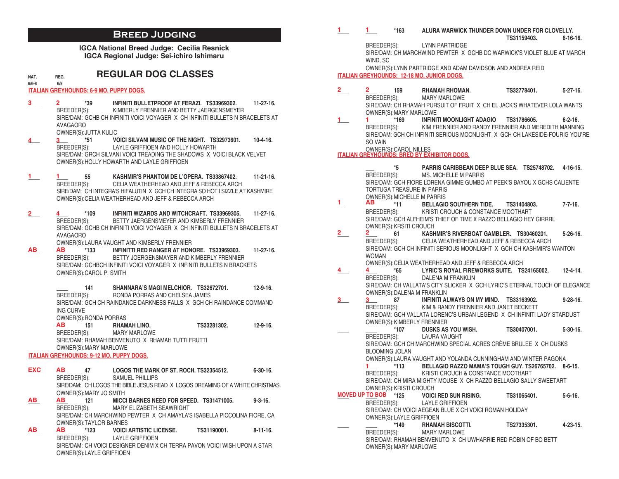### **Breed Judging**

**IGCA National Breed Judge: Cecilia Resnick IGCA Regional Judge: Sei-ichiro Ishimaru** 

#### **REGULAR DOG CLASSES NAT. REG.**<br>6/6-8 6/9

**6/6-8 6/9** 

### **ITALIAN GREYHOUNDS: 6-9 MO. PUPPY DOGS.**

- **\_\_\_\_ \_\_\_\_ \*39 INFINITI BULLETPROOF AT FERAZI. TS33969302. 11-27-16.** BREEDER(S): KIMBERLY FRENNIER AND BETTY JAERGENSMEYER SIRE/DAM: GCHB CH INFINITI VOICI VOYAGER X CH INFINITI BULLETS N BRACELETS AT AVAGAORO **3 2**
- OWNER(S): JUTTA KULIC **\_\_\_\_ \_\_\_\_ \*51 VOICI SILVANI MUSIC OF THE NIGHT. TS32973601. 10-4-16.** BREEDER(S): LAYLE GRIFFIOEN AND HOLLY HOWARTH SIRE/DAM: GRCH SILVANI VOICI TREADING THE SHADOWS X VOICI BLACK VELVET OWNER(S):HOLLY HOWARTH AND LAYLE GRIFFIOEN **4 3**
- **\_\_\_\_ \_\_\_\_ 55 KASHMIR'S PHANTOM DE L'OPERA. TS33867402. 11-21-16.** BREEDER(S): CELIA WEATHERHEAD AND JEFF & REBECCA ARCH SIRE/DAM: CH INTEGRA'S HIFALUTIN X GCH CH INTEGRA SO HOT I SIZZLE AT KASHMIRE OWNER(S):CELIA WEATHERHEAD AND JEFF & REBECCA ARCH **1 1**
- **\_\_\_\_ \_\_\_\_ \*109 INFINITI WIZARDS AND WITCHCRAFT. TS33969305. 11-27-16.**  BREEDER(S): BETTY JAERGENSMEYER AND KIMBERLY FRENNIER SIRE/DAM: GCHB CH INFINITI VOICI VOYAGER X CH INFINITI BULLETS N BRACELETS AT AVAGAORO **2**  $-$

OWNER(S):LAURA VAUGHT AND KIMBERLY FRENNIER<br>AB \*133 INFINITTI RED RANGER AT HON

**\_\_\_\_ \_\_\_\_ \*133 INFINITTI RED RANGER AT HONORE. TS33969303. 11-27-16.** BREEDER(S): BETTY JOERGENSMAYER AND KIMBERLY FRENNIER SIRE/DAM: GCHBCH INFINITI VOICI VOYAGER X INFINITI BULLETS N BRACKETS OWNER(S):CAROL P. SMITH **AB AB**

> **\_\_\_\_ 141 SHANNARA'S MAGI MELCHIOR. TS32672701. 12-9-16.**  BREEDER(S): RONDA PORRAS AND CHELSEA JAMES SIRE/DAM: GCH CH RAINDANCE DARKNESS FALLS X GCH CH RAINDANCE COMMAND ING CURVE

OWNER(S):RONDA PORRAS<br>AB 151 RHAM

**\_\_\_\_ 151 RHAMAH LINO. TS33281302. 12-9-16.** BREEDER(S): MARY MARLOWE SIRE/DAM: RHAMAH BENVENUTO X RHAMAH TUTTI FRUTTI OWNER(S):MARY MARLOWE **AB**

#### **ITALIAN GREYHOUNDS: 9-12 MO. PUPPY DOGS.**

- **\_\_\_\_ \_\_\_\_ 47 LOGOS THE MARK OF ST. ROCH. TS32354512. 6-30-16.** BREEDER(S): SAMUEL PHILLIPS SIRE/DAM: CH LOGOS THE BIBLE JESUS READ X LOGOS DREAMING OF A WHITE CHRISTMAS. OWNER(S):MARY JO SMITH<br>AB 121 MICC  $EXC$
- **\_\_\_\_ \_\_\_\_ 121 MICCI BARNES NEED FOR SPEED. TS31471005. 9-3-16.** BREEDER(S): MARY ELIZABETH SEAWRIGHT SIRE/DAM: CH MARCHWIND PEWTER X CH AMAYLA'S ISABELLA PICCOLINA FIORE, CA OWNER(S):TAYLOR BARNES<br>AB \*123 VOICL **AB AB**
- **\_\_\_\_ \_\_\_\_ \*123 VOICI ARTISTIC LICENSE. TS31190001. 8-11-16.** LAYLE GRIFFIOEN SIRE/DAM: CH VOICI DESIGNER DENIM X CH TERRA PAVON VOICI WISH UPON A STAR OWNER(S):LAYLE GRIFFIOEN **AB AB**

**\_\_\_\_ \_\_\_\_ \*163 ALURA WARWICK THUNDER DOWN UNDER FOR CLOVELLY. TS31159403. 6-16-16.** BREEDER(S): LYNN PARTRIDGE **1 1**

SIRE/DAM: CH MARCHWIND PEWTER X GCHB DC WARWICK'S VIOLET BLUE AT MARCH WIND, SC

OWNER(S):LYNN PARTRIDGE AND ADAM DAVIDSON AND ANDREA REID

**ITALIAN GREYHOUNDS: 12-18 MO. JUNIOR DOGS.**

- **\_\_\_\_ \_\_\_\_ 159 RHAMAH RHOMAN. TS32778401. 5-27-16.** MARY MARLOWE SIRE/DAM: CH RHAMAH PURSUIT OF FRUIT X CH EL JACK'S WHATEVER LOLA WANTS OWNER(S):MARY MARLOWE<br>1 \*169 INFINI **\_\_\_\_ \*169 INFINITI MOONLIGHT ADAGIO TS31786605. 6-2-16.** BREEDER(S): KIM FRENNIER AND RANDY FRENNIER AND MEREDITH MANNING SIRE/DAM: GCH CH INFINITI SERIOUS MOONLIGHT X GCH CH LAKESIDE-FOURIG YOU'RE SO VAIN OWNER(S):CAROL NILLES **ITALIAN GREYHOUNDS: BRED BY EXHIBITOR DOGS. 2 2 1 1**
- **\_\_\_ \*5 PARRIS CARIBBEAN DEEP BLUE SEA. TS25748702. 4-16-15.** BREEDER(S): MS. MICHELLE M PARRIS SIRE/DAM: GCH FIORE LORENA GIMME GUMBO AT PEEK'S BAYOU X GCHS CALIENTE TORTUGA TREASURE IN PARRIS OWNER(S):MICHELLE M PARRIS<br>AB \*11 BELLAGIO **\_\_\_ \*11 BELLAGIO SOUTHERN TIDE. TS31404803. 7-7-16.** BREEDER(S): KRISTI CROUCH & CONSTANCE MOOTHART SIRE/DAM: GCH ALFHEIM'S THIEF OF TIME X RAZZO BELLAGIO HEY GIRRRL OWNER(S):KRSITI CROUCH<br>2 61 KASH **\_\_\_\_ \_\_\_\_ 61 KASHMIR'S RIVERBOAT GAMBLER. TS30460201. 5-26-16.** CELIA WEATHERHEAD AND JEFF & REBECCA ARCH SIRE/DAM: GCH CH INFINITI SERIOUS MOONLIGHT X GCH CH KASHMIR'S WANTON WOMAN OWNER(S):CELIA WEATHERHEAD AND JEFF & REBECCA ARCH **\_\_\_\_ \_\_\_\_ \*65 LYRIC'S ROYAL FIREWORKS SUITE. TS24165002. 12-4-14.** BREEDER(S): DALENA M FRANKLIN SIRE/DAM: CH VALLATA'S CITY SLICKER X GCH LYRIC'S ETERNAL TOUCH OF ELEGANCE OWNER(S):DALENA M FRANKLIN<br>3 87 INFINITI AL **\_\_\_\_ \_\_\_\_ 87 INFINITI ALWAYS ON MY MIND. TS33163902. 9-28-16.** KIM & RANDY FRENNIER AND JANET BECKETT SIRE/DAM: GCH VALLATA LORENC'S URBAN LEGEND X CH INFINITI LADY STARDUST OWNER(S):KIMBERLY FRENNIER<br>107 DUSKS AS **\_\_\_\_ \_\_\_\_ \*107 DUSKS AS YOU WISH. TS30407001. 5-30-16.** BREEDER(S): LAURA VAUGHT SIRE/DAM: GCH CH MARCHWIND SPECIAL ACRES CRÈME BRULEE X CH DUSKS BLOOMING JOLAN OWNER(S):LAURA VAUGHT AND YOLANDA CUNNINGHAM AND WINTER PAGONA **\_\_\_\_ \*113 BELLAGIO RAZZO MAMA'S TOUGH GUY. TS26765702. 8-6-15.** KRISTI CROUCH & CONSTANCE MOOTHART SIRE/DAM: CH MIRA MIGHTY MOUSE X CH RAZZO BELLAGIO SALLY SWEETART OWNER(S):KRISTI CROUCH<br>TO BOB \*125 VOICI RED SUN RISING. **\_\_\_\_ \_\_\_\_ \*125 VOICI RED SUN RISING. TS31065401. 5-6-16. MOVED UP TO BOB**BREEDER(S): LAYLE GRIFFIOEN SIRE/DAM: CH VOICI AEGEAN BLUE X CH VOICI ROMAN HOLIDAY OWNER(S):LAYLE GRIFFIOEN **\_\_\_\_ \_\_\_\_ \*149 RHAMAH BISCOTTI. TS27335301. 4-23-15.** BREEDER(S): MARY MARLOWE SIRE/DAM: RHAMAH BENVENUTO X CH UWHARRIE RED ROBIN OF BO BETT OWNER(S):MARY MARLOWE **1 AB 2 2 4 4 3 3 1**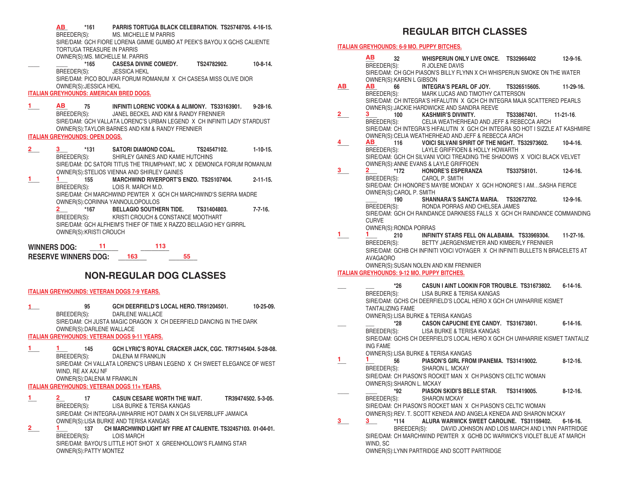|                   | *161<br>AB<br>TORTUGA TREASURE IN PARRIS<br>OWNER(S): MS. MICHELLE M. PARRIS                            | <b>PARRIS TORTUGA BLACK CELEBRATION. TS25748705, 4-16-15.</b><br>BREEDER(S): MS. MICHELLE M PARRIS<br>SIRE/DAM: GCH FIORE LORENA GIMME GUMBO AT PEEK'S BAYOU X GCHS CALIENTE                                                                    |             |                    |
|-------------------|---------------------------------------------------------------------------------------------------------|-------------------------------------------------------------------------------------------------------------------------------------------------------------------------------------------------------------------------------------------------|-------------|--------------------|
|                   | $*165$<br>BREEDER(S):<br>OWNER(S): JESSICA HEKL                                                         | <b>CASESA DIVINE COMEDY.</b><br><b>JESSICA HEKL</b><br>SIRE/DAM: PICO BOLIVAR FORUM ROMANUM X CH CASESA MISS OLIVE DIOR                                                                                                                         | TS24782902. | $10 - 8 - 14$      |
|                   | <b>ITALIAN GREYHOUNDS: AMERICAN BRED DOGS.</b>                                                          |                                                                                                                                                                                                                                                 |             |                    |
| $1 -$             | AB<br>75<br>BREEDER(S):<br><b>ITALIAN GREYHOUNDS: OPEN DOGS.</b>                                        | INFINITI LORENC VODKA & ALIMONY. TS33163901.<br>JANEL BECKEL AND KIM & RANDY FRENNIER<br>SIRE/DAM: GCH VALLATA LORENC'S URBAN LEGEND X CH INFINITI LADY STARDUST<br>OWNER(S): TAYLOR BARNES AND KIM & RANDY FRENNIER                            |             | $9 - 28 - 16$ .    |
| $2 \pm$           | $3^{\circ}$<br>$*131$                                                                                   | <b>SATORI DIAMOND COAL.</b><br>BREEDER(S): SHIRLEY GAINES AND KAMIE HUTCHINS<br>SIRE/DAM: DC SATORI TITUS THE TRIUMPHANT, MC X DEMONICA FORUM ROMANUM<br>OWNER(S): STELIOS VIENNA AND SHIRLEY GAINES                                            | TS24547102. | $1-10-15.$         |
| $1 -$             | 1.<br>155<br>BREEDER(S):                                                                                | MARCHWIND RIVERPORT'S ENZO. TS25107404.<br>LOIS R. MARCH M.D.<br>SIRE/DAM: CH MARCHWIND PEWTER X GCH CH MARCHWIND'S SIERRA MADRE                                                                                                                |             | $2 - 11 - 15$      |
|                   | OWNER(S):CORINNA YANNOULOPOULOS<br>2<br>$*167$<br>BREEDER(S):<br>OWNER(S): KRISTI CROUCH                | <b>BELLAGIO SOUTHERN TIDE.</b><br>KRISTI CROUCH & CONSTANCE MOOTHART<br>SIRE/DAM: GCH ALFHEIM'S THIEF OF TIME X RAZZO BELLAGIO HEY GIRRRL                                                                                                       | TS31404803. | $7 - 7 - 16.$      |
|                   | $-11$<br><b>WINNERS DOG:</b>                                                                            | 113                                                                                                                                                                                                                                             |             |                    |
|                   | <b>RESERVE WINNERS DOG:</b>                                                                             | 163                                                                                                                                                                                                                                             | 55          |                    |
|                   | ITALIAN GREYHOUNDS: VETERAN DOGS 7-9 YEARS.                                                             | <b>NON-REGULAR DOG CLASSES</b>                                                                                                                                                                                                                  |             |                    |
| $1 -$             | 95<br>BREEDER(S):<br>OWNER(S): DARLENE WALLACE                                                          | GCH DEERFIELD'S LOCAL HERO. TR91204501.<br>DARLENE WALLACE<br>SIRE/DAM: CH JUSTA MAGIC DRAGON X CH DEERFIELD DANCING IN THE DARK                                                                                                                |             | 10-25-09.          |
|                   | <b>ITALIAN GREYHOUNDS: VETERAN DOGS 9-11 YEARS.</b>                                                     |                                                                                                                                                                                                                                                 |             |                    |
| $1 -$             | WIND, RE AX AXJ NF<br>OWNER(S): DALENA M FRANKLIN<br><b>ITALIAN GREYHOUNDS: VETERAN DOGS 11+ YEARS.</b> | 145 GCH LYRIC'S ROYAL CRACKER JACK, CGC. TR77145404. 5-28-08.<br>BREEDER(S): DALENA M FRANKLIN<br>SIRE/DAM: CH VALLATA LORENC'S URBAN LEGEND X CH SWEET ELEGANCE OF WEST                                                                        |             |                    |
| 1<br>$\mathbf{2}$ | $\mathbf{2}$<br>17 <sup>2</sup><br>BREEDER(S):<br>1.<br>137                                             | <b>CASUN CESARE WORTH THE WAIT.</b><br>LISA BURKE & TERISA KANGAS<br>SIRE/DAM: CH INTEGRA-UWHARRIE HOT DAMN X CH SILVERBLUFF JAMAICA<br>OWNER(S): LISA BURKE AND TERISA KANGAS<br>CH MARCHWIND LIGHT MY FIRE AT CALIENTE, TS32457103, 01-04-01. |             | TR39474502.5-3-05. |
|                   | BREEDER(S):<br>OWNER(S): PATTY MONTEZ                                                                   | LOIS MARCH<br>SIRE/DAM: BAYOU'S LITTLE HOT SHOT X GREENHOLLOW'S FLAMING STAR                                                                                                                                                                    |             |                    |

## **REGULAR BITCH CLASSES**

### **ITALIAN GREYHOUNDS: 6-9 MO. PUPPY BITCHES.**

|    | ΑВ<br>32                      |                                                                                                           | WHISPERUN ONLY LIVE ONCE. TS32966402   |                                                       | $12 - 9 - 16$ . |
|----|-------------------------------|-----------------------------------------------------------------------------------------------------------|----------------------------------------|-------------------------------------------------------|-----------------|
|    | BREEDER(S):                   | R JOLENE DAVIS<br>SIRE/DAM: CH GCH PIASON'S BILLY FLYNN X CH WHISPERUN SMOKE ON THE WATER                 |                                        |                                                       |                 |
|    | OWNER(S): KAREN L GIBSON      |                                                                                                           |                                        |                                                       |                 |
| ΑВ | <b>BREEDER(S)</b><br>SIDER(S) |                                                                                                           | INTEGRA'S PEARL OF JOY. TS326515605.   |                                                       | $11-29-16.$     |
|    |                               | SIRE/DAM: CH INTEGRA'S HIFALUTIN X GCH CH INTEGRA MAJA SCATTERED PEARLS                                   | MARK LUCAS AND TIMOTHY CATTERSON       |                                                       |                 |
|    |                               | OWNER(S): JACKIE HARDWICKE AND SANDRA REEVE                                                               |                                        |                                                       |                 |
| 2. | 3                             | <b>KASHMIR'S DIVINITY.</b><br>100                                                                         |                                        | TS33867401.                                           | $11-21-16$ .    |
|    | BREEDER(S):                   |                                                                                                           |                                        | CELIA WEATHERHEAD AND JEFF & REBECCA ARCH             |                 |
|    |                               | SIRE/DAM: CH INTEGRA'S HIFALUTIN X GCH CH INTEGRA SO HOT I SIZZLE AT KASHMIRE                             |                                        |                                                       |                 |
|    | ABI                           | OWNER(S): CELIA WEATHERHEAD AND JEFF & REBECCA ARCH<br>116 VOICI SILVANI SPIRIT OF THE NIGHT. TS32973602. |                                        |                                                       | $10-4-16.$      |
|    |                               | BREEDER(S): LAYLE GRIFFIOEN & HOLLY HOWARTH                                                               |                                        |                                                       |                 |
|    |                               | SIRE/DAM: GCH CH SILVANI VOICI TREADING THE SHADOWS X VOICI BLACK VELVET                                  |                                        |                                                       |                 |
|    |                               | OWNER(S): ANNE EVANS & LAYLE GRIFFIOEN                                                                    |                                        |                                                       |                 |
| 3  | 2.<br>*172                    |                                                                                                           | HONORE'S ESPERANZA TS33758101.         |                                                       | $12 - 6 - 16$ . |
|    | BREEDER(S):                   | CAROL P. SMITH<br>SIRE/DAM: CH HONORE'S MAYBE MONDAY X GCH HONORE'S I AMSASHA FIERCE                      |                                        |                                                       |                 |
|    | OWNER(S): CAROL P. SMITH      |                                                                                                           |                                        |                                                       |                 |
|    | 190                           |                                                                                                           |                                        | SHANNARA'S SANCTA MARIA. TS32672702.                  | $12 - 9 - 16$ . |
|    | BREEDER(S):                   |                                                                                                           | RONDA PORRAS AND CHELSEA JAMES         |                                                       |                 |
|    | <b>CURVE</b>                  | SIRE/DAM: GCH CH RAINDANCE DARKNESS FALLS X GCH CH RAINDANCE COMMANDING                                   |                                        |                                                       |                 |
|    | OWNER(S): RONDA PORRAS        |                                                                                                           |                                        |                                                       |                 |
| 1. | 1.                            | 210 INFINITY STARS FELL ON ALABAMA. TS33969304.                                                           |                                        |                                                       | $11-27-16.$     |
|    | BREEDER(S):                   |                                                                                                           |                                        | BETTY JAERGENSMEYER AND KIMBERLY FRENNIER             |                 |
|    |                               | SIRE/DAM: GCHB CH INFINITI VOICI VOYAGER X CH INFINITI BULLETS N BRACELETS AT                             |                                        |                                                       |                 |
|    | AVAGAORO                      |                                                                                                           |                                        |                                                       |                 |
|    |                               | OWNER(S): SUSAN NOLEN AND KIM FRENNIER<br><b>ITALIAN GREYHOUNDS: 9-12 MO. PUPPY BITCHES.</b>              |                                        |                                                       |                 |
|    |                               |                                                                                                           |                                        |                                                       |                 |
|    | *26                           |                                                                                                           |                                        | CASUN I AINT LOOKIN FOR TROUBLE. TS31673802. 6-14-16. |                 |
|    | BREEDER(S):                   | SIRE/DAM: GCHS CH DEERFIELD'S LOCAL HERO X GCH CH UWHARRIE KISMET                                         | LISA BURKE & TERISA KANGAS             |                                                       |                 |
|    | <b>TANTALIZING FAME</b>       |                                                                                                           |                                        |                                                       |                 |
|    |                               | OWNER(S): LISA BURKE & TERISA KANGAS                                                                      |                                        |                                                       |                 |
|    |                               | *28 CASON CAPUCINE EYE CANDY. TS31673801.                                                                 |                                        |                                                       | $6 - 14 - 16$ . |
|    | BREEDER(S):                   |                                                                                                           | LISA BURKE & TERISA KANGAS             |                                                       |                 |
|    |                               | SIRE/DAM: GCHS CH DEERFIELD'S LOCAL HERO X GCH CH UWHARRIE KISMET TANTALIZ                                |                                        |                                                       |                 |
|    | ING FAME                      |                                                                                                           |                                        |                                                       |                 |
| 1. | 1.<br>56                      | OWNER(S):LISA BURKE & TERISA KANGAS                                                                       |                                        | PIASON'S GIRL FROM IPANEMA. TS31419002. 8-12-16.      |                 |
|    | BREEDER(S):                   | SHARON L. MCKAY                                                                                           |                                        |                                                       |                 |
|    |                               | SIRE/DAM: CH PIASON'S ROCKET MAN X CH PIASON'S CELTIC WOMAN                                               |                                        |                                                       |                 |
|    |                               | OWNER(S): SHARON L. MCKAY                                                                                 |                                        |                                                       |                 |
|    | *92                           |                                                                                                           | PIASON SKIDI'S BELLE STAR. TS31419005. |                                                       | $8-12-16$ .     |
|    | BREEDER(S):                   | <b>SHARON MCKAY</b>                                                                                       |                                        |                                                       |                 |
|    |                               | SIRE/DAM: CH PIASON'S ROCKET MAN X CH PIASON'S CELTIC WOMAN                                               |                                        |                                                       |                 |
| 3  | $*114$<br>3.                  | OWNER(S): REV. T. SCOTT KENEDA AND ANGELA KENEDA AND SHARON MCKAY                                         |                                        | ALURA WARWICK SWEET CAROLINE. TS31159402. 6-16-16.    |                 |
|    |                               | BREEDER(S): DAVID JOHNSON AND LOIS MARCH AND LYNN PARTRIDGE                                               |                                        |                                                       |                 |
|    |                               | SIRE/DAM: CH MARCHWIND PEWTER X GCHB DC WARWICK'S VIOLET BLUE AT MARCH                                    |                                        |                                                       |                 |
|    | WIND, SC                      |                                                                                                           |                                        |                                                       |                 |
|    |                               | OWNER(S): LYNN PARTRIDGE AND SCOTT PARTRIDGE                                                              |                                        |                                                       |                 |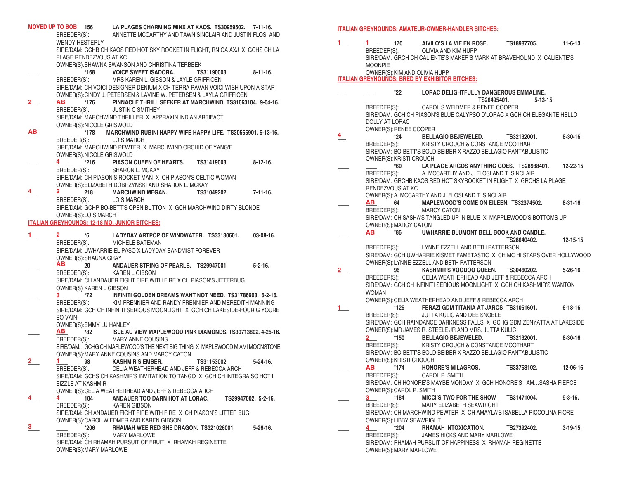**\_\_\_\_ \_\_\_\_ 156 LA PLAGES CHARMING MINX AT KAOS. TS30959502. 7-11-16.** BREEDER(S): ANNETTE MCCARTHY AND TAWN SINCLAIR AND JUSTIN FLOSI AND WENDY HESTERLY SIRE/DAM: GCHB CH KAOS RED HOT SKY ROCKET IN FLIGHT, RN OA AXJ X GCHS CH LA PLAGE RENDEZVOUS AT KC OWNER(S):SHAWNA SWANSON AND CHRISTINA TERBEEK **\_\_\_\_ \_\_\_\_ \*168 VOICE SWEET ISADORA. TS31190003. 8-11-16.** BREEDER(S): MRS KAREN L. GIBSON & LAYLE GRIFFIOEN SIRE/DAM: CH VOICI DESIGNER DENIUM X CH TERRA PAVAN VOICI WISH UPON A STAR OWNER(S):CINDY J. PETERSEN & LAVINE W. PETERSEN & LAYLA GRIFFIOEN **AB** \*176 **PINNACLE THRILL SEEKER AT MARCHWIND. TS31663104. 9-04-16.**<br>BREEDER(S): JUSTIN C SMITHEY **JUSTIN C SMITHEY** SIRE/DAM: MARCHWIND THRILLER X APPRAXIN INDIAN ARTIFACT OWNER(S):NICOLE GRISWOLD **\_\_\_\_ \*178 MARCHWIND RUBINI HAPPY WIFE HAPPY LIFE. TS30565901. 6-13-16.** BREEDER(S): LOIS MARCH SIRE/DAM: MARCHWIND PEWTER X MARCHWIND ORCHID OF YANG'E OWNER(S):NICOLE GRISWOLD **\_\_\_\_ \_\_\_\_ \*216 PIASON QUEEN OF HEARTS. TS31419003. 8-12-16.** SHARON L. MCKAY SIRE/DAM: CH PIASON'S ROCKET MAN X CH PIASON'S CELTIC WOMAN OWNER(S):ELIZABETH DOBRZYNSKI AND SHARON L. MCKAY **\_\_\_\_ \_\_\_\_ 218 MARCHWIND MEGAN. TS31049202. 7-11-16.** BREEDER(S): LOIS MARCH SIRE/DAM: GCHP BO-BETT'S OPEN BUTTON X GCH MARCHWIND DIRTY BLONDE OWNER(S):LOIS MARCH **ITALIAN GREYHOUNDS: 12-18 MO. JUNIOR BITCHES: \_\_\_\_ \_\_\_\_ \*6 LADYDAY ARTPOP OF WINDWATER. TS33130601. 03-08-16.** BREEDER(S): MICHELE BATEMAN SIRE/DAM: UWHARRIE EL PASO X LADYDAY SANDMIST FOREVER OWNER(S):SHAUNA GRAY **\_\_\_ \_\_\_ 20 ANDAUER STRING OF PEARLS. TS29947001. 5-2-16.** BREEDER(S): KAREN L GIBSON SIRE/DAM: CH ANDAUER FIGHT FIRE WITH FIRE X CH PIASON'S JITTERBUG OWNER(S) KAREN L GIBSON<br>3 <sup>+72</sup> INFINIT **\_\_\_\_ \_\_\_\_ \*72 INFINITI GOLDEN DREAMS WANT NOT NEED. TS31786603. 6-2-16.** BREEDER(S): KIM FRENNIER AND RANDY FRENNIER AND MEREDITH MANNING SIRE/DAM: GCH CH INFINITI SERIOUS MOONLIGHT X GCH CH LAKESIDE-FOURIG YOURE SO VAIN OWNER(S):EMMY LU HANLEY **\_\_\_\_ \_\_\_\_ \*82 ISLE AU VIEW MAPLEWOOD PINK DIAMONDS. TS30713802. 4-25-16.** BREEDER(S): MARY ANNE COUSINS SIRE/DAM: GCHG CH MAPLEWOOD'S THE NEXT BIG THING X MAPLEWOOD MIAMI MOONSTONE OWNER(S):MARY ANNE COUSINS AND MARCY CATON 1<br>1 98 KASHMIR'S EMBER. **\_\_\_\_ \_\_\_\_ 98 KASHMIR'S EMBER. TS31153002. 5-24-16.** BREEDER(S): CELIA WEATHERHEAD AND JEFF & REBECCA ARCH SIRE/DAM: GCHS CH KASHMIR'S INVITATION TO TANGO X GCH CH INTEGRA SO HOT I SIZZLE AT KASHMIR OWNER(S): CELIA WEATHERHEAD AND JEFF & REBECCA ARCH<br>4 104 **ANDAUER TOO DARN HOT AT LORAC. \_\_\_\_ \_\_\_\_ 104 ANDAUER TOO DARN HOT AT LORAC. TS29947002. 5-2-16.** BREEDER(S): SIRE/DAM: CH ANDAUER FIGHT FIRE WITH FIRE X CH PIASON'S LITTER BUG OWNER(S):CAROL WIEDMER AND KAREN GIBSON **\_\_\_\_ \_\_\_\_ \*206 RHAMAH WEE RED SHE DRAGON. TS321026001. 5-26-16.** BREEDER(S): MARY MARLOWE SIRE/DAM: CH RHAMAH PURSUIT OF FRUIT X RHAMAH REGINETTE OWNER(S):MARY MARLOWE **MOVED UP TO BOB 2 AB AB 4 4 2 1 2 AB 3 AB 2 1 4 4 3**

**ITALIAN GREYHOUNDS: AMATEUR-OWNER-HANDLER BITCHES:**

|              | 170                           | AIVILO'S LA VIE EN ROSE.                                                                     | TS18987705.     | 11-6-13.         |
|--------------|-------------------------------|----------------------------------------------------------------------------------------------|-----------------|------------------|
|              | BREEDER(S):                   | OLIVIA AND KIM HUPP                                                                          |                 |                  |
|              |                               | SIRE/DAM: GRCH CH CALIENTE'S MAKER'S MARK AT BRAVEHOUND X CALIENTE'S                         |                 |                  |
|              | <b>MOONPIE</b>                |                                                                                              |                 |                  |
|              | OWNER(S): KIM AND OLIVIA HUPP | <b>ITALIAN GREYHOUNDS: BRED BY EXHIBITOR BITCHES:</b>                                        |                 |                  |
|              |                               |                                                                                              |                 |                  |
|              | *22                           | LORAC DELIGHTFULLY DANGEROUS EMMALINE.                                                       |                 |                  |
|              |                               | TS26495401.<br>BREEDER(S): CAROL SWEIDMER & RENEE COOPER                                     | $5 - 13 - 15$ . |                  |
|              |                               | SIRE/DAM: GCH CH PIASON'S BLUE CALYPSO D'LORAC X GCH CH ELEGANTE HELLO                       |                 |                  |
|              | DOLLY AT LORAC                |                                                                                              |                 |                  |
|              | OWNER(S): RENEE COOPER        |                                                                                              |                 |                  |
| 4            |                               | *24 BELLAGIO BEJEWELED.                                                                      | TS32132001.     | $8-30-16.$       |
|              |                               | BREEDER(S): KRISTY CROUCH & CONSTANCE MOOTHART                                               |                 |                  |
|              |                               | SIRE/DAM: BO-BETT'S BOLD BEIBER X RAZZO BELLAGIO FANTABULISTIC                               |                 |                  |
|              | OWNER(S): KRISTI CROUCH       |                                                                                              |                 |                  |
|              |                               | *60 LA PLAGE ARGOS ANYTHING GOES. TS28988401.                                                |                 | $12 - 22 - 15$ . |
|              |                               | BREEDER(S): A. MCCARTHY AND J. FLOSI AND T. SINCLAIR                                         |                 |                  |
|              |                               | SIRE/DAM: GRCHB KAOS RED HOT SKYROCKET IN FLIGHT X GRCHS LA PLAGE                            |                 |                  |
|              | RENDEZVOUS AT KC              |                                                                                              |                 |                  |
|              |                               | OWNER(S): A. MCCARTHY AND J. FLOSI AND T. SINCLAIR                                           |                 |                  |
|              | AB                            | 64 MAPLEWOOD'S COME ON EILEEN. TS32374502.                                                   |                 | $8 - 31 - 16$ .  |
|              |                               | BREEDER(S): MARCY CATON<br>SIRE/DAM: CH SASHA'S TANGLED UP IN BLUE X MAPPLEWOOD'S BOTTOMS UP |                 |                  |
|              | OWNER(S): MARCY CATON         |                                                                                              |                 |                  |
|              |                               | AB *86 UWHARRIE BLUMONT BELL BOOK AND CANDLE.                                                |                 |                  |
|              |                               |                                                                                              | TS28640402.     | $12 - 15 - 15$ . |
|              |                               | BREEDER(S): LYNNE EZZELL AND BETH PATTERSON                                                  |                 |                  |
|              |                               | SIRE/DAM: GCH UWHARRIE KISMET FAMETASTIC X CH MC HI STARS OVER HOLLYWOOD                     |                 |                  |
|              |                               | OWNER(S):LYNNE EZZELL AND BETH PATTERSON                                                     |                 |                  |
| $\mathbf{2}$ |                               | 96 KASHMIR'S VOODOO QUEEN. TS30460202.                                                       |                 | $5-26-16.$       |
|              |                               | BREEDER(S): CELIA WEATHERHEAD AND JEFF & REBECCA ARCH                                        |                 |                  |
|              |                               | SIRE/DAM: GCH CH INFINITI SERIOUS MOONLIGHT X GCH CH KASHMIR'S WANTON                        |                 |                  |
|              | <b>WOMAN</b>                  |                                                                                              |                 |                  |
|              |                               | OWNER(S): CELIA WEATHERHEAD AND JEFF & REBECCA ARCH                                          |                 |                  |
| 1.           |                               | *126 FERAZI GDM TITANIA AT JAROS TS31051601.                                                 |                 | $6 - 18 - 16$ .  |
|              | BREEDER(S):                   | JUTTA KULIC AND DEE SNOBLE                                                                   |                 |                  |
|              |                               | SIRE/DAM: GCH RAINDANCE DARKNESS FALLS X GCHG GDM ZENYATTA AT LAKESIDE                       |                 |                  |
|              | $*150$                        | OWNER(S): MR JAMES R. STEELE JR AND MRS. JUTTA KULIC                                         |                 |                  |
|              | $\mathbf{2}$<br>BREEDER(S):   | <b>BELLAGIO BEJEWELED.</b><br>KRISTY CROUCH & CONSTANCE MOOTHART                             | TS32132001.     | $8 - 30 - 16$ .  |
|              |                               | SIRE/DAM: BO-BETT'S BOLD BEIBER X RAZZO BELLAGIO FANTABULISTIC                               |                 |                  |
|              | OWNER(S): KRISTI CROUCH       |                                                                                              |                 |                  |
|              | AB                            | *174 HONORE'S MILAGROS. TS33758102.                                                          |                 | 12-06-16.        |
|              |                               | BREEDER(S): CAROL P. SMITH                                                                   |                 |                  |
|              |                               | SIRE/DAM: CH HONORE'S MAYBE MONDAY X GCH HONORE'S I AMSASHA FIERCE                           |                 |                  |
|              |                               | OWNER(S):CAROL P. SMITH                                                                      |                 |                  |
|              | 3<br>*184                     | <b>MICCI'S TWO FOR THE SHOW</b>                                                              | TS31471004.     | $9 - 3 - 16.$    |
|              | BREEDER(S):                   | MARY ELIZABETH SEAWRIGHT                                                                     |                 |                  |
|              |                               | SIRE/DAM: CH MARCHWIND PEWTER X CH AMAYLA'S ISABELLA PICCOLINA FIORE                         |                 |                  |
|              | OWNER(S):LIBBY SEAWRIGHT      |                                                                                              |                 |                  |
|              | *204<br>4                     | RHAMAH INTOXICATION.                                                                         | TS27392402.     | $3-19-15.$       |
|              | BREEDER(S):                   | JAMES HICKS AND MARY MARLOWE                                                                 |                 |                  |
|              |                               | SIRE/DAM: RHAMAH PURSUIT OF HAPPINESS X RHAMAH REGINETTE                                     |                 |                  |
|              | OWNER(S): MARY MARLOWE        |                                                                                              |                 |                  |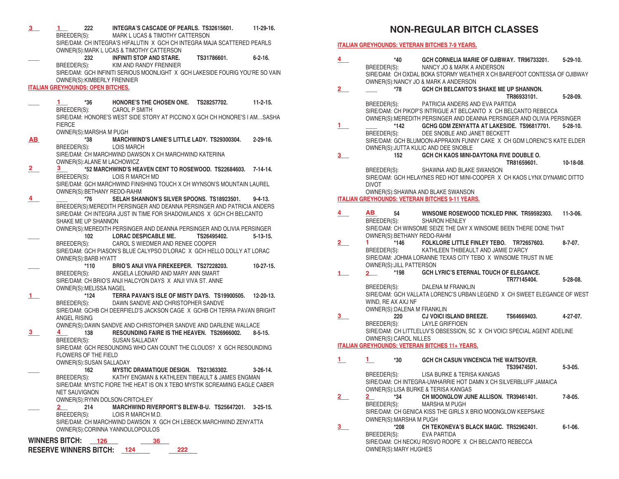**\_\_\_\_ \_\_\_\_ 222 INTEGRA'S CASCADE OF PEARLS. TS32615601. 11-29-16.** MARK LUCAS & TIMOTHY CATTERSON SIRE/DAM: CH INTEGRA'S HIFALUTIN X GCH CH INTEGRA MAJA SCATTERED PEARLS OWNER(S):MARK L UCAS & TIMOTHY CATTERSON **\_\_\_\_ 232 INFINITI STOP AND STARE. TS31786601. 6-2-16.**  BREEDER(S): KIM AND RANDY FRENNIER SIRE/DAM: GCH INFINITI SERIOUS MOONLIGHT X GCH LAKESIDE FOURIG YOU'RE SO VAIN OWNER(S):KIMBERLY FRENNIER **ITALIAN GREYHOUNDS: OPEN BITCHES. \_\_\_\_ \_\_\_\_ \*36 HONORE'S THE CHOSEN ONE. TS28257702. 11-2-15.**  BREEDER(S): CAROL P SMITH SIRE/DAM: HONORE'S WEST SIDE STORY AT PICCINO X GCH CH HONORE'S I AM…SASHA **FIFRCF** OWNER(S):MARSHA M PUGH **\_\_\_\_ \*38 MARCHWIND'S LANIE'S LITTLE LADY. TS29300304. 2-29-16.** BREEDER(S): LOIS MARCH SIRE/DAM: CH MARCHWIND DAWSON X CH MARCHWIND KATERINA OWNER(S): ALANE M LACHOWICZ<br>3 \*52 MARCHWIND'S HE **\_\_\_\_ \_\_\_\_ \*52 MARCHWIND'S HEAVEN CENT TO ROSEWOOD. TS22684603. 7-14-14.** BREEDER(S): LOIS R MARCH MD SIRE/DAM: GCH MARCHWIND FINISHING TOUCH X CH WYNSON'S MOUNTAIN LAUREL OWNER(S):BETHANY REDO-RAHM **\_\_\_\_ \_\_\_\_ \*76 SELAH SHANNON'S SILVER SPOONS. TS18923501. 9-4-13.** BREEDER(S):MEREDITH PERSINGER AND DEANNA PERSINGER AND PATRICIA ANDERS SIRE/DAM: CH INTEGRA JUST IN TIME FOR SHADOWLANDS X GCH CH BELCANTO SHAKE ME UP SHANNON OWNER(S):MEREDITH PERSINGER AND DEANNA PERSINGER AND OLIVIA PERSINGER **\_\_\_\_ 102 LORAC DESPICABLE ME. TS26495402. 5-13-15.** BREEDER(S): CAROL S WIEDMER AND RENEE COOPER SIRE/DAM: GCH PIASON'S BLUE CALYPSO D'LORAC X GCH HELLO DOLLY AT LORAC OWNER(S):BARB HYATT **\_\_\_\_ \*110 BRIO'S ANJI VIVA FIREKEEPER. TS27228203. 10-27-15.** BREEDER(S): ANGELA LEONARD AND MARY ANN SMART SIRE/DAM: CH BRIO'S ANJI HALCYON DAYS X ANJI VIVA ST. ANNE OWNER(S):MELISSA NAGEL **\_\_\_\_ \*124 TERRA PAVAN'S ISLE OF MISTY DAYS. TS19900505. 12-20-13.** DAWN SANDVE AND CHRISTOPHER SANDVE SIRE/DAM: GCHB CH DEERFIELD'S JACKSON CAGE X GCHB CH TERRA PAVAN BRIGHT ANGEL RISING OWNER(S):DAWN SANDVE AND CHRISTOPHER SANDVE AND DARLENE WALLACE **\_\_\_\_ \_\_\_\_ 138 RESOUNDING FAIRE IS THE HEAVEN. TS26966002. 8-5-15.** BREEDER(S): SUSAN SALLADAY SIRE/DAM: GCH RESOUNDING WHO CAN COUNT THE CLOUDS? X GCH RESOUNDING FLOWERS OF THE FIELD OWNER(S):SUSAN SALLADAY<br>162 MYSTIC **\_\_\_\_ 162 MYSTIC DRAMATIQUE DESIGN. TS21363302. 3-26-14.** BREEDER(S): KATHY ENGMAN & KATHLEEN TIBEAULT & JAMES ENGMAN SIRE/DAM: MYSTIC FIORE THE HEAT IS ON X TEBO MYSTIK SCREAMING EAGLE CABER NET SAUVIGNON OWNER(S):RYNN DOLSON-CRITCHLEY **\_\_\_\_ \_\_\_\_ 214 MARCHWIND RIVERPORT'S BLEW-B-U. TS25647201. 3-25-15.** LOIS R MARCH M.D. SIRE/DAM: CH MARCHWIND DAWSON X GCH CH LEBECK MARCHWIND ZENYATTA OWNER(S):CORINNA YANNOULOPOULOS **WINNERS BITCH: \_\_\_\_\_\_\_\_ \_\_\_\_\_\_\_\_ 126 36 3 1 1 AB**  $2\overline{)}$ **4 1 3 4 2**

**RESERVE WINNERS BITCH: \_\_\_\_\_\_\_\_ \_\_\_\_\_\_\_\_ 124 222**

**NON-REGULAR BITCH CLASSES**

**ITALIAN GREYHOUNDS: VETERAN BITCHES 7-9 YEARS.**

| 4            | *40<br>BREEDER(S):          | GCH CORNELIA MARIE OF OJIBWAY. TR96733201.<br>NANCY JO & MARK A ANDERSON                                                                  |             | $5-29-10.$      |
|--------------|-----------------------------|-------------------------------------------------------------------------------------------------------------------------------------------|-------------|-----------------|
|              |                             | SIRE/DAM: CH OXDAL BOKA STORMY WEATHER X CH BAREFOOT CONTESSA OF OJIBWAY                                                                  |             |                 |
|              |                             | OWNER(S): NANCY JO & MARK A ANDERSON                                                                                                      |             |                 |
| $\mathbf{2}$ | *78                         | GCH CH BELCANTO'S SHAKE ME UP SHANNON.                                                                                                    |             |                 |
|              |                             |                                                                                                                                           | TR86933101. | $5-28-09.$      |
|              | BREEDER(S):                 | PATRICIA ANDERS AND EVA PARTIDA                                                                                                           |             |                 |
|              |                             | SIRE/DAM: CH PIKOP'S INTRIGUE AT BELCANTO X CH BELCANTO REBECCA<br>OWNER(S): MEREDITH PERSINGER AND DEANNA PERSINGER AND OLIVIA PERSINGER |             |                 |
| $1 -$        | *142                        | GCHG GDM ZENYATTA AT LAKESIDE. TS96817701.                                                                                                |             | $5 - 28 - 10$ . |
|              | BREEDER(S):                 | DEE SNOBLE AND JANET BECKETT                                                                                                              |             |                 |
|              |                             | SIRE/DAM: GCH BLUMOON-APPRAXIN FUNNY CAKE X CH GDM LORENC'S KATE ELDER                                                                    |             |                 |
|              |                             | OWNER(S): JUTTA KULIC AND DEE SNOBLE                                                                                                      |             |                 |
| 3.           | 152                         | GCH CH KAOS MINI-DAYTONA FIVE DOUBLE O.                                                                                                   |             |                 |
|              |                             |                                                                                                                                           | TR81659601. | $10-18-08$ .    |
|              |                             | BREEDER(S): SHAWNA AND BLAKE SWANSON                                                                                                      |             |                 |
|              | <b>DIVOT</b>                | SIRE/DAM: GCH HELAYNES RED HOT MINI-COOPER X CH KAOS LYNX DYNAMIC DITTO                                                                   |             |                 |
|              |                             | OWNER(S): SHAWNA AND BLAKE SWANSON                                                                                                        |             |                 |
|              |                             | <b>ITALIAN GREYHOUNDS: VETERAN BITCHES 9-11 YEARS.</b>                                                                                    |             |                 |
|              |                             |                                                                                                                                           |             |                 |
| 4            | AВ.<br>54                   | WINSOME ROSEWOOD TICKLED PINK. TR59592303. 11-3-06.                                                                                       |             |                 |
|              | BREEDER(S):                 | <b>SHARON HENLEY</b><br>SIRE/DAM: CH WINSOME SEIZE THE DAY X WINSOME BEEN THERE DONE THAT                                                 |             |                 |
|              | OWNER(S): BETHANY REDO-RAHM |                                                                                                                                           |             |                 |
| 2_           | *146<br>1.                  | FOLKLORE LITTLE FINLEY TEBO. TR72657603.                                                                                                  |             | $8 - 7 - 07$ .  |
|              | BREEDER(S):                 | KATHLEEN THIBEAULT AND JAMIE D'ARCY                                                                                                       |             |                 |
|              |                             | SIRE/DAM: JOHMA LORANNE TEXAS CITY TEBO X WINSOME TRUST IN ME                                                                             |             |                 |
|              | OWNER(S): JILL PATTERSON    |                                                                                                                                           |             |                 |
| $\mathbf{1}$ | *198<br>$2^{\sim}$          | <b>GCH LYRIC'S ETERNAL TOUCH OF ELEGANCE.</b>                                                                                             | TR77145404. | $5-28-08$ .     |
|              | BREEDER(S):                 | DALENA M FRANKLIN                                                                                                                         |             |                 |
|              |                             | SIRE/DAM: GCH VALLATA LORENC'S URBAN LEGEND X CH SWEET ELEGANCE OF WEST                                                                   |             |                 |
|              | WIND, RE AX AXJ NF          |                                                                                                                                           |             |                 |
|              | OWNER(S): DALENA M FRANKLIN |                                                                                                                                           |             |                 |
| 3            | 220                         | CJ VOICI ISLAND BREEZE.                                                                                                                   | TS64669403. | 4-27-07.        |
|              | BREEDER(S):                 | <b>LAYLE GRIFFIOEN</b><br>SIRE/DAM: CH LITTLELUV'S OBSESSION, SC X CH VOICI SPECIAL AGENT ADELINE                                         |             |                 |
|              | OWNER(S): CAROL NILLES      |                                                                                                                                           |             |                 |
|              |                             | <b>ITALIAN GREYHOUNDS: VETERAN BITCHES 11+ YEARS.</b>                                                                                     |             |                 |
|              |                             |                                                                                                                                           |             |                 |
| 1.           | $*30$<br>1.                 | GCH CH CASUN VINCENCIA THE WAITSOVER.                                                                                                     |             |                 |
|              | BREEDER(S):                 | LISA BURKE & TERISA KANGAS                                                                                                                | TS39474501. | $5 - 3 - 05$ .  |
|              |                             | SIRE/DAM: CH INTEGRA-UWHARRIE HOT DAMN X CH SILVERBLUFF JAMAICA                                                                           |             |                 |
|              |                             | OWNER(S): LISA BURKE & TERISA KANGAS                                                                                                      |             |                 |
| $\mathbf{2}$ | *34<br>$\mathbf{2}$         | CH MOONGLOW JUNE ALLISON. TR39461401.                                                                                                     |             | $7 - 8 - 05.$   |
|              | BREEDER(S):                 | <b>MARSHA M PUGH</b>                                                                                                                      |             |                 |
|              |                             | SIRE/DAM: CH GENICA KISS THE GIRLS X BRIO MOONGLOW KEEPSAKE                                                                               |             |                 |
|              | OWNER(S): MARSHA M PUGH     |                                                                                                                                           |             |                 |
| 3            | *208                        | CH TEKONEVA'S BLACK MAGIC. TR52962401.                                                                                                    |             | $6 - 1 - 06.$   |
|              | BREEDER(S):                 | EVA PARTIDA<br>SIRE/DAM: CH NECKU ROSVO ROOPE X CH BELCANTO REBECCA                                                                       |             |                 |
|              | OWNER(S): MARY HUGHES       |                                                                                                                                           |             |                 |
|              |                             |                                                                                                                                           |             |                 |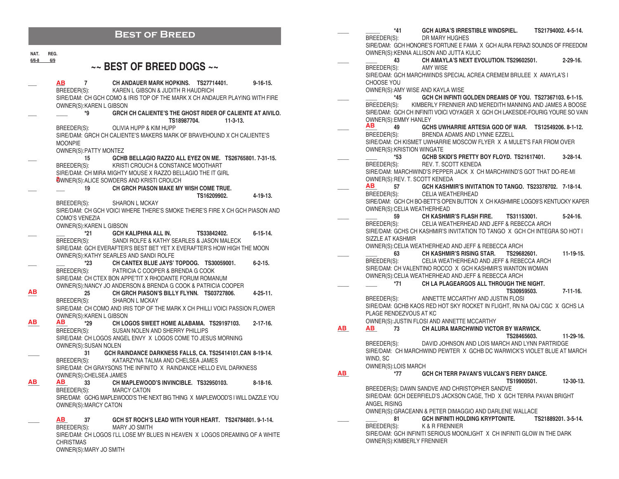## **Best of Breed**

| SIRE/DAM: GCH HONORE'S FORTUNE E FAMA X GCH AURA FERAZI SOUNDS OF FREEDOM<br>OWNER(S): KENNA ALLISON AND JUTTA KULIC<br>REG.<br>NAT.<br>$6/6 - 8$<br>43<br>CH AMAYLA'S NEXT EVOLUTION. TS29602501.<br>$2 - 29 - 16$ .<br>6/9<br>$\sim$ BEST OF BREED DOGS $\sim$<br>BREEDER(S):<br>AMY WISE<br>SIRE/DAM: GCH MARCHWINDS SPECIAL ACREA CREMEM BRULEE X AMAYLA'S I<br>CHOOSE YOU<br>$9 - 16 - 15$ .<br>AВ<br>CH ANDAUER MARK HOPKINS. TS27714401.<br>$\overline{7}$<br>OWNER(S): AMY WISE AND KAYLA WISE<br>BREEDER(S):<br>KAREN L GIBSON & JUDITH R HAUDRICH<br>$*45$<br>GCH CH INFINTI GOLDEN DREAMS OF YOU. TS27367103. 6-1-15.<br>SIRE/DAM: CH GCH COMO & IRIS TOP OF THE MARK X CH ANDAUER PLAYING WITH FIRE<br>KIMBERLY FRENNIER AND MEREDITH MANNING AND JAMES A BOOSE<br>BREEDER(S):<br>OWNER(S): KAREN L GIBSON<br>SIRE/DAM: GCH CH INFINITI VOICI VOYAGER X GCH CH LAKESIDE-FOURIG YOURE SO VAIN<br>GRCH CH CALIENTE'S THE GHOST RIDER OF CALIENTE AT AIVILO.<br>*9<br>OWNER(S): EMMY HANLEY<br>$11-3-13.$<br>TS18987704.<br>AВ<br>49<br>GCHS UWHARRIE ARTESIA GOD OF WAR. TS12549206. 8-1-12.<br>BREEDER(S):<br>OLIVIA HUPP & KIM HUPP<br>BREEDER(S):<br>BRENDA ADAMS AND LYNNE EZZELL<br>SIRE/DAM: GRCH CH CALIENTE'S MAKERS MARK OF BRAVEHOUND X CH CALIENTE'S<br>SIRE/DAM: CH KISMET UWHARRIE MOSCOW FLYER X A MULET'S FAR FROM OVER<br><b>MOONPIE</b><br>OWNER(S): KRISTION WINGATE<br>OWNER(S): PATTY MONTEZ<br>*53<br>GCHB SKIDI'S PRETTY BOY FLOYD. TS21617401.<br>$3-28-14.$<br>15<br>GCHB BELLAGIO RAZZO ALL EYEZ ON ME. TS26765801. 7-31-15.<br>BREEDER(S):<br>REV. T. SCOTT KENEDA<br>BREEDER(S):<br>KRISTI CROUCH & CONSTANCE MOOTHART<br>SIRE/DAM: MARCHWIND'S PEPPER JACK X CH MARCHWIND'S GOT THAT DO-RE-MI<br>SIRE/DAM: CH MIRA MIGHTY MOUSE X RAZZO BELLAGIO THE IT GIRL<br>OWNER(S):REV. T. SCOTT KENEDA<br>OWNER(S): ALICE SOWDERS AND KRISTI CROUCH<br>AB<br>57<br>GCH KASHMIR'S INVITATION TO TANGO. TS23378702. 7-18-14.<br>CH GRCH PIASON MAKE MY WISH COME TRUE.<br>19<br>BREEDER(S):<br><b>CELIA WEATHERHEAD</b><br>$4 - 19 - 13$ .<br>TS16209902.<br>SIRE/DAM: GCH CH BO-BETT'S OPEN BUTTON X CH KASHMIRE LOGO9'S KENTUCKY KAPER<br><b>SHARON L MCKAY</b><br>BREEDER(S):<br>OWNER(S): CELIA WEATHERHEAD<br>SIRE/DAM: CH GCH VOICI WHERE THERE'S SMOKE THERE'S FIRE X CH GCH PIASON AND<br>CH KASHMIR'S FLASH FIRE.<br>$5-24-16.$<br>59<br>TS31153001.<br><b>COMO'S VENEZIA</b><br>BREEDER(S):<br>CELIA WEATHERHEAD AND JEFF & REBECCA ARCH<br>OWNER(S): KAREN L GIBSON<br>SIRE/DAM: GCHS CH KASHMIR'S INVITATION TO TANGO X GCH CH INTEGRA SO HOT I<br>$*21$<br>$6 - 15 - 14.$<br>GCH KALIPHNA ALL IN.<br>TS33842402.<br>SIZZLE AT KASHMIR<br>BREEDER(S):<br>SANDI ROLFE & KATHY SEARLES & JASON MALECK<br>OWNER(S): CELIA WEATHERHEAD AND JEFF & REBECCA ARCH<br>SIRE/DAM: GCH EVERAFTER'S BEST BET YET X EVERAFTER'S HOW HIGH THE MOON<br>$11-19-15.$<br>63<br>CH KASHMIR'S RISING STAR.<br>TS29682601.<br>OWNER(S): KATHY SEARLES AND SANDI ROLFE<br>BREEDER(S):<br>CELIA WEATHERHEAD AND JEFF & REBECCA ARCH<br>$*23$<br>CH CANTEX BLUE JAYS' TOPDOG. TS30059001.<br>$6 - 2 - 15$ .<br>SIRE/DAM: CH VALENTINO ROCCO X GCH KASHMIR'S WANTON WOMAN<br>BREEDER(S):<br>PATRICIA C COOPER & BRENDA G COOK<br>OWNER(S): CELIA WEATHERHEAD AND JEFF & REBECCA ARCH<br>SIRE/DAM: CH CTEX BON APPE'TIT X RHODANTE FORUM ROMANUM<br>*71<br>CH LA PLAGEARGOS ALL THROUGH THE NIGHT.<br>OWNER(S): NANCY JO ANDERSON & BRENDA G COOK & PATRICIA COOPER<br>$7 - 11 - 16.$<br>TS30959503.<br>$\overline{\mathbf{AB}}$<br>$4 - 25 - 11$ .<br>25<br>CH GRCH PIASON'S BILLY FLYNN. TS03727806.<br>BREEDER(S):<br>ANNETTE MCCARTHY AND JUSTIN FLOSI<br><b>SHARON L MCKAY</b><br>BREEDER(S):<br>SIRE/DAM: GCHB KAOS RED HOT SKY ROCKET IN FLIGHT, RN NA OAJ CGC X GCHS LA<br>SIRE/DAM: CH COMO AND IRIS TOP OF THE MARK X CH PHILLI VOICI PASSION FLOWER<br>PLAGE RENDEZVOUS AT KC<br>OWNER(S): KAREN L GIBSON<br>OWNER(S): JUSTIN FLOSI AND ANNETTE MCCARTHY<br><b>AB</b><br>ΑВ<br>*29<br>CH LOGOS SWEET HOME ALABAMA. TS29197103.<br>$2 - 17 - 16.$<br>$\underline{AB}$<br><b>AB</b><br>CH ALURA MARCHWIND VICTOR BY WARWICK.<br>73<br>BREEDER(S):<br>SUSAN NOLEN AND SHERRY PHILLIPS<br>TS28465603.<br>11-29-16.<br>SIRE/DAM: CH LOGOS ANGEL ENVY X LOGOS COME TO JESUS MORNING<br>BREEDER(S):<br>DAVID JOHNSON AND LOIS MARCH AND LYNN PARTRIDGE<br>OWNER(S): SUSAN NOLEN<br>SIRE/DAM: CH MARCHWIND PEWTER X GCHB DC WARWICK'S VIOLET BLUE AT MARCH<br>GCH RAINDANCE DARKNESS FALLS, CA. TS25414101.CAN 8-19-14.<br>31<br>WIND, SC<br>KATARZYNA TALMA AND CHELSEA JAMES<br>BREEDER(S):<br>OWNER(S): LOIS MARCH<br>SIRE/DAM: CH GRAYSONS THE INFINITO X RAINDANCE HELLO EVIL DARKNESS<br>AB<br>$*77$<br>GCH CH TERR PAVAN'S VULCAN'S FIERY DANCE.<br>OWNER(S): CHELSEA JAMES<br>TS19900501.<br>12-30-13.<br>AB<br>AB<br>33<br>CH MAPLEWOOD'S INVINCIBLE. TS32950103.<br>$8-18-16.$<br>BREEDER(S): DAWN SANDVE AND CHRISTOPHER SANDVE<br>BREEDER(S):<br><b>MARCY CATON</b><br>SIRE/DAM: GCH DEERFIELD'S JACKSON CAGE, THD X GCH TERRA PAVAN BRIGHT<br>SIRE/DAM: GCHG MAPLEWOOD'S THE NEXT BIG THING X MAPLEWOOD'S I WILL DAZZLE YOU<br>ANGEL RISING<br>OWNER(S): MARCY CATON<br>OWNER(S): GRACEANN & PETER DIMAGGIO AND DARLENE WALLACE<br>81<br><b>GCH INFINITI HOLDING KRYPTONITE.</b><br>TS21889201.3-5-14.<br>AB<br>37<br>GCH ST ROCH'S LEAD WITH YOUR HEART. TS24784801.9-1-14.<br>BREEDER(S):<br>K & R FRENNIER<br>BREEDER(S):<br>MARY JO SMITH<br>SIRE/DAM: GCH INFINITI SERIOUS MOONLIGHT X CH INFINITI GLOW IN THE DARK<br>SIRE/DAM: CH LOGOS I'LL LOSE MY BLUES IN HEAVEN X LOGOS DREAMING OF A WHITE<br>OWNER(S): KIMBERLY FRENNIER<br><b>CHRISTMAS</b> | <b>BEST OF BREED</b>    | $*41$       | <b>GCH AURA'S IRRESTIBLE WINDSPIEL.</b> | TS21794002.4-5-14. |
|-----------------------------------------------------------------------------------------------------------------------------------------------------------------------------------------------------------------------------------------------------------------------------------------------------------------------------------------------------------------------------------------------------------------------------------------------------------------------------------------------------------------------------------------------------------------------------------------------------------------------------------------------------------------------------------------------------------------------------------------------------------------------------------------------------------------------------------------------------------------------------------------------------------------------------------------------------------------------------------------------------------------------------------------------------------------------------------------------------------------------------------------------------------------------------------------------------------------------------------------------------------------------------------------------------------------------------------------------------------------------------------------------------------------------------------------------------------------------------------------------------------------------------------------------------------------------------------------------------------------------------------------------------------------------------------------------------------------------------------------------------------------------------------------------------------------------------------------------------------------------------------------------------------------------------------------------------------------------------------------------------------------------------------------------------------------------------------------------------------------------------------------------------------------------------------------------------------------------------------------------------------------------------------------------------------------------------------------------------------------------------------------------------------------------------------------------------------------------------------------------------------------------------------------------------------------------------------------------------------------------------------------------------------------------------------------------------------------------------------------------------------------------------------------------------------------------------------------------------------------------------------------------------------------------------------------------------------------------------------------------------------------------------------------------------------------------------------------------------------------------------------------------------------------------------------------------------------------------------------------------------------------------------------------------------------------------------------------------------------------------------------------------------------------------------------------------------------------------------------------------------------------------------------------------------------------------------------------------------------------------------------------------------------------------------------------------------------------------------------------------------------------------------------------------------------------------------------------------------------------------------------------------------------------------------------------------------------------------------------------------------------------------------------------------------------------------------------------------------------------------------------------------------------------------------------------------------------------------------------------------------------------------------------------------------------------------------------------------------------------------------------------------------------------------------------------------------------------------------------------------------------------------------------------------------------------------------------------------------------------------------------------------------------------------------------------------------------------------------------------------------------------------------------------------------------------------------------------------------------------------------------------------------------------------------------------------------------------------------------------------------------------------------------------------------------------------------------------------------------------------------------------------------------------------------------------------------------------------------------------------------------------------------------------------------------------------------------------------------------------------------------------------------------------------------------------------------------------------------------------------------------------------------------------------------------------------------------------------------------------------------------------------------------------------------------------|-------------------------|-------------|-----------------------------------------|--------------------|
|                                                                                                                                                                                                                                                                                                                                                                                                                                                                                                                                                                                                                                                                                                                                                                                                                                                                                                                                                                                                                                                                                                                                                                                                                                                                                                                                                                                                                                                                                                                                                                                                                                                                                                                                                                                                                                                                                                                                                                                                                                                                                                                                                                                                                                                                                                                                                                                                                                                                                                                                                                                                                                                                                                                                                                                                                                                                                                                                                                                                                                                                                                                                                                                                                                                                                                                                                                                                                                                                                                                                                                                                                                                                                                                                                                                                                                                                                                                                                                                                                                                                                                                                                                                                                                                                                                                                                                                                                                                                                                                                                                                                                                                                                                                                                                                                                                                                                                                                                                                                                                                                                                                                                                                                                                                                                                                                                                                                                                                                                                                                                                                                                                                                                         |                         | BREEDER(S): | DR MARY HUGHES                          |                    |
|                                                                                                                                                                                                                                                                                                                                                                                                                                                                                                                                                                                                                                                                                                                                                                                                                                                                                                                                                                                                                                                                                                                                                                                                                                                                                                                                                                                                                                                                                                                                                                                                                                                                                                                                                                                                                                                                                                                                                                                                                                                                                                                                                                                                                                                                                                                                                                                                                                                                                                                                                                                                                                                                                                                                                                                                                                                                                                                                                                                                                                                                                                                                                                                                                                                                                                                                                                                                                                                                                                                                                                                                                                                                                                                                                                                                                                                                                                                                                                                                                                                                                                                                                                                                                                                                                                                                                                                                                                                                                                                                                                                                                                                                                                                                                                                                                                                                                                                                                                                                                                                                                                                                                                                                                                                                                                                                                                                                                                                                                                                                                                                                                                                                                         |                         |             |                                         |                    |
|                                                                                                                                                                                                                                                                                                                                                                                                                                                                                                                                                                                                                                                                                                                                                                                                                                                                                                                                                                                                                                                                                                                                                                                                                                                                                                                                                                                                                                                                                                                                                                                                                                                                                                                                                                                                                                                                                                                                                                                                                                                                                                                                                                                                                                                                                                                                                                                                                                                                                                                                                                                                                                                                                                                                                                                                                                                                                                                                                                                                                                                                                                                                                                                                                                                                                                                                                                                                                                                                                                                                                                                                                                                                                                                                                                                                                                                                                                                                                                                                                                                                                                                                                                                                                                                                                                                                                                                                                                                                                                                                                                                                                                                                                                                                                                                                                                                                                                                                                                                                                                                                                                                                                                                                                                                                                                                                                                                                                                                                                                                                                                                                                                                                                         |                         |             |                                         |                    |
|                                                                                                                                                                                                                                                                                                                                                                                                                                                                                                                                                                                                                                                                                                                                                                                                                                                                                                                                                                                                                                                                                                                                                                                                                                                                                                                                                                                                                                                                                                                                                                                                                                                                                                                                                                                                                                                                                                                                                                                                                                                                                                                                                                                                                                                                                                                                                                                                                                                                                                                                                                                                                                                                                                                                                                                                                                                                                                                                                                                                                                                                                                                                                                                                                                                                                                                                                                                                                                                                                                                                                                                                                                                                                                                                                                                                                                                                                                                                                                                                                                                                                                                                                                                                                                                                                                                                                                                                                                                                                                                                                                                                                                                                                                                                                                                                                                                                                                                                                                                                                                                                                                                                                                                                                                                                                                                                                                                                                                                                                                                                                                                                                                                                                         |                         |             |                                         |                    |
|                                                                                                                                                                                                                                                                                                                                                                                                                                                                                                                                                                                                                                                                                                                                                                                                                                                                                                                                                                                                                                                                                                                                                                                                                                                                                                                                                                                                                                                                                                                                                                                                                                                                                                                                                                                                                                                                                                                                                                                                                                                                                                                                                                                                                                                                                                                                                                                                                                                                                                                                                                                                                                                                                                                                                                                                                                                                                                                                                                                                                                                                                                                                                                                                                                                                                                                                                                                                                                                                                                                                                                                                                                                                                                                                                                                                                                                                                                                                                                                                                                                                                                                                                                                                                                                                                                                                                                                                                                                                                                                                                                                                                                                                                                                                                                                                                                                                                                                                                                                                                                                                                                                                                                                                                                                                                                                                                                                                                                                                                                                                                                                                                                                                                         |                         |             |                                         |                    |
|                                                                                                                                                                                                                                                                                                                                                                                                                                                                                                                                                                                                                                                                                                                                                                                                                                                                                                                                                                                                                                                                                                                                                                                                                                                                                                                                                                                                                                                                                                                                                                                                                                                                                                                                                                                                                                                                                                                                                                                                                                                                                                                                                                                                                                                                                                                                                                                                                                                                                                                                                                                                                                                                                                                                                                                                                                                                                                                                                                                                                                                                                                                                                                                                                                                                                                                                                                                                                                                                                                                                                                                                                                                                                                                                                                                                                                                                                                                                                                                                                                                                                                                                                                                                                                                                                                                                                                                                                                                                                                                                                                                                                                                                                                                                                                                                                                                                                                                                                                                                                                                                                                                                                                                                                                                                                                                                                                                                                                                                                                                                                                                                                                                                                         |                         |             |                                         |                    |
|                                                                                                                                                                                                                                                                                                                                                                                                                                                                                                                                                                                                                                                                                                                                                                                                                                                                                                                                                                                                                                                                                                                                                                                                                                                                                                                                                                                                                                                                                                                                                                                                                                                                                                                                                                                                                                                                                                                                                                                                                                                                                                                                                                                                                                                                                                                                                                                                                                                                                                                                                                                                                                                                                                                                                                                                                                                                                                                                                                                                                                                                                                                                                                                                                                                                                                                                                                                                                                                                                                                                                                                                                                                                                                                                                                                                                                                                                                                                                                                                                                                                                                                                                                                                                                                                                                                                                                                                                                                                                                                                                                                                                                                                                                                                                                                                                                                                                                                                                                                                                                                                                                                                                                                                                                                                                                                                                                                                                                                                                                                                                                                                                                                                                         |                         |             |                                         |                    |
|                                                                                                                                                                                                                                                                                                                                                                                                                                                                                                                                                                                                                                                                                                                                                                                                                                                                                                                                                                                                                                                                                                                                                                                                                                                                                                                                                                                                                                                                                                                                                                                                                                                                                                                                                                                                                                                                                                                                                                                                                                                                                                                                                                                                                                                                                                                                                                                                                                                                                                                                                                                                                                                                                                                                                                                                                                                                                                                                                                                                                                                                                                                                                                                                                                                                                                                                                                                                                                                                                                                                                                                                                                                                                                                                                                                                                                                                                                                                                                                                                                                                                                                                                                                                                                                                                                                                                                                                                                                                                                                                                                                                                                                                                                                                                                                                                                                                                                                                                                                                                                                                                                                                                                                                                                                                                                                                                                                                                                                                                                                                                                                                                                                                                         |                         |             |                                         |                    |
|                                                                                                                                                                                                                                                                                                                                                                                                                                                                                                                                                                                                                                                                                                                                                                                                                                                                                                                                                                                                                                                                                                                                                                                                                                                                                                                                                                                                                                                                                                                                                                                                                                                                                                                                                                                                                                                                                                                                                                                                                                                                                                                                                                                                                                                                                                                                                                                                                                                                                                                                                                                                                                                                                                                                                                                                                                                                                                                                                                                                                                                                                                                                                                                                                                                                                                                                                                                                                                                                                                                                                                                                                                                                                                                                                                                                                                                                                                                                                                                                                                                                                                                                                                                                                                                                                                                                                                                                                                                                                                                                                                                                                                                                                                                                                                                                                                                                                                                                                                                                                                                                                                                                                                                                                                                                                                                                                                                                                                                                                                                                                                                                                                                                                         |                         |             |                                         |                    |
|                                                                                                                                                                                                                                                                                                                                                                                                                                                                                                                                                                                                                                                                                                                                                                                                                                                                                                                                                                                                                                                                                                                                                                                                                                                                                                                                                                                                                                                                                                                                                                                                                                                                                                                                                                                                                                                                                                                                                                                                                                                                                                                                                                                                                                                                                                                                                                                                                                                                                                                                                                                                                                                                                                                                                                                                                                                                                                                                                                                                                                                                                                                                                                                                                                                                                                                                                                                                                                                                                                                                                                                                                                                                                                                                                                                                                                                                                                                                                                                                                                                                                                                                                                                                                                                                                                                                                                                                                                                                                                                                                                                                                                                                                                                                                                                                                                                                                                                                                                                                                                                                                                                                                                                                                                                                                                                                                                                                                                                                                                                                                                                                                                                                                         |                         |             |                                         |                    |
|                                                                                                                                                                                                                                                                                                                                                                                                                                                                                                                                                                                                                                                                                                                                                                                                                                                                                                                                                                                                                                                                                                                                                                                                                                                                                                                                                                                                                                                                                                                                                                                                                                                                                                                                                                                                                                                                                                                                                                                                                                                                                                                                                                                                                                                                                                                                                                                                                                                                                                                                                                                                                                                                                                                                                                                                                                                                                                                                                                                                                                                                                                                                                                                                                                                                                                                                                                                                                                                                                                                                                                                                                                                                                                                                                                                                                                                                                                                                                                                                                                                                                                                                                                                                                                                                                                                                                                                                                                                                                                                                                                                                                                                                                                                                                                                                                                                                                                                                                                                                                                                                                                                                                                                                                                                                                                                                                                                                                                                                                                                                                                                                                                                                                         |                         |             |                                         |                    |
|                                                                                                                                                                                                                                                                                                                                                                                                                                                                                                                                                                                                                                                                                                                                                                                                                                                                                                                                                                                                                                                                                                                                                                                                                                                                                                                                                                                                                                                                                                                                                                                                                                                                                                                                                                                                                                                                                                                                                                                                                                                                                                                                                                                                                                                                                                                                                                                                                                                                                                                                                                                                                                                                                                                                                                                                                                                                                                                                                                                                                                                                                                                                                                                                                                                                                                                                                                                                                                                                                                                                                                                                                                                                                                                                                                                                                                                                                                                                                                                                                                                                                                                                                                                                                                                                                                                                                                                                                                                                                                                                                                                                                                                                                                                                                                                                                                                                                                                                                                                                                                                                                                                                                                                                                                                                                                                                                                                                                                                                                                                                                                                                                                                                                         |                         |             |                                         |                    |
|                                                                                                                                                                                                                                                                                                                                                                                                                                                                                                                                                                                                                                                                                                                                                                                                                                                                                                                                                                                                                                                                                                                                                                                                                                                                                                                                                                                                                                                                                                                                                                                                                                                                                                                                                                                                                                                                                                                                                                                                                                                                                                                                                                                                                                                                                                                                                                                                                                                                                                                                                                                                                                                                                                                                                                                                                                                                                                                                                                                                                                                                                                                                                                                                                                                                                                                                                                                                                                                                                                                                                                                                                                                                                                                                                                                                                                                                                                                                                                                                                                                                                                                                                                                                                                                                                                                                                                                                                                                                                                                                                                                                                                                                                                                                                                                                                                                                                                                                                                                                                                                                                                                                                                                                                                                                                                                                                                                                                                                                                                                                                                                                                                                                                         |                         |             |                                         |                    |
|                                                                                                                                                                                                                                                                                                                                                                                                                                                                                                                                                                                                                                                                                                                                                                                                                                                                                                                                                                                                                                                                                                                                                                                                                                                                                                                                                                                                                                                                                                                                                                                                                                                                                                                                                                                                                                                                                                                                                                                                                                                                                                                                                                                                                                                                                                                                                                                                                                                                                                                                                                                                                                                                                                                                                                                                                                                                                                                                                                                                                                                                                                                                                                                                                                                                                                                                                                                                                                                                                                                                                                                                                                                                                                                                                                                                                                                                                                                                                                                                                                                                                                                                                                                                                                                                                                                                                                                                                                                                                                                                                                                                                                                                                                                                                                                                                                                                                                                                                                                                                                                                                                                                                                                                                                                                                                                                                                                                                                                                                                                                                                                                                                                                                         |                         |             |                                         |                    |
|                                                                                                                                                                                                                                                                                                                                                                                                                                                                                                                                                                                                                                                                                                                                                                                                                                                                                                                                                                                                                                                                                                                                                                                                                                                                                                                                                                                                                                                                                                                                                                                                                                                                                                                                                                                                                                                                                                                                                                                                                                                                                                                                                                                                                                                                                                                                                                                                                                                                                                                                                                                                                                                                                                                                                                                                                                                                                                                                                                                                                                                                                                                                                                                                                                                                                                                                                                                                                                                                                                                                                                                                                                                                                                                                                                                                                                                                                                                                                                                                                                                                                                                                                                                                                                                                                                                                                                                                                                                                                                                                                                                                                                                                                                                                                                                                                                                                                                                                                                                                                                                                                                                                                                                                                                                                                                                                                                                                                                                                                                                                                                                                                                                                                         |                         |             |                                         |                    |
|                                                                                                                                                                                                                                                                                                                                                                                                                                                                                                                                                                                                                                                                                                                                                                                                                                                                                                                                                                                                                                                                                                                                                                                                                                                                                                                                                                                                                                                                                                                                                                                                                                                                                                                                                                                                                                                                                                                                                                                                                                                                                                                                                                                                                                                                                                                                                                                                                                                                                                                                                                                                                                                                                                                                                                                                                                                                                                                                                                                                                                                                                                                                                                                                                                                                                                                                                                                                                                                                                                                                                                                                                                                                                                                                                                                                                                                                                                                                                                                                                                                                                                                                                                                                                                                                                                                                                                                                                                                                                                                                                                                                                                                                                                                                                                                                                                                                                                                                                                                                                                                                                                                                                                                                                                                                                                                                                                                                                                                                                                                                                                                                                                                                                         |                         |             |                                         |                    |
|                                                                                                                                                                                                                                                                                                                                                                                                                                                                                                                                                                                                                                                                                                                                                                                                                                                                                                                                                                                                                                                                                                                                                                                                                                                                                                                                                                                                                                                                                                                                                                                                                                                                                                                                                                                                                                                                                                                                                                                                                                                                                                                                                                                                                                                                                                                                                                                                                                                                                                                                                                                                                                                                                                                                                                                                                                                                                                                                                                                                                                                                                                                                                                                                                                                                                                                                                                                                                                                                                                                                                                                                                                                                                                                                                                                                                                                                                                                                                                                                                                                                                                                                                                                                                                                                                                                                                                                                                                                                                                                                                                                                                                                                                                                                                                                                                                                                                                                                                                                                                                                                                                                                                                                                                                                                                                                                                                                                                                                                                                                                                                                                                                                                                         |                         |             |                                         |                    |
|                                                                                                                                                                                                                                                                                                                                                                                                                                                                                                                                                                                                                                                                                                                                                                                                                                                                                                                                                                                                                                                                                                                                                                                                                                                                                                                                                                                                                                                                                                                                                                                                                                                                                                                                                                                                                                                                                                                                                                                                                                                                                                                                                                                                                                                                                                                                                                                                                                                                                                                                                                                                                                                                                                                                                                                                                                                                                                                                                                                                                                                                                                                                                                                                                                                                                                                                                                                                                                                                                                                                                                                                                                                                                                                                                                                                                                                                                                                                                                                                                                                                                                                                                                                                                                                                                                                                                                                                                                                                                                                                                                                                                                                                                                                                                                                                                                                                                                                                                                                                                                                                                                                                                                                                                                                                                                                                                                                                                                                                                                                                                                                                                                                                                         |                         |             |                                         |                    |
|                                                                                                                                                                                                                                                                                                                                                                                                                                                                                                                                                                                                                                                                                                                                                                                                                                                                                                                                                                                                                                                                                                                                                                                                                                                                                                                                                                                                                                                                                                                                                                                                                                                                                                                                                                                                                                                                                                                                                                                                                                                                                                                                                                                                                                                                                                                                                                                                                                                                                                                                                                                                                                                                                                                                                                                                                                                                                                                                                                                                                                                                                                                                                                                                                                                                                                                                                                                                                                                                                                                                                                                                                                                                                                                                                                                                                                                                                                                                                                                                                                                                                                                                                                                                                                                                                                                                                                                                                                                                                                                                                                                                                                                                                                                                                                                                                                                                                                                                                                                                                                                                                                                                                                                                                                                                                                                                                                                                                                                                                                                                                                                                                                                                                         |                         |             |                                         |                    |
|                                                                                                                                                                                                                                                                                                                                                                                                                                                                                                                                                                                                                                                                                                                                                                                                                                                                                                                                                                                                                                                                                                                                                                                                                                                                                                                                                                                                                                                                                                                                                                                                                                                                                                                                                                                                                                                                                                                                                                                                                                                                                                                                                                                                                                                                                                                                                                                                                                                                                                                                                                                                                                                                                                                                                                                                                                                                                                                                                                                                                                                                                                                                                                                                                                                                                                                                                                                                                                                                                                                                                                                                                                                                                                                                                                                                                                                                                                                                                                                                                                                                                                                                                                                                                                                                                                                                                                                                                                                                                                                                                                                                                                                                                                                                                                                                                                                                                                                                                                                                                                                                                                                                                                                                                                                                                                                                                                                                                                                                                                                                                                                                                                                                                         |                         |             |                                         |                    |
|                                                                                                                                                                                                                                                                                                                                                                                                                                                                                                                                                                                                                                                                                                                                                                                                                                                                                                                                                                                                                                                                                                                                                                                                                                                                                                                                                                                                                                                                                                                                                                                                                                                                                                                                                                                                                                                                                                                                                                                                                                                                                                                                                                                                                                                                                                                                                                                                                                                                                                                                                                                                                                                                                                                                                                                                                                                                                                                                                                                                                                                                                                                                                                                                                                                                                                                                                                                                                                                                                                                                                                                                                                                                                                                                                                                                                                                                                                                                                                                                                                                                                                                                                                                                                                                                                                                                                                                                                                                                                                                                                                                                                                                                                                                                                                                                                                                                                                                                                                                                                                                                                                                                                                                                                                                                                                                                                                                                                                                                                                                                                                                                                                                                                         |                         |             |                                         |                    |
|                                                                                                                                                                                                                                                                                                                                                                                                                                                                                                                                                                                                                                                                                                                                                                                                                                                                                                                                                                                                                                                                                                                                                                                                                                                                                                                                                                                                                                                                                                                                                                                                                                                                                                                                                                                                                                                                                                                                                                                                                                                                                                                                                                                                                                                                                                                                                                                                                                                                                                                                                                                                                                                                                                                                                                                                                                                                                                                                                                                                                                                                                                                                                                                                                                                                                                                                                                                                                                                                                                                                                                                                                                                                                                                                                                                                                                                                                                                                                                                                                                                                                                                                                                                                                                                                                                                                                                                                                                                                                                                                                                                                                                                                                                                                                                                                                                                                                                                                                                                                                                                                                                                                                                                                                                                                                                                                                                                                                                                                                                                                                                                                                                                                                         |                         |             |                                         |                    |
|                                                                                                                                                                                                                                                                                                                                                                                                                                                                                                                                                                                                                                                                                                                                                                                                                                                                                                                                                                                                                                                                                                                                                                                                                                                                                                                                                                                                                                                                                                                                                                                                                                                                                                                                                                                                                                                                                                                                                                                                                                                                                                                                                                                                                                                                                                                                                                                                                                                                                                                                                                                                                                                                                                                                                                                                                                                                                                                                                                                                                                                                                                                                                                                                                                                                                                                                                                                                                                                                                                                                                                                                                                                                                                                                                                                                                                                                                                                                                                                                                                                                                                                                                                                                                                                                                                                                                                                                                                                                                                                                                                                                                                                                                                                                                                                                                                                                                                                                                                                                                                                                                                                                                                                                                                                                                                                                                                                                                                                                                                                                                                                                                                                                                         |                         |             |                                         |                    |
|                                                                                                                                                                                                                                                                                                                                                                                                                                                                                                                                                                                                                                                                                                                                                                                                                                                                                                                                                                                                                                                                                                                                                                                                                                                                                                                                                                                                                                                                                                                                                                                                                                                                                                                                                                                                                                                                                                                                                                                                                                                                                                                                                                                                                                                                                                                                                                                                                                                                                                                                                                                                                                                                                                                                                                                                                                                                                                                                                                                                                                                                                                                                                                                                                                                                                                                                                                                                                                                                                                                                                                                                                                                                                                                                                                                                                                                                                                                                                                                                                                                                                                                                                                                                                                                                                                                                                                                                                                                                                                                                                                                                                                                                                                                                                                                                                                                                                                                                                                                                                                                                                                                                                                                                                                                                                                                                                                                                                                                                                                                                                                                                                                                                                         |                         |             |                                         |                    |
|                                                                                                                                                                                                                                                                                                                                                                                                                                                                                                                                                                                                                                                                                                                                                                                                                                                                                                                                                                                                                                                                                                                                                                                                                                                                                                                                                                                                                                                                                                                                                                                                                                                                                                                                                                                                                                                                                                                                                                                                                                                                                                                                                                                                                                                                                                                                                                                                                                                                                                                                                                                                                                                                                                                                                                                                                                                                                                                                                                                                                                                                                                                                                                                                                                                                                                                                                                                                                                                                                                                                                                                                                                                                                                                                                                                                                                                                                                                                                                                                                                                                                                                                                                                                                                                                                                                                                                                                                                                                                                                                                                                                                                                                                                                                                                                                                                                                                                                                                                                                                                                                                                                                                                                                                                                                                                                                                                                                                                                                                                                                                                                                                                                                                         |                         |             |                                         |                    |
|                                                                                                                                                                                                                                                                                                                                                                                                                                                                                                                                                                                                                                                                                                                                                                                                                                                                                                                                                                                                                                                                                                                                                                                                                                                                                                                                                                                                                                                                                                                                                                                                                                                                                                                                                                                                                                                                                                                                                                                                                                                                                                                                                                                                                                                                                                                                                                                                                                                                                                                                                                                                                                                                                                                                                                                                                                                                                                                                                                                                                                                                                                                                                                                                                                                                                                                                                                                                                                                                                                                                                                                                                                                                                                                                                                                                                                                                                                                                                                                                                                                                                                                                                                                                                                                                                                                                                                                                                                                                                                                                                                                                                                                                                                                                                                                                                                                                                                                                                                                                                                                                                                                                                                                                                                                                                                                                                                                                                                                                                                                                                                                                                                                                                         |                         |             |                                         |                    |
|                                                                                                                                                                                                                                                                                                                                                                                                                                                                                                                                                                                                                                                                                                                                                                                                                                                                                                                                                                                                                                                                                                                                                                                                                                                                                                                                                                                                                                                                                                                                                                                                                                                                                                                                                                                                                                                                                                                                                                                                                                                                                                                                                                                                                                                                                                                                                                                                                                                                                                                                                                                                                                                                                                                                                                                                                                                                                                                                                                                                                                                                                                                                                                                                                                                                                                                                                                                                                                                                                                                                                                                                                                                                                                                                                                                                                                                                                                                                                                                                                                                                                                                                                                                                                                                                                                                                                                                                                                                                                                                                                                                                                                                                                                                                                                                                                                                                                                                                                                                                                                                                                                                                                                                                                                                                                                                                                                                                                                                                                                                                                                                                                                                                                         |                         |             |                                         |                    |
|                                                                                                                                                                                                                                                                                                                                                                                                                                                                                                                                                                                                                                                                                                                                                                                                                                                                                                                                                                                                                                                                                                                                                                                                                                                                                                                                                                                                                                                                                                                                                                                                                                                                                                                                                                                                                                                                                                                                                                                                                                                                                                                                                                                                                                                                                                                                                                                                                                                                                                                                                                                                                                                                                                                                                                                                                                                                                                                                                                                                                                                                                                                                                                                                                                                                                                                                                                                                                                                                                                                                                                                                                                                                                                                                                                                                                                                                                                                                                                                                                                                                                                                                                                                                                                                                                                                                                                                                                                                                                                                                                                                                                                                                                                                                                                                                                                                                                                                                                                                                                                                                                                                                                                                                                                                                                                                                                                                                                                                                                                                                                                                                                                                                                         |                         |             |                                         |                    |
|                                                                                                                                                                                                                                                                                                                                                                                                                                                                                                                                                                                                                                                                                                                                                                                                                                                                                                                                                                                                                                                                                                                                                                                                                                                                                                                                                                                                                                                                                                                                                                                                                                                                                                                                                                                                                                                                                                                                                                                                                                                                                                                                                                                                                                                                                                                                                                                                                                                                                                                                                                                                                                                                                                                                                                                                                                                                                                                                                                                                                                                                                                                                                                                                                                                                                                                                                                                                                                                                                                                                                                                                                                                                                                                                                                                                                                                                                                                                                                                                                                                                                                                                                                                                                                                                                                                                                                                                                                                                                                                                                                                                                                                                                                                                                                                                                                                                                                                                                                                                                                                                                                                                                                                                                                                                                                                                                                                                                                                                                                                                                                                                                                                                                         |                         |             |                                         |                    |
|                                                                                                                                                                                                                                                                                                                                                                                                                                                                                                                                                                                                                                                                                                                                                                                                                                                                                                                                                                                                                                                                                                                                                                                                                                                                                                                                                                                                                                                                                                                                                                                                                                                                                                                                                                                                                                                                                                                                                                                                                                                                                                                                                                                                                                                                                                                                                                                                                                                                                                                                                                                                                                                                                                                                                                                                                                                                                                                                                                                                                                                                                                                                                                                                                                                                                                                                                                                                                                                                                                                                                                                                                                                                                                                                                                                                                                                                                                                                                                                                                                                                                                                                                                                                                                                                                                                                                                                                                                                                                                                                                                                                                                                                                                                                                                                                                                                                                                                                                                                                                                                                                                                                                                                                                                                                                                                                                                                                                                                                                                                                                                                                                                                                                         |                         |             |                                         |                    |
|                                                                                                                                                                                                                                                                                                                                                                                                                                                                                                                                                                                                                                                                                                                                                                                                                                                                                                                                                                                                                                                                                                                                                                                                                                                                                                                                                                                                                                                                                                                                                                                                                                                                                                                                                                                                                                                                                                                                                                                                                                                                                                                                                                                                                                                                                                                                                                                                                                                                                                                                                                                                                                                                                                                                                                                                                                                                                                                                                                                                                                                                                                                                                                                                                                                                                                                                                                                                                                                                                                                                                                                                                                                                                                                                                                                                                                                                                                                                                                                                                                                                                                                                                                                                                                                                                                                                                                                                                                                                                                                                                                                                                                                                                                                                                                                                                                                                                                                                                                                                                                                                                                                                                                                                                                                                                                                                                                                                                                                                                                                                                                                                                                                                                         |                         |             |                                         |                    |
|                                                                                                                                                                                                                                                                                                                                                                                                                                                                                                                                                                                                                                                                                                                                                                                                                                                                                                                                                                                                                                                                                                                                                                                                                                                                                                                                                                                                                                                                                                                                                                                                                                                                                                                                                                                                                                                                                                                                                                                                                                                                                                                                                                                                                                                                                                                                                                                                                                                                                                                                                                                                                                                                                                                                                                                                                                                                                                                                                                                                                                                                                                                                                                                                                                                                                                                                                                                                                                                                                                                                                                                                                                                                                                                                                                                                                                                                                                                                                                                                                                                                                                                                                                                                                                                                                                                                                                                                                                                                                                                                                                                                                                                                                                                                                                                                                                                                                                                                                                                                                                                                                                                                                                                                                                                                                                                                                                                                                                                                                                                                                                                                                                                                                         |                         |             |                                         |                    |
|                                                                                                                                                                                                                                                                                                                                                                                                                                                                                                                                                                                                                                                                                                                                                                                                                                                                                                                                                                                                                                                                                                                                                                                                                                                                                                                                                                                                                                                                                                                                                                                                                                                                                                                                                                                                                                                                                                                                                                                                                                                                                                                                                                                                                                                                                                                                                                                                                                                                                                                                                                                                                                                                                                                                                                                                                                                                                                                                                                                                                                                                                                                                                                                                                                                                                                                                                                                                                                                                                                                                                                                                                                                                                                                                                                                                                                                                                                                                                                                                                                                                                                                                                                                                                                                                                                                                                                                                                                                                                                                                                                                                                                                                                                                                                                                                                                                                                                                                                                                                                                                                                                                                                                                                                                                                                                                                                                                                                                                                                                                                                                                                                                                                                         |                         |             |                                         |                    |
|                                                                                                                                                                                                                                                                                                                                                                                                                                                                                                                                                                                                                                                                                                                                                                                                                                                                                                                                                                                                                                                                                                                                                                                                                                                                                                                                                                                                                                                                                                                                                                                                                                                                                                                                                                                                                                                                                                                                                                                                                                                                                                                                                                                                                                                                                                                                                                                                                                                                                                                                                                                                                                                                                                                                                                                                                                                                                                                                                                                                                                                                                                                                                                                                                                                                                                                                                                                                                                                                                                                                                                                                                                                                                                                                                                                                                                                                                                                                                                                                                                                                                                                                                                                                                                                                                                                                                                                                                                                                                                                                                                                                                                                                                                                                                                                                                                                                                                                                                                                                                                                                                                                                                                                                                                                                                                                                                                                                                                                                                                                                                                                                                                                                                         |                         |             |                                         |                    |
|                                                                                                                                                                                                                                                                                                                                                                                                                                                                                                                                                                                                                                                                                                                                                                                                                                                                                                                                                                                                                                                                                                                                                                                                                                                                                                                                                                                                                                                                                                                                                                                                                                                                                                                                                                                                                                                                                                                                                                                                                                                                                                                                                                                                                                                                                                                                                                                                                                                                                                                                                                                                                                                                                                                                                                                                                                                                                                                                                                                                                                                                                                                                                                                                                                                                                                                                                                                                                                                                                                                                                                                                                                                                                                                                                                                                                                                                                                                                                                                                                                                                                                                                                                                                                                                                                                                                                                                                                                                                                                                                                                                                                                                                                                                                                                                                                                                                                                                                                                                                                                                                                                                                                                                                                                                                                                                                                                                                                                                                                                                                                                                                                                                                                         |                         |             |                                         |                    |
|                                                                                                                                                                                                                                                                                                                                                                                                                                                                                                                                                                                                                                                                                                                                                                                                                                                                                                                                                                                                                                                                                                                                                                                                                                                                                                                                                                                                                                                                                                                                                                                                                                                                                                                                                                                                                                                                                                                                                                                                                                                                                                                                                                                                                                                                                                                                                                                                                                                                                                                                                                                                                                                                                                                                                                                                                                                                                                                                                                                                                                                                                                                                                                                                                                                                                                                                                                                                                                                                                                                                                                                                                                                                                                                                                                                                                                                                                                                                                                                                                                                                                                                                                                                                                                                                                                                                                                                                                                                                                                                                                                                                                                                                                                                                                                                                                                                                                                                                                                                                                                                                                                                                                                                                                                                                                                                                                                                                                                                                                                                                                                                                                                                                                         |                         |             |                                         |                    |
|                                                                                                                                                                                                                                                                                                                                                                                                                                                                                                                                                                                                                                                                                                                                                                                                                                                                                                                                                                                                                                                                                                                                                                                                                                                                                                                                                                                                                                                                                                                                                                                                                                                                                                                                                                                                                                                                                                                                                                                                                                                                                                                                                                                                                                                                                                                                                                                                                                                                                                                                                                                                                                                                                                                                                                                                                                                                                                                                                                                                                                                                                                                                                                                                                                                                                                                                                                                                                                                                                                                                                                                                                                                                                                                                                                                                                                                                                                                                                                                                                                                                                                                                                                                                                                                                                                                                                                                                                                                                                                                                                                                                                                                                                                                                                                                                                                                                                                                                                                                                                                                                                                                                                                                                                                                                                                                                                                                                                                                                                                                                                                                                                                                                                         |                         |             |                                         |                    |
|                                                                                                                                                                                                                                                                                                                                                                                                                                                                                                                                                                                                                                                                                                                                                                                                                                                                                                                                                                                                                                                                                                                                                                                                                                                                                                                                                                                                                                                                                                                                                                                                                                                                                                                                                                                                                                                                                                                                                                                                                                                                                                                                                                                                                                                                                                                                                                                                                                                                                                                                                                                                                                                                                                                                                                                                                                                                                                                                                                                                                                                                                                                                                                                                                                                                                                                                                                                                                                                                                                                                                                                                                                                                                                                                                                                                                                                                                                                                                                                                                                                                                                                                                                                                                                                                                                                                                                                                                                                                                                                                                                                                                                                                                                                                                                                                                                                                                                                                                                                                                                                                                                                                                                                                                                                                                                                                                                                                                                                                                                                                                                                                                                                                                         |                         |             |                                         |                    |
|                                                                                                                                                                                                                                                                                                                                                                                                                                                                                                                                                                                                                                                                                                                                                                                                                                                                                                                                                                                                                                                                                                                                                                                                                                                                                                                                                                                                                                                                                                                                                                                                                                                                                                                                                                                                                                                                                                                                                                                                                                                                                                                                                                                                                                                                                                                                                                                                                                                                                                                                                                                                                                                                                                                                                                                                                                                                                                                                                                                                                                                                                                                                                                                                                                                                                                                                                                                                                                                                                                                                                                                                                                                                                                                                                                                                                                                                                                                                                                                                                                                                                                                                                                                                                                                                                                                                                                                                                                                                                                                                                                                                                                                                                                                                                                                                                                                                                                                                                                                                                                                                                                                                                                                                                                                                                                                                                                                                                                                                                                                                                                                                                                                                                         |                         |             |                                         |                    |
|                                                                                                                                                                                                                                                                                                                                                                                                                                                                                                                                                                                                                                                                                                                                                                                                                                                                                                                                                                                                                                                                                                                                                                                                                                                                                                                                                                                                                                                                                                                                                                                                                                                                                                                                                                                                                                                                                                                                                                                                                                                                                                                                                                                                                                                                                                                                                                                                                                                                                                                                                                                                                                                                                                                                                                                                                                                                                                                                                                                                                                                                                                                                                                                                                                                                                                                                                                                                                                                                                                                                                                                                                                                                                                                                                                                                                                                                                                                                                                                                                                                                                                                                                                                                                                                                                                                                                                                                                                                                                                                                                                                                                                                                                                                                                                                                                                                                                                                                                                                                                                                                                                                                                                                                                                                                                                                                                                                                                                                                                                                                                                                                                                                                                         |                         |             |                                         |                    |
|                                                                                                                                                                                                                                                                                                                                                                                                                                                                                                                                                                                                                                                                                                                                                                                                                                                                                                                                                                                                                                                                                                                                                                                                                                                                                                                                                                                                                                                                                                                                                                                                                                                                                                                                                                                                                                                                                                                                                                                                                                                                                                                                                                                                                                                                                                                                                                                                                                                                                                                                                                                                                                                                                                                                                                                                                                                                                                                                                                                                                                                                                                                                                                                                                                                                                                                                                                                                                                                                                                                                                                                                                                                                                                                                                                                                                                                                                                                                                                                                                                                                                                                                                                                                                                                                                                                                                                                                                                                                                                                                                                                                                                                                                                                                                                                                                                                                                                                                                                                                                                                                                                                                                                                                                                                                                                                                                                                                                                                                                                                                                                                                                                                                                         |                         |             |                                         |                    |
|                                                                                                                                                                                                                                                                                                                                                                                                                                                                                                                                                                                                                                                                                                                                                                                                                                                                                                                                                                                                                                                                                                                                                                                                                                                                                                                                                                                                                                                                                                                                                                                                                                                                                                                                                                                                                                                                                                                                                                                                                                                                                                                                                                                                                                                                                                                                                                                                                                                                                                                                                                                                                                                                                                                                                                                                                                                                                                                                                                                                                                                                                                                                                                                                                                                                                                                                                                                                                                                                                                                                                                                                                                                                                                                                                                                                                                                                                                                                                                                                                                                                                                                                                                                                                                                                                                                                                                                                                                                                                                                                                                                                                                                                                                                                                                                                                                                                                                                                                                                                                                                                                                                                                                                                                                                                                                                                                                                                                                                                                                                                                                                                                                                                                         |                         |             |                                         |                    |
|                                                                                                                                                                                                                                                                                                                                                                                                                                                                                                                                                                                                                                                                                                                                                                                                                                                                                                                                                                                                                                                                                                                                                                                                                                                                                                                                                                                                                                                                                                                                                                                                                                                                                                                                                                                                                                                                                                                                                                                                                                                                                                                                                                                                                                                                                                                                                                                                                                                                                                                                                                                                                                                                                                                                                                                                                                                                                                                                                                                                                                                                                                                                                                                                                                                                                                                                                                                                                                                                                                                                                                                                                                                                                                                                                                                                                                                                                                                                                                                                                                                                                                                                                                                                                                                                                                                                                                                                                                                                                                                                                                                                                                                                                                                                                                                                                                                                                                                                                                                                                                                                                                                                                                                                                                                                                                                                                                                                                                                                                                                                                                                                                                                                                         |                         |             |                                         |                    |
|                                                                                                                                                                                                                                                                                                                                                                                                                                                                                                                                                                                                                                                                                                                                                                                                                                                                                                                                                                                                                                                                                                                                                                                                                                                                                                                                                                                                                                                                                                                                                                                                                                                                                                                                                                                                                                                                                                                                                                                                                                                                                                                                                                                                                                                                                                                                                                                                                                                                                                                                                                                                                                                                                                                                                                                                                                                                                                                                                                                                                                                                                                                                                                                                                                                                                                                                                                                                                                                                                                                                                                                                                                                                                                                                                                                                                                                                                                                                                                                                                                                                                                                                                                                                                                                                                                                                                                                                                                                                                                                                                                                                                                                                                                                                                                                                                                                                                                                                                                                                                                                                                                                                                                                                                                                                                                                                                                                                                                                                                                                                                                                                                                                                                         |                         |             |                                         |                    |
|                                                                                                                                                                                                                                                                                                                                                                                                                                                                                                                                                                                                                                                                                                                                                                                                                                                                                                                                                                                                                                                                                                                                                                                                                                                                                                                                                                                                                                                                                                                                                                                                                                                                                                                                                                                                                                                                                                                                                                                                                                                                                                                                                                                                                                                                                                                                                                                                                                                                                                                                                                                                                                                                                                                                                                                                                                                                                                                                                                                                                                                                                                                                                                                                                                                                                                                                                                                                                                                                                                                                                                                                                                                                                                                                                                                                                                                                                                                                                                                                                                                                                                                                                                                                                                                                                                                                                                                                                                                                                                                                                                                                                                                                                                                                                                                                                                                                                                                                                                                                                                                                                                                                                                                                                                                                                                                                                                                                                                                                                                                                                                                                                                                                                         |                         |             |                                         |                    |
|                                                                                                                                                                                                                                                                                                                                                                                                                                                                                                                                                                                                                                                                                                                                                                                                                                                                                                                                                                                                                                                                                                                                                                                                                                                                                                                                                                                                                                                                                                                                                                                                                                                                                                                                                                                                                                                                                                                                                                                                                                                                                                                                                                                                                                                                                                                                                                                                                                                                                                                                                                                                                                                                                                                                                                                                                                                                                                                                                                                                                                                                                                                                                                                                                                                                                                                                                                                                                                                                                                                                                                                                                                                                                                                                                                                                                                                                                                                                                                                                                                                                                                                                                                                                                                                                                                                                                                                                                                                                                                                                                                                                                                                                                                                                                                                                                                                                                                                                                                                                                                                                                                                                                                                                                                                                                                                                                                                                                                                                                                                                                                                                                                                                                         |                         |             |                                         |                    |
|                                                                                                                                                                                                                                                                                                                                                                                                                                                                                                                                                                                                                                                                                                                                                                                                                                                                                                                                                                                                                                                                                                                                                                                                                                                                                                                                                                                                                                                                                                                                                                                                                                                                                                                                                                                                                                                                                                                                                                                                                                                                                                                                                                                                                                                                                                                                                                                                                                                                                                                                                                                                                                                                                                                                                                                                                                                                                                                                                                                                                                                                                                                                                                                                                                                                                                                                                                                                                                                                                                                                                                                                                                                                                                                                                                                                                                                                                                                                                                                                                                                                                                                                                                                                                                                                                                                                                                                                                                                                                                                                                                                                                                                                                                                                                                                                                                                                                                                                                                                                                                                                                                                                                                                                                                                                                                                                                                                                                                                                                                                                                                                                                                                                                         |                         |             |                                         |                    |
|                                                                                                                                                                                                                                                                                                                                                                                                                                                                                                                                                                                                                                                                                                                                                                                                                                                                                                                                                                                                                                                                                                                                                                                                                                                                                                                                                                                                                                                                                                                                                                                                                                                                                                                                                                                                                                                                                                                                                                                                                                                                                                                                                                                                                                                                                                                                                                                                                                                                                                                                                                                                                                                                                                                                                                                                                                                                                                                                                                                                                                                                                                                                                                                                                                                                                                                                                                                                                                                                                                                                                                                                                                                                                                                                                                                                                                                                                                                                                                                                                                                                                                                                                                                                                                                                                                                                                                                                                                                                                                                                                                                                                                                                                                                                                                                                                                                                                                                                                                                                                                                                                                                                                                                                                                                                                                                                                                                                                                                                                                                                                                                                                                                                                         |                         |             |                                         |                    |
|                                                                                                                                                                                                                                                                                                                                                                                                                                                                                                                                                                                                                                                                                                                                                                                                                                                                                                                                                                                                                                                                                                                                                                                                                                                                                                                                                                                                                                                                                                                                                                                                                                                                                                                                                                                                                                                                                                                                                                                                                                                                                                                                                                                                                                                                                                                                                                                                                                                                                                                                                                                                                                                                                                                                                                                                                                                                                                                                                                                                                                                                                                                                                                                                                                                                                                                                                                                                                                                                                                                                                                                                                                                                                                                                                                                                                                                                                                                                                                                                                                                                                                                                                                                                                                                                                                                                                                                                                                                                                                                                                                                                                                                                                                                                                                                                                                                                                                                                                                                                                                                                                                                                                                                                                                                                                                                                                                                                                                                                                                                                                                                                                                                                                         |                         |             |                                         |                    |
|                                                                                                                                                                                                                                                                                                                                                                                                                                                                                                                                                                                                                                                                                                                                                                                                                                                                                                                                                                                                                                                                                                                                                                                                                                                                                                                                                                                                                                                                                                                                                                                                                                                                                                                                                                                                                                                                                                                                                                                                                                                                                                                                                                                                                                                                                                                                                                                                                                                                                                                                                                                                                                                                                                                                                                                                                                                                                                                                                                                                                                                                                                                                                                                                                                                                                                                                                                                                                                                                                                                                                                                                                                                                                                                                                                                                                                                                                                                                                                                                                                                                                                                                                                                                                                                                                                                                                                                                                                                                                                                                                                                                                                                                                                                                                                                                                                                                                                                                                                                                                                                                                                                                                                                                                                                                                                                                                                                                                                                                                                                                                                                                                                                                                         |                         |             |                                         |                    |
|                                                                                                                                                                                                                                                                                                                                                                                                                                                                                                                                                                                                                                                                                                                                                                                                                                                                                                                                                                                                                                                                                                                                                                                                                                                                                                                                                                                                                                                                                                                                                                                                                                                                                                                                                                                                                                                                                                                                                                                                                                                                                                                                                                                                                                                                                                                                                                                                                                                                                                                                                                                                                                                                                                                                                                                                                                                                                                                                                                                                                                                                                                                                                                                                                                                                                                                                                                                                                                                                                                                                                                                                                                                                                                                                                                                                                                                                                                                                                                                                                                                                                                                                                                                                                                                                                                                                                                                                                                                                                                                                                                                                                                                                                                                                                                                                                                                                                                                                                                                                                                                                                                                                                                                                                                                                                                                                                                                                                                                                                                                                                                                                                                                                                         |                         |             |                                         |                    |
|                                                                                                                                                                                                                                                                                                                                                                                                                                                                                                                                                                                                                                                                                                                                                                                                                                                                                                                                                                                                                                                                                                                                                                                                                                                                                                                                                                                                                                                                                                                                                                                                                                                                                                                                                                                                                                                                                                                                                                                                                                                                                                                                                                                                                                                                                                                                                                                                                                                                                                                                                                                                                                                                                                                                                                                                                                                                                                                                                                                                                                                                                                                                                                                                                                                                                                                                                                                                                                                                                                                                                                                                                                                                                                                                                                                                                                                                                                                                                                                                                                                                                                                                                                                                                                                                                                                                                                                                                                                                                                                                                                                                                                                                                                                                                                                                                                                                                                                                                                                                                                                                                                                                                                                                                                                                                                                                                                                                                                                                                                                                                                                                                                                                                         |                         |             |                                         |                    |
|                                                                                                                                                                                                                                                                                                                                                                                                                                                                                                                                                                                                                                                                                                                                                                                                                                                                                                                                                                                                                                                                                                                                                                                                                                                                                                                                                                                                                                                                                                                                                                                                                                                                                                                                                                                                                                                                                                                                                                                                                                                                                                                                                                                                                                                                                                                                                                                                                                                                                                                                                                                                                                                                                                                                                                                                                                                                                                                                                                                                                                                                                                                                                                                                                                                                                                                                                                                                                                                                                                                                                                                                                                                                                                                                                                                                                                                                                                                                                                                                                                                                                                                                                                                                                                                                                                                                                                                                                                                                                                                                                                                                                                                                                                                                                                                                                                                                                                                                                                                                                                                                                                                                                                                                                                                                                                                                                                                                                                                                                                                                                                                                                                                                                         |                         |             |                                         |                    |
|                                                                                                                                                                                                                                                                                                                                                                                                                                                                                                                                                                                                                                                                                                                                                                                                                                                                                                                                                                                                                                                                                                                                                                                                                                                                                                                                                                                                                                                                                                                                                                                                                                                                                                                                                                                                                                                                                                                                                                                                                                                                                                                                                                                                                                                                                                                                                                                                                                                                                                                                                                                                                                                                                                                                                                                                                                                                                                                                                                                                                                                                                                                                                                                                                                                                                                                                                                                                                                                                                                                                                                                                                                                                                                                                                                                                                                                                                                                                                                                                                                                                                                                                                                                                                                                                                                                                                                                                                                                                                                                                                                                                                                                                                                                                                                                                                                                                                                                                                                                                                                                                                                                                                                                                                                                                                                                                                                                                                                                                                                                                                                                                                                                                                         |                         |             |                                         |                    |
|                                                                                                                                                                                                                                                                                                                                                                                                                                                                                                                                                                                                                                                                                                                                                                                                                                                                                                                                                                                                                                                                                                                                                                                                                                                                                                                                                                                                                                                                                                                                                                                                                                                                                                                                                                                                                                                                                                                                                                                                                                                                                                                                                                                                                                                                                                                                                                                                                                                                                                                                                                                                                                                                                                                                                                                                                                                                                                                                                                                                                                                                                                                                                                                                                                                                                                                                                                                                                                                                                                                                                                                                                                                                                                                                                                                                                                                                                                                                                                                                                                                                                                                                                                                                                                                                                                                                                                                                                                                                                                                                                                                                                                                                                                                                                                                                                                                                                                                                                                                                                                                                                                                                                                                                                                                                                                                                                                                                                                                                                                                                                                                                                                                                                         | OWNER(S): MARY JO SMITH |             |                                         |                    |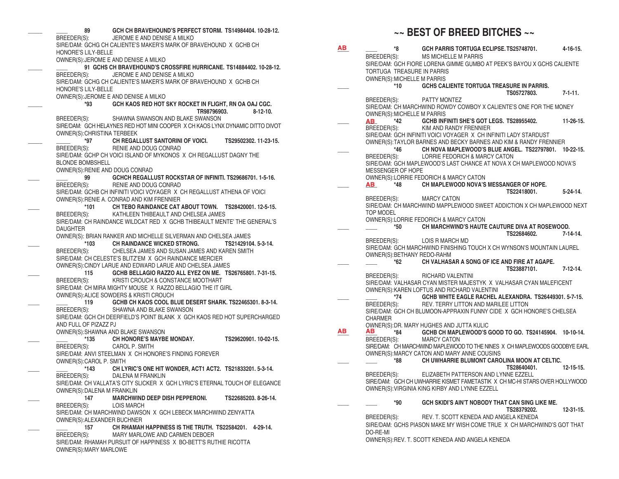**\_\_\_\_\_ \_\_\_\_ 89 GCH CH BRAVEHOUND'S PERFECT STORM. TS14984404. 10-28-12.** JEROME E AND DENISE A MILKO SIRE/DAM: GCHG CH CALIENTE'S MAKER'S MARK OF BRAVEHOUND X GCHB CH HONORE'S LILY-BELLE OWNER(S):JEROME E AND DENISE A MILKO **\_\_\_\_\_ \_\_\_\_ 91 GCHS CH BRAVEHOUND'S CROSSFIRE HURRICANE. TS14884402. 10-28-12.** BREEDER(S): JEROME E AND DENISE A MILKO SIRE/DAM: GCHG CH CALIENTE'S MAKER'S MARK OF BRAVEHOUND X GCHB CH HONORE'S LILY-BELLE OWNER(S):JEROME E AND DENISE A MILKO **\_\_\_\_\_ \*93 GCH KAOS RED HOT SKY ROCKET IN FLIGHT, RN OA OAJ CGC. TR98796903. 8-12-10.** BREEDER(S): SHAWNA SWANSON AND BLAKE SWANSON SIRE/DAM: GCH HELAYNES RED HOT MINI COOPER X CH KAOS LYNX DYNAMIC DITTO DIVOT OWNER(S):CHRISTINA TERBEEK **ALL STRIP ISSUE AND CH REGALLUST SANTORINI OF VOICI. TS29502302. 11-23-15.**<br> **REFEDER(S):** RENIE AND DOUG CONRAD RENIE AND DOUG CONRAD SIRE/DAM: GCHP CH VOICI ISLAND OF MYKONOS X CH REGALLUST DAGNY THE BLONDE BOMBSHELL OWNER(S):RENIE AND DOUG CONRAD<br>99 GCHCH REGALLI **\_\_\_\_ \_\_\_\_ 99 GCHCH REGALLUST ROCKSTAR OF INFINITI. TS29686701. 1-5-16.** BREEDER(S): RENIE AND DOUG CONRAD SIRE/DAM: GCHB CH INFINITI VOICI VOYAGER X CH REGALLUST ATHENA OF VOICI OWNER(S):RENIE A. CONRAD AND KIM FRENNIER **\_\_\_\_ \*101 CH TEBO RAINDANCE CAT ABOUT TOWN. TS28420001. 12-5-15.** BREEDER(S): KATHLEEN THIBEAULT AND CHELSEA JAMES SIRE/DAM: CH RAINDANCE WILDCAT RED X GCHB THIBEAULT MENTE' THE GENERAL'S DAUGHTER OWNER(S): BRIAN RANKER AND MICHELLE SILVERMAN AND CHELSEA JAMES **\_\_\_\_ \*103 CH RAINDANCE WICKED STRONG. TS21429104. 5-3-14.** CHELSEA JAMES AND SUSAN JAMES AND KAREN SMITH SIRE/DAM: CH CELESTE'S BLITZ'EM X GCH RAINDANCE MERCIER OWNER(S):CINDY LARUE AND EDWARD LARUE AND CHELSEA JAMES<br>115 GCHR BELLAGIO RAZZO ALL EVEZ ON ME **\_\_\_\_ 115 GCHB BELLAGIO RAZZO ALL EYEZ ON ME. TS26765801. 7-31-15.** BREEDER(S): KRISTI CROUCH & CONSTANCE MOOTHART SIRE/DAM: CH MIRA MIGHTY MOUSE X RAZZO BELLAGIO THE IT GIRL OWNER(S): ALICE SOWDERS & KRISTI CROUCH<br>119 GCHB CH KAOS COOL BI **\_\_\_\_ \_\_\_\_ 119 GCHB CH KAOS COOL BLUE DESERT SHARK. TS22465301. 8-3-14.** SHAWNA AND BLAKE SWANSON SIRE/DAM: GCH CH DEERFIELD'S POINT BLANK X GCH KAOS RED HOT SUPERCHARGED AND FULL OF PIZAZZ PJ OWNER(S):SHAWNA AND BLAKE SWANSON **\_\_\_\_ \_\_\_\_ \*135 CH HONORE'S MAYBE MONDAY. TS29620901. 10-02-15.** BREEDER(S): CAROL P. SMITH SIRE/DAM: ANVI STEELMAN X CH HONORE'S FINDING FOREVER OWNER(S):CAROL P. SMITH **\_\_\_\_ \_\_\_\_ \*143 CH LYRIC'S ONE HIT WONDER, ACT1 ACT2. TS21833201. 5-3-14.** DALENA M FRANKLIN SIRE/DAM: CH VALLATA'S CITY SLICKER X GCH LYRIC'S ETERNAL TOUCH OF ELEGANCE OWNER(S):DALENA M FRANKLIN<br>147 MARCHWII **\_\_\_\_ 147 MARCHWIND DEEP DISH PEPPERONI. TS22685203. 8-26-14.** BREEDER(S): I OIS MARCH SIRE/DAM: CH MARCHWIND DAWSON X GCH LEBECK MARCHWIND ZENYATTA OWNER(S):ALEXANDER BUCHNER **\_\_\_\_ \_\_\_\_ 157 CH RHAMAH HAPPINESS IS THE TRUTH. TS22584201. 4-29-14.** BREEDER(S): MARY MARLOWE AND CARMEN DEBOER SIRE/DAM: RHAMAH PURSUIT OF HAPPINESS X BO-BETT'S RUTHIE RICOTTA OWNER(S):MARY MARLOWE **AB AB AB**

## **~~ BEST OF BREED BITCHES ~~**

**\_\_\_\_ \_\_\_\_ \*8 GCH PARRIS TORTUGA ECLIPSE.TS25748701. 4-16-15.**  BREEDER(S): MS MICHELLE M PARRIS SIRE/DAM: GCH FIORE LORENA GIMME GUMBO AT PEEK'S BAYOU X GCHS CALIENTE TORTUGA TREASURE IN PARRIS OWNER(S):MICHELLE M PARRIS<br>10 6CHS CAL **\_\_\_\_ \*10 GCHS CALIENTE TORTUGA TREASURE IN PARRIS. TS05727803. 7-1-11.** BREEDER(S): PATTY MONTEZ SIRE/DAM: CH MARCHWIND ROWDY COWBOY X CALIENTE'S ONE FOR THE MONEY OWNER(S):MICHELLE M PARRIS<br>AR \*42 GCHB INF **\_\_\_\_ \_\_\_\_ \*42 GCHB INFINITI SHE'S GOT LEGS. TS28955402. 11-26-15.**  KIM AND RANDY FRENNIER SIRE/DAM: GCH INFINITI VOICI VOYAGER X CH INFINITI LADY STARDUST OWNER(S):TAYLOR BARNES AND BECKY BARNES AND KIM & RANDY FRENNIER **\_\_\_\_ \*46 CH NOVA MAPLEWOOD'S BLUE ANGEL. TS22797801. 10-22-15.**  LORRIE FEDORICH & MARCY CATON SIRE/DAM: GCH MAPLEWOOD'S LAST CHANCE AT NOVA X CH MAPLEWOOD NOVA'S MESSENGER OF HOPE OWNER(S):LORRIE FEDORICH & MARCY CATON<br>AR \*48 CH MAPI FWOOD NOVA'S **\_\_\_\_ \_\_\_\_ \*48 CH MAPLEWOOD NOVA'S MESSANGER OF HOPE. TS22418001. 5-24-14.** BREEDER(S): MARCY CATON SIRE/DAM: CH MARCHWIND MAPPLEWOOD SWEET ADDICTION X CH MAPLEWOOD NEXT TOP MODEL OWNER(S):LORRIE FEDORICH & MARCY CATON<br>50 CH MARCHWIND'S HAUTE **\_\_\_\_ \_\_\_\_ \*50 CH MARCHWIND'S HAUTE CAUTURE DIVA AT ROSEWOOD. TS22684602. 7-14-14.** BREEDER(S): LOIS R MARCH MD SIRE/DAM: GCH MARCHWIND FINISHING TOUCH X CH WYNSON'S MOUNTAIN LAUREL OWNER(S):BETHANY REDO-RAHM<br> **CH VAI HAS \_\_\_\_ \_\_\_\_ \*62 CH VALHASAR A SONG OF ICE AND FIRE AT AGAPE. TS23887101. 7-12-14.** BREEDER(S): RICHARD VALENTINI SIRE/DAM: VALHASAR CYAN MISTER MAJESTYK X VALHASAR CYAN MALEFICENT OWNER(S):KAREN LOFTUS AND RICHARD VALENTINI<br>
\*74 GCHR WHITE FAGI F RACHEI **ACHB WHITE EAGLE RACHEL ALEXANDRA. TS26449301. 5-7-15.**<br> **BREEDER(S):** REV. TERRY LITTON AND MARILEE LITTON REV. TERRY LITTON AND MARILEE LITTON SIRE/DAM: GCH CH BLUMOON-APPRAXIN FUNNY CIDE X GCH HONORE'S CHELSEA CHARMER OWNER(S):DR. MARY HUGHES AND JUTTA KULIC<br>AB \*84 GCHB CH MAPI FWOOD'S O **\_\_\_\_ \_\_\_\_ \*84 GCHB CH MAPLEWOOD'S GOOD TO GO. TS24145904. 10-10-14.** MARCY CATON SIRE/DAM: CH MARCHWIND MAPLEWOOD TO THE NINES X CH MAPLEWOODS GOODBYE EARL OWNER(S):MARCY CATON AND MARY ANNE COUSINS<br>ARCH UWHARRIF BLUMONT CARO **\_\_\_\_ \_\_\_\_ \*88 CH UWHARRIE BLUMONT CAROLINA MOON AT CELTIC. TS28640401. 12-15-15.** BREEDER(S): ELIZABETH PATTERSON AND LYNNE EZZELL SIRE/DAM: GCH CH UWHARRIE KISMET FAMETASTIK X CH MC-HI STARS OVER HOLLYWOOD OWNER(S):VIRGINIA KING KIRBY AND LYNNE EZZELL **\_\_\_\_ \_\_\_\_ \*90 GCH SKIDI'S AIN'T NOBODY THAT CAN SING LIKE ME. TS28379202. 12-31-15.** BREEDER(S): REV. T. SCOTT KENEDA AND ANGELA KENEDA SIRE/DAM: GCHS PIASON MAKE MY WISH COME TRUE X CH MARCHWIND'S GOT THAT **AB AB**

DO-RE-MI

OWNER(S):REV. T. SCOTT KENEDA AND ANGELA KENEDA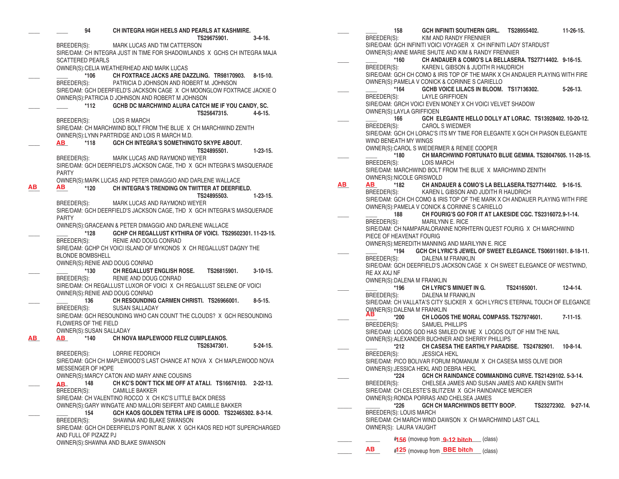|    | 94                                     | CH INTEGRA HIGH HEELS AND PEARLS AT KASHMIRE.                                                           |                 |
|----|----------------------------------------|---------------------------------------------------------------------------------------------------------|-----------------|
|    |                                        | TS29675901.                                                                                             | $3 - 4 - 16$ .  |
|    | BREEDER(S):                            | MARK LUCAS AND TIM CATTERSON                                                                            |                 |
|    |                                        | SIRE/DAM: CH INTEGRA JUST IN TIME FOR SHADOWLANDS X GCHS CH INTEGRA MAJA                                |                 |
|    | <b>SCATTERED PEARLS</b>                |                                                                                                         |                 |
|    |                                        | OWNER(S): CELIA WEATHERHEAD AND MARK LUCAS                                                              |                 |
|    | *106                                   | CH FOXTRACE JACKS ARE DAZZLING. TR98170903.                                                             | $8 - 15 - 10$ . |
|    | BREEDER(S):                            | PATRICIA D JOHNSON AND ROBERT M. JOHNSON                                                                |                 |
|    |                                        | SIRE/DAM: GCH DEERFIELD'S JACKSON CAGE X CH MOONGLOW FOXTRACE JACKIE O                                  |                 |
|    | *112                                   | OWNER(S): PATRICIA D JOHNSON AND ROBERT M JOHNSON<br>GCHB DC MARCHWIND ALURA CATCH ME IF YOU CANDY, SC. |                 |
|    |                                        | TS25647315.                                                                                             | 4-6-15.         |
|    | BREEDER(S):                            | LOIS R MARCH                                                                                            |                 |
|    |                                        | SIRE/DAM: CH MARCHWIND BOLT FROM THE BLUE X CH MARCHWIND ZENITH                                         |                 |
|    |                                        | OWNER(S): LYNN PARTRIDGE AND LOIS R MARCH M.D.                                                          |                 |
|    | AB<br>*118                             | GCH CH INTEGRA'S SOMETHINGTO SKYPE ABOUT.                                                               |                 |
|    |                                        | TS24895501.                                                                                             | $1-23-15.$      |
|    | BREEDER(S):                            | MARK LUCAS AND RAYMOND WEYER                                                                            |                 |
|    |                                        | SIRE/DAM: GCH DEERFIELD'S JACKSON CAGE, THD X GCH INTEGRA'S MASQUERADE                                  |                 |
|    | <b>PARTY</b>                           |                                                                                                         |                 |
|    |                                        | OWNER(S): MARK LUCAS AND PETER DIMAGGIO AND DARLENE WALLACE                                             |                 |
| ΑВ | ΑВ<br>*120                             | CH INTEGRA'S TRENDING ON TWITTER AT DEERFIELD.                                                          |                 |
|    |                                        | TS24895503.                                                                                             | $1 - 23 - 15$ . |
|    | BREEDER(S):                            | MARK LUCAS AND RAYMOND WEYER                                                                            |                 |
|    |                                        | SIRE/DAM: GCH DEERFIELD'S JACKSON CAGE, THD X GCH INTEGRA'S MASQUERADE                                  |                 |
|    | <b>PARTY</b>                           | OWNER(S): GRACEANN & PETER DIMAGGIO AND DARLENE WALLACE                                                 |                 |
|    | *128                                   | GCHP CH REGALLUST KYTHIRA OF VOICI. TS29502301.11-23-15.                                                |                 |
|    | BREEDER(S):                            | RENIE AND DOUG CONRAD                                                                                   |                 |
|    |                                        | SIRE/DAM: GCHP CH VOICI ISLAND OF MYKONOS X CH REGALLUST DAGNY THE                                      |                 |
|    | <b>BLONDE BOMBSHELL</b>                |                                                                                                         |                 |
|    |                                        | OWNER(S): RENIE AND DOUG CONRAD                                                                         |                 |
|    | *130                                   | CH REGALLUST ENGLISH ROSE. TS26815901.                                                                  | $3-10-15$ .     |
|    | BREEDER(S):                            | RENIE AND DOUG CONRAD                                                                                   |                 |
|    |                                        | SIRE/DAM: CH REGALLUST LUXOR OF VOICI X CH REGALLUST SELENE OF VOICI                                    |                 |
|    | OWNER(S): RENIE AND DOUG CONRAD        |                                                                                                         |                 |
|    | 136                                    | CH RESOUNDING CARMEN CHRISTI. TS26966001.                                                               | $8 - 5 - 15.$   |
|    | BREEDER(S):                            | SUSAN SALLADAY                                                                                          |                 |
|    |                                        | SIRE/DAM: GCH RESOUNDING WHO CAN COUNT THE CLOUDS? X GCH RESOUNDING                                     |                 |
|    | FLOWERS OF THE FIELD                   |                                                                                                         |                 |
| AB | OWNER(S): SUSAN SALLADAY<br>*140<br>AB | CH NOVA MAPLEWOOD FELIZ CUMPLEANOS.                                                                     |                 |
|    |                                        | TS26347301.                                                                                             | $5 - 24 - 15$ . |
|    |                                        | BREEDER(S): LORRIE FEDORICH                                                                             |                 |
|    |                                        | SIRE/DAM: GCH CH MAPLEWOOD'S LAST CHANCE AT NOVA X CH MAPLEWOOD NOVA                                    |                 |
|    | MESSENGER OF HOPE                      |                                                                                                         |                 |
|    |                                        | OWNER(S): MARCY CATON AND MARY ANNE COUSINS                                                             |                 |
|    | 148<br>AB                              | CH KC'S DON'T TICK ME OFF AT ATALI. TS16674103. 2-22-13.                                                |                 |
|    | BREEDER(S):                            | <b>CAMILLE BAKKER</b>                                                                                   |                 |
|    |                                        | SIRE/DAM: CH VALENTINO ROCCO X CH KC'S LITTLE BACK DRESS                                                |                 |
|    |                                        | OWNER(S): GARY WINGATE AND MALLORI SEIFERT AND CAMILLE BAKKER                                           |                 |
|    | 154                                    | GCH KAOS GOLDEN TETRA LIFE IS GOOD. TS22465302. 8-3-14.                                                 |                 |
|    | BREEDER(S):                            | SHAWNA AND BLAKE SWANSON                                                                                |                 |
|    |                                        | SIRE/DAM: GCH CH DEERFIELD'S POINT BLANK X GCH KAOS RED HOT SUPERCHARGED                                |                 |
|    | AND FULL OF PIZAZZ PJ                  |                                                                                                         |                 |
|    |                                        | OWNER(S): SHAWNA AND BLAKE SWANSON                                                                      |                 |

**\_\_\_\_ \_\_\_\_ 158 GCH INFINITI SOUTHERN GIRL. TS28955402. 11-26-15.** KIM AND RANDY FRENNIER SIRE/DAM: GCH INFINITI VOICI VOYAGER X CH INFINITI LADY STARDUST OWNER(S):ANNE MARIE SHUTE AND KIM & RANDY FRENNIER **\_\_\_\_ \_\_\_\_ \*160 CH ANDAUER & COMO'S LA BELLASERA. TS27714402. 9-16-15.** KAREN L GIBSON & JUDITH R HAUDRICH SIRE/DAM: GCH CH COMO & IRIS TOP OF THE MARK X CH ANDAUER PLAYING WITH FIRE OWNER(S):PAMELA V CONICK & CORINNE S CARIELLO **\_\_\_\_ \_\_\_\_ \*164 GCHB VOICE LILACS IN BLOOM. TS17136302. 5-26-13.**  BREEDER(S): LAYLE GRIFFIOEN SIRE/DAM: GRCH VOICI EVEN MONEY X CH VOICI VELVET SHADOW OWNER(S):LAYLA GRIFFIOEN **\_\_\_\_ \_\_\_\_ 166 GCH ELEGANTE HELLO DOLLY AT LORAC. TS13928402. 10-20-12.** BREEDER(S): CAROL S WIEDMER SIRE/DAM: GCH CH LORAC'S ITS MY TIME FOR ELEGANTE X GCH CH PIASON ELEGANTE WIND BENEATH MY WINGS OWNER(S):CAROL S WIEDERMER & RENEE COOPER **\_\_\_\_ \_\_\_\_ \*180 CH MARCHWIND FORTUNATO BLUE GEMMA. TS28047605. 11-28-15. LOIS MARCH** SIRE/DAM: MARCHWIND BOLT FROM THE BLUE X MARCHWIND ZENITH OWNER(S):NICOLE GRISWOLD **\_\_\_\_ \_\_\_\_ \*182 CH ANDAUER & COMO'S LA BELLASERA.TS27714402. 9-16-15.** KAREN L GIBSON AND JUDITH R HAUDRICH SIRE/DAM: GCH CH COMO & IRIS TOP OF THE MARK X CH ANDAUER PLAYING WITH FIRE OWNER(S):PAMELA V CONICK & CORINNE S CARIELLO **\_\_\_\_ \_\_\_\_ 188 CH FOURIG'S GO FOR IT AT LAKESIDE CGC. TS2316072.9-1-14.** BREEDER(S): MARILYNN E. RICE SIRE/DAM: CH NAMPARALORANNE NORHTERN QUEST FOURIG X CH MARCHWIND PIECE OF HEAVENAT FOURIG OWNER(S):MEREDITH MANNING AND MARILYNN E. RICE **\_\_\_\_\_\_\_\_ \*194 GCH CH LYRIC'S JEWEL OF SWEET ELEGANCE. TS06911601. 8-18-11.**<br>BREEDER(S): DALENA M FRANKLIN DALENA M FRANKLIN SIRE/DAM: GCH DEERFIELD'S JACKSON CAGE X CH SWEET ELEGANCE OF WESTWIND, RE AX AXJ NF OWNER(S):DALENA M FRANKLIN<br>\*196 CH LYRIC **\_\_\_\_ \_\_\_\_ \*196 CH LYRIC'S MINUET IN G. TS24165001. 12-4-14.** BREEDER(S): DALENA M FRANKLIN SIRE/DAM: CH VALLATA'S CITY SLICKER X GCH LYRIC'S ETERNAL TOUCH OF ELEGANCE OWNER(S):DALENA M FRANKLIN **AB \_\_\_\_ \_\_\_\_ \*200 CH LOGOS THE MORAL COMPASS. TS27974601. 7-11-15**. BREEDER(S): SAMUEL PHILLIPS SIRE/DAM: LOGOS GOD HAS SMILED ON ME X LOGOS OUT OF HIM THE NAIL OWNER(S):ALEXANDER BUCHNER AND SHERRY PHILLIPS **\_\_\_\_ \_\_\_\_ \*212 CH CASESA THE EARTHLY PARADISE. TS24782901. 10-8-14. JESSICA HEKL** SIRE/DAM: PICO BOLIVAR FORUM ROMANUM X CH CASESA MISS OLIVE DIOR OWNER(S): JESSICA HEKL AND DEBRA HEKL<br>
\*224 **GCH CH RAINDANCE ( \_\_\_\_ \*224 GCH CH RAINDANCE COMMANDING CURVE. TS21429102. 5-3-14.**  CHELSEA JAMES AND SUSAN JAMES AND KAREN SMITH SIRE/DAM: CH CELESTE'S BLITZ'EM X GCH RAINDANCE MERCIER OWNER(S):RONDA PORRAS AND CHELSEA JAMES **\_\_\_\_\_ \_\_\_\_\_ \*226 GCH CH MARCHWINDS BETTY BOOP. TS23272302. 9-27-14.** BREEDER(S): LOUIS MARCH SIRE/DAM: CH MARCH WIND DAWSON X CH MARCHWIND LAST CALL OWNER(S): LAURA VAUGHT \_\_\_\_\_ \_\_\_\_\_\_\_\_\_\_\_ #156 (moveup from 19-12 bitch \_\_\_ (class) **AB** #125 (moveup from **BBE bitch** (class) **AB AB AB**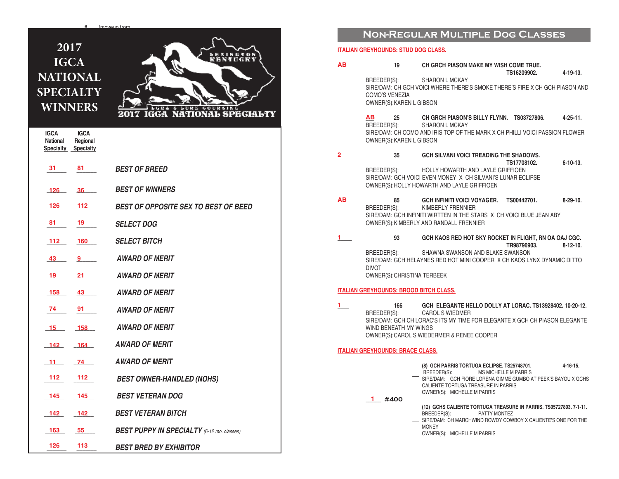# **2017 IGCA NATIONAL SPECIALTY WINNERS**



| <b>IGCA</b><br>National<br>Specialty Specialty | <b>IGCA</b><br>Regional |                                                   |
|------------------------------------------------|-------------------------|---------------------------------------------------|
| 31                                             | 81                      | <b>BEST OF BREED</b>                              |
| 126                                            | 36 —                    | <b>BEST OF WINNERS</b>                            |
| 126                                            | 112                     | <b>BEST OF OPPOSITE SEX TO BEST OF BEED</b>       |
| 81                                             | 19                      | <b>SELECT DOG</b>                                 |
| 112                                            | 160                     | <b>SELECT BITCH</b>                               |
| 43                                             | 9                       | <b>AWARD OF MERIT</b>                             |
| 19                                             | $21 -$                  | <b>AWARD OF MERIT</b>                             |
| 158                                            | 43                      | <b>AWARD OF MERIT</b>                             |
| 74                                             | 91 —                    | <b>AWARD OF MERIT</b>                             |
| 15                                             | 158                     | <b>AWARD OF MERIT</b>                             |
| 142                                            | 164                     | <b>AWARD OF MERIT</b>                             |
| $11 -$                                         | 74                      | <b>AWARD OF MERIT</b>                             |
| 112                                            | 112                     | <b>BEST OWNER-HANDLED (NOHS)</b>                  |
| 145                                            | 145                     | <b>BEST VETERAN DOG</b>                           |
| 142                                            | 142                     | <b>BEST VETERAN BITCH</b>                         |
| 163                                            | 55                      | <b>BEST PUPPY IN SPECIALTY</b> (6-12 mo. classes) |
| 126                                            | 113                     | <b>BEST BRED BY EXHIBITOR</b>                     |

## **Non-Regular Multiple Dog Classes**

#### **ITALIAN GREYHOUNDS: STUD DOG CLASS.**

| 19                            | CH GRCH PIASON MAKE MY WISH COME TRUE.                                                                                                                                                                                                                                                                                                                                                                                                     | $4 - 19 - 13$ .                                                                                                                                                                                                                                                                                                                                                                                                                                                                                                                                                                                                                                                                                                                                                                                                                              |
|-------------------------------|--------------------------------------------------------------------------------------------------------------------------------------------------------------------------------------------------------------------------------------------------------------------------------------------------------------------------------------------------------------------------------------------------------------------------------------------|----------------------------------------------------------------------------------------------------------------------------------------------------------------------------------------------------------------------------------------------------------------------------------------------------------------------------------------------------------------------------------------------------------------------------------------------------------------------------------------------------------------------------------------------------------------------------------------------------------------------------------------------------------------------------------------------------------------------------------------------------------------------------------------------------------------------------------------------|
| BREEDER(S):<br>COMO'S VENEZIA | <b>SHARON L MCKAY</b>                                                                                                                                                                                                                                                                                                                                                                                                                      |                                                                                                                                                                                                                                                                                                                                                                                                                                                                                                                                                                                                                                                                                                                                                                                                                                              |
| ΑВ<br>25<br>BREEDER(S):       | CH GRCH PIASON'S BILLY FLYNN. TS03727806.<br><b>SHARON L MCKAY</b>                                                                                                                                                                                                                                                                                                                                                                         | $4 - 25 - 11$ .                                                                                                                                                                                                                                                                                                                                                                                                                                                                                                                                                                                                                                                                                                                                                                                                                              |
| 35<br>BREEDER(S):             | <b>GCH SILVANI VOICI TREADING THE SHADOWS.</b><br>TS17708102.<br>HOLLY HOWARTH AND LAYLE GRIFFIOEN                                                                                                                                                                                                                                                                                                                                         | $6 - 10 - 13$ .                                                                                                                                                                                                                                                                                                                                                                                                                                                                                                                                                                                                                                                                                                                                                                                                                              |
| 85<br>BREEDER(S):             | GCH INFINITI VOICI VOYAGER. TS00442701.<br>KIMBERLY FRENNIER                                                                                                                                                                                                                                                                                                                                                                               | $8-29-10.$                                                                                                                                                                                                                                                                                                                                                                                                                                                                                                                                                                                                                                                                                                                                                                                                                                   |
| 93<br><b>DIVOT</b>            | GCH KAOS RED HOT SKY ROCKET IN FLIGHT, RN OA OAJ CGC.<br>TR98796903.<br>SHAWNA SWANSON AND BLAKE SWANSON                                                                                                                                                                                                                                                                                                                                   | $8-12-10$ .                                                                                                                                                                                                                                                                                                                                                                                                                                                                                                                                                                                                                                                                                                                                                                                                                                  |
|                               |                                                                                                                                                                                                                                                                                                                                                                                                                                            |                                                                                                                                                                                                                                                                                                                                                                                                                                                                                                                                                                                                                                                                                                                                                                                                                                              |
| 166<br>BREEDER(S):            | GCH ELEGANTE HELLO DOLLY AT LORAC. TS13928402. 10-20-12.<br><b>CAROL S WIEDMER</b>                                                                                                                                                                                                                                                                                                                                                         |                                                                                                                                                                                                                                                                                                                                                                                                                                                                                                                                                                                                                                                                                                                                                                                                                                              |
|                               |                                                                                                                                                                                                                                                                                                                                                                                                                                            |                                                                                                                                                                                                                                                                                                                                                                                                                                                                                                                                                                                                                                                                                                                                                                                                                                              |
| 1 #400                        | (8) GCH PARRIS TORTUGA ECLIPSE. TS25748701.<br>BREEDER(S): MS MICHELLE M PARRIS<br>SIRE/DAM: GCH FIORE LORENA GIMME GUMBO AT PEEK'S BAYOU X GCHS<br>CALIENTE TORTUGA TREASURE IN PARRIS<br>OWNER(S): MICHELLE M PARRIS<br>(12) GCHS CALIENTE TORTUGA TREASURE IN PARRIS. TS05727803. 7-1-11.<br>BREEDER(S):<br>PATTY MONTEZ<br>SIRE/DAM: CH MARCHWIND ROWDY COWBOY X CALIENTE'S ONE FOR THE<br><b>MONEY</b><br>OWNER(S): MICHELLE M PARRIS | $4 - 16 - 15$ .                                                                                                                                                                                                                                                                                                                                                                                                                                                                                                                                                                                                                                                                                                                                                                                                                              |
|                               |                                                                                                                                                                                                                                                                                                                                                                                                                                            | TS16209902.<br>SIRE/DAM: CH GCH VOICI WHERE THERE'S SMOKE THERE'S FIRE X CH GCH PIASON AND<br>OWNER(S): KAREN L GIBSON<br>SIRE/DAM: CH COMO AND IRIS TOP OF THE MARK X CH PHILLI VOICI PASSION FLOWER<br>OWNER(S): KAREN L GIBSON<br>SIRE/DAM: GCH VOICI EVEN MONEY X CH SILVANI'S LUNAR ECLIPSE<br>OWNER(S): HOLLY HOWARTH AND LAYLE GRIFFIOEN<br>SIRE/DAM: GCH INFINITI WIRTTEN IN THE STARS X CH VOICI BLUE JEAN ABY<br>OWNER(S): KIMBERLY AND RANDALL FRENNIER<br>BREEDER(S):<br>SIRE/DAM: GCH HELAYNES RED HOT MINI COOPER X CH KAOS LYNX DYNAMIC DITTO<br>OWNER(S): CHRISTINA TERBEEK<br><b>ITALIAN GREYHOUNDS: BROOD BITCH CLASS.</b><br>SIRE/DAM: GCH CH LORAC'S ITS MY TIME FOR ELEGANTE X GCH CH PIASON ELEGANTE<br>WIND BENEATH MY WINGS<br>OWNER(S): CAROL S WIEDERMER & RENEE COOPER<br><b>ITALIAN GREYHOUNDS: BRACE CLASS.</b> |